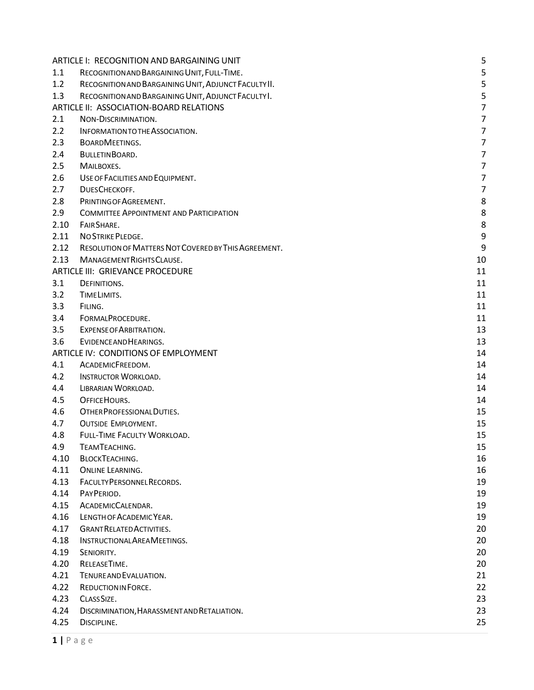|      | ARTICLE I: RECOGNITION AND BARGAINING UNIT           | 5              |
|------|------------------------------------------------------|----------------|
| 1.1  | RECOGNITION AND BARGAINING UNIT, FULL-TIME.          | 5              |
| 1.2  | RECOGNITION AND BARGAINING UNIT, ADJUNCT FACULTY II. | 5              |
| 1.3  | RECOGNITION AND BARGAINING UNIT, ADJUNCT FACULTY I.  | 5              |
|      | ARTICLE II: ASSOCIATION-BOARD RELATIONS              | $\overline{7}$ |
| 2.1  | NON-DISCRIMINATION.                                  | 7              |
| 2.2  | INFORMATION TO THE ASSOCIATION.                      | 7              |
| 2.3  | <b>BOARDMEETINGS.</b>                                | 7              |
| 2.4  | BULLETINBOARD.                                       | $\overline{7}$ |
| 2.5  | MAILBOXES.                                           | 7              |
| 2.6  | USE OF FACILITIES AND EQUIPMENT.                     | 7              |
| 2.7  | DUESCHECKOFF.                                        | $\overline{7}$ |
| 2.8  | PRINTING OF AGREEMENT.                               | 8              |
| 2.9  | <b>COMMITTEE APPOINTMENT AND PARTICIPATION</b>       | 8              |
| 2.10 | FAIR SHARE.                                          | 8              |
| 2.11 | <b>NO STRIKE PLEDGE.</b>                             | 9              |
| 2.12 | RESOLUTION OF MATTERS NOT COVERED BY THIS AGREEMENT. | 9              |
| 2.13 | MANAGEMENT RIGHTS CLAUSE.                            | 10             |
|      | ARTICLE III: GRIEVANCE PROCEDURE                     | 11             |
| 3.1  | DEFINITIONS.                                         | 11             |
| 3.2  | TIME LIMITS.                                         | 11             |
| 3.3  | FILING.                                              | 11             |
| 3.4  | FORMALPROCEDURE.                                     | 11             |
| 3.5  | EXPENSE OF ARBITRATION.                              | 13             |
| 3.6  | EVIDENCE AND HEARINGS.                               | 13             |
|      | ARTICLE IV: CONDITIONS OF EMPLOYMENT                 | 14             |
| 4.1  | ACADEMICFREEDOM.                                     | 14             |
| 4.2  | <b>INSTRUCTOR WORKLOAD.</b>                          | 14             |
| 4.4  | LIBRARIAN WORKLOAD.                                  | 14             |
| 4.5  | OFFICE HOURS.                                        | 14             |
| 4.6  | OTHER PROFESSIONAL DUTIES.                           | 15             |
| 4.7  | <b>OUTSIDE EMPLOYMENT.</b>                           | 15             |
| 4.8  | FULL-TIME FACULTY WORKLOAD.                          | 15             |
| 4.9  | TEAMTEACHING.                                        | 15             |
| 4.10 | <b>BLOCKTEACHING.</b>                                | 16             |
| 4.11 | <b>ONLINE LEARNING.</b>                              | 16             |
| 4.13 | FACULTY PERSONNEL RECORDS.                           | 19             |
| 4.14 | PAYPERIOD.                                           | 19             |
| 4.15 | ACADEMICCALENDAR.                                    | 19             |
| 4.16 | LENGTH OF ACADEMIC YEAR.                             | 19             |
| 4.17 | <b>GRANT RELATED ACTIVITIES.</b>                     | 20             |
| 4.18 | INSTRUCTIONAL AREA MEETINGS.                         | 20             |
| 4.19 | SENIORITY.                                           | 20             |
| 4.20 | RELEASETIME.                                         | 20             |
| 4.21 | TENURE AND EVALUATION.                               | 21             |
| 4.22 | REDUCTION IN FORCE.                                  | 22             |
| 4.23 | CLASS SIZE.                                          | 23             |
| 4.24 | DISCRIMINATION, HARASSMENT AND RETALIATION.          | 23             |
| 4.25 | DISCIPLINE.                                          | 25             |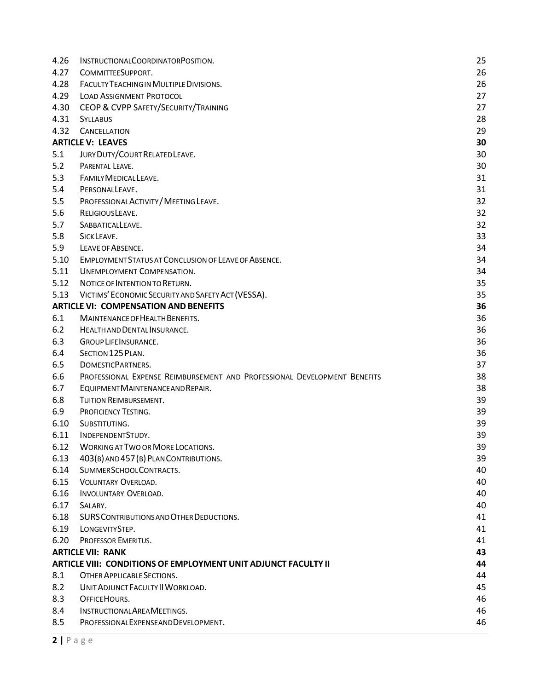| 4.26 | INSTRUCTIONALCOORDINATORPOSITION.                                        | 25 |
|------|--------------------------------------------------------------------------|----|
| 4.27 | COMMITTEESUPPORT.                                                        | 26 |
| 4.28 | FACULTY TEACHING IN MULTIPLE DIVISIONS.                                  | 26 |
| 4.29 | <b>LOAD ASSIGNMENT PROTOCOL</b>                                          | 27 |
| 4.30 | CEOP & CVPP SAFETY/SECURITY/TRAINING                                     | 27 |
| 4.31 | <b>SYLLABUS</b>                                                          | 28 |
| 4.32 | <b>CANCELLATION</b>                                                      | 29 |
|      | <b>ARTICLE V: LEAVES</b>                                                 | 30 |
| 5.1  | JURY DUTY/COURT RELATED LEAVE.                                           | 30 |
| 5.2  | PARENTAL LEAVE.                                                          | 30 |
| 5.3  | FAMILY MEDICAL LEAVE.                                                    | 31 |
| 5.4  | PERSONALLEAVE.                                                           | 31 |
| 5.5  | PROFESSIONAL ACTIVITY / MEETING LEAVE.                                   | 32 |
| 5.6  | RELIGIOUSLEAVE.                                                          | 32 |
| 5.7  | SABBATICALLEAVE.                                                         | 32 |
| 5.8  | SICK LEAVE.                                                              | 33 |
| 5.9  | LEAVE OF ABSENCE.                                                        | 34 |
| 5.10 | EMPLOYMENT STATUS AT CONCLUSION OF LEAVE OF ABSENCE.                     | 34 |
| 5.11 | <b>UNEMPLOYMENT COMPENSATION.</b>                                        | 34 |
| 5.12 | NOTICE OF INTENTION TO RETURN.                                           | 35 |
| 5.13 | VICTIMS' ECONOMIC SECURITY AND SAFETY ACT (VESSA).                       | 35 |
|      | <b>ARTICLE VI: COMPENSATION AND BENEFITS</b>                             | 36 |
| 6.1  | <b>MAINTENANCE OF HEALTH BENEFITS.</b>                                   | 36 |
| 6.2  | HEALTH AND DENTAL INSURANCE.                                             | 36 |
| 6.3  | <b>GROUP LIFE INSURANCE.</b>                                             | 36 |
| 6.4  | SECTION 125 PLAN.                                                        | 36 |
| 6.5  | DOMESTICPARTNERS.                                                        | 37 |
| 6.6  | PROFESSIONAL EXPENSE REIMBURSEMENT AND PROFESSIONAL DEVELOPMENT BENEFITS | 38 |
| 6.7  | EQUIPMENT MAINTENANCE AND REPAIR.                                        | 38 |
| 6.8  | TUITION REIMBURSEMENT.                                                   | 39 |
| 6.9  | PROFICIENCY TESTING.                                                     | 39 |
| 6.10 | SUBSTITUTING.                                                            | 39 |
| 6.11 | INDEPENDENTSTUDY.                                                        | 39 |
| 6.12 | <b>WORKING AT TWO OR MORE LOCATIONS.</b>                                 | 39 |
| 6.13 | 403(B) AND 457 (B) PLAN CONTRIBUTIONS.                                   | 39 |
| 6.14 | SUMMERSCHOOLCONTRACTS.                                                   | 40 |
| 6.15 | <b>VOLUNTARY OVERLOAD.</b>                                               | 40 |
| 6.16 | INVOLUNTARY OVERLOAD.                                                    | 40 |
| 6.17 | SALARY.                                                                  | 40 |
| 6.18 | SURS CONTRIBUTIONS AND OTHER DEDUCTIONS.                                 | 41 |
| 6.19 | LONGEVITYSTEP.                                                           | 41 |
| 6.20 | PROFESSOR EMERITUS.                                                      | 41 |
|      | <b>ARTICLE VII: RANK</b>                                                 | 43 |
|      | ARTICLE VIII: CONDITIONS OF EMPLOYMENT UNIT ADJUNCT FACULTY II           | 44 |
| 8.1  | OTHER APPLICABLE SECTIONS.                                               | 44 |
| 8.2  | UNIT ADJUNCT FACULTY II WORKLOAD.                                        | 45 |
| 8.3  | OFFICE HOURS.                                                            | 46 |
| 8.4  | INSTRUCTIONAL AREA MEETINGS.                                             | 46 |
| 8.5  | PROFESSIONALEXPENSEANDDEVELOPMENT.                                       | 46 |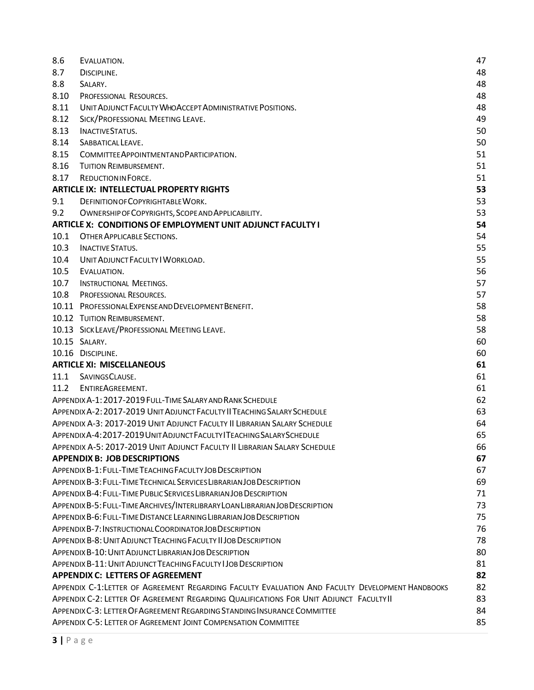| 8.6  | EVALUATION.                                                                                     | 47 |
|------|-------------------------------------------------------------------------------------------------|----|
| 8.7  | DISCIPLINE.                                                                                     | 48 |
| 8.8  | SALARY.                                                                                         | 48 |
| 8.10 | PROFESSIONAL RESOURCES.                                                                         | 48 |
| 8.11 | UNIT ADJUNCT FACULTY WHO ACCEPT ADMINISTRATIVE POSITIONS.                                       | 48 |
| 8.12 | SICK/PROFESSIONAL MEETING LEAVE.                                                                | 49 |
| 8.13 | <b>INACTIVESTATUS.</b>                                                                          | 50 |
| 8.14 | SABBATICAL LEAVE.                                                                               | 50 |
| 8.15 | COMMITTEE APPOINTMENTAND PARTICIPATION.                                                         | 51 |
| 8.16 | TUITION REIMBURSEMENT.                                                                          | 51 |
| 8.17 | <b>REDUCTIONIN FORCE.</b>                                                                       | 51 |
|      | <b>ARTICLE IX: INTELLECTUAL PROPERTY RIGHTS</b>                                                 | 53 |
| 9.1  | DEFINITION OF COPYRIGHTABLE WORK.                                                               | 53 |
| 9.2  | OWNERSHIP OF COPYRIGHTS, SCOPE AND APPLICABILITY.                                               | 53 |
|      | <b>ARTICLE X: CONDITIONS OF EMPLOYMENT UNIT ADJUNCT FACULTY I</b>                               | 54 |
| 10.1 | OTHER APPLICABLE SECTIONS.                                                                      | 54 |
| 10.3 | <b>INACTIVE STATUS.</b>                                                                         | 55 |
| 10.4 | UNIT ADJUNCT FACULTY I WORKLOAD.                                                                | 55 |
| 10.5 | EVALUATION.                                                                                     | 56 |
| 10.7 | <b>INSTRUCTIONAL MEETINGS.</b>                                                                  | 57 |
| 10.8 | PROFESSIONAL RESOURCES.                                                                         | 57 |
|      | 10.11 PROFESSIONAL EXPENSE AND DEVELOPMENT BENEFIT.                                             | 58 |
|      | 10.12 TUITION REIMBURSEMENT.                                                                    | 58 |
|      | 10.13 SICK LEAVE/PROFESSIONAL MEETING LEAVE.                                                    | 58 |
|      | 10.15 SALARY.                                                                                   | 60 |
|      | 10.16 DISCIPLINE.                                                                               | 60 |
|      | <b>ARTICLE XI: MISCELLANEOUS</b>                                                                | 61 |
| 11.1 | SAVINGSCLAUSE.                                                                                  | 61 |
| 11.2 | ENTIREAGREEMENT.                                                                                | 61 |
|      | APPENDIX A-1: 2017-2019 FULL-TIME SALARY AND RANK SCHEDULE                                      | 62 |
|      | APPENDIX A-2: 2017-2019 UNIT ADJUNCT FACULTY II TEACHING SALARY SCHEDULE                        | 63 |
|      | APPENDIX A-3: 2017-2019 UNIT ADJUNCT FACULTY II LIBRARIAN SALARY SCHEDULE                       | 64 |
|      | APPENDIX A-4:2017-2019 UNIT ADJUNCT FACULTY ITEACHING SALARY SCHEDULE                           | 65 |
|      | APPENDIX A-5: 2017-2019 UNIT ADJUNCT FACULTY II LIBRARIAN SALARY SCHEDULE                       | 66 |
|      | <b>APPENDIX B: JOB DESCRIPTIONS</b>                                                             | 67 |
|      | APPENDIX B-1: FULL-TIME TEACHING FACULTY JOB DESCRIPTION                                        | 67 |
|      | APPENDIX B-3: FULL-TIME TECHNICAL SERVICES LIBRARIAN JOB DESCRIPTION                            | 69 |
|      | APPENDIX B-4: FULL-TIME PUBLIC SERVICES LIBRARIAN JOB DESCRIPTION                               | 71 |
|      | APPENDIX B-5: FULL-TIME ARCHIVES/INTERLIBRARY LOAN LIBRARIAN JOB DESCRIPTION                    | 73 |
|      | APPENDIX B-6: FULL-TIME DISTANCE LEARNING LIBRARIAN JOB DESCRIPTION                             | 75 |
|      | APPENDIX B-7: INSTRUCTIONAL COORDINATOR JOB DESCRIPTION                                         | 76 |
|      | APPENDIX B-8: UNIT ADJUNCT TEACHING FACULTY II JOB DESCRIPTION                                  | 78 |
|      | APPENDIX B-10: UNIT ADJUNCT LIBRARIAN JOB DESCRIPTION                                           | 80 |
|      | APPENDIX B-11: UNIT ADJUNCT TEACHING FACULTY I JOB DESCRIPTION                                  | 81 |
|      | <b>APPENDIX C: LETTERS OF AGREEMENT</b>                                                         | 82 |
|      | APPENDIX C-1:LETTER OF AGREEMENT REGARDING FACULTY EVALUATION AND FACULTY DEVELOPMENT HANDBOOKS | 82 |
|      | APPENDIX C-2: LETTER OF AGREEMENT REGARDING QUALIFICATIONS FOR UNIT ADJUNCT FACULTY II          | 83 |
|      | APPENDIX C-3: LETTER OF AGREEMENT REGARDING STANDING INSURANCE COMMITTEE                        | 84 |
|      | APPENDIX C-5: LETTER OF AGREEMENT JOINT COMPENSATION COMMITTEE                                  | 85 |
|      |                                                                                                 |    |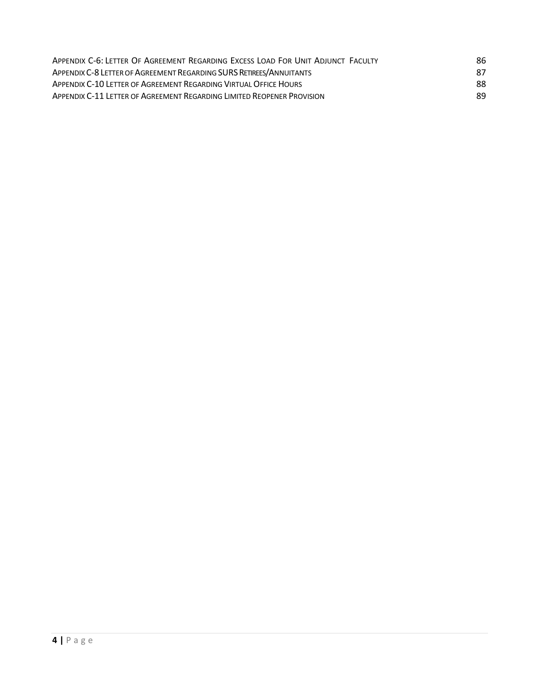| APPENDIX C-6: LETTER OF AGREEMENT REGARDING EXCESS LOAD FOR UNIT ADJUNCT FACULTY | 86 |
|----------------------------------------------------------------------------------|----|
| APPENDIX C-8 LETTER OF AGREEMENT REGARDING SURS RETIREES/ANNUITANTS              | 87 |
| APPENDIX C-10 LETTER OF AGREEMENT REGARDING VIRTUAL OFFICE HOURS                 | 88 |
| APPENDIX C-11 LETTER OF AGREEMENT REGARDING LIMITED REOPENER PROVISION           | 89 |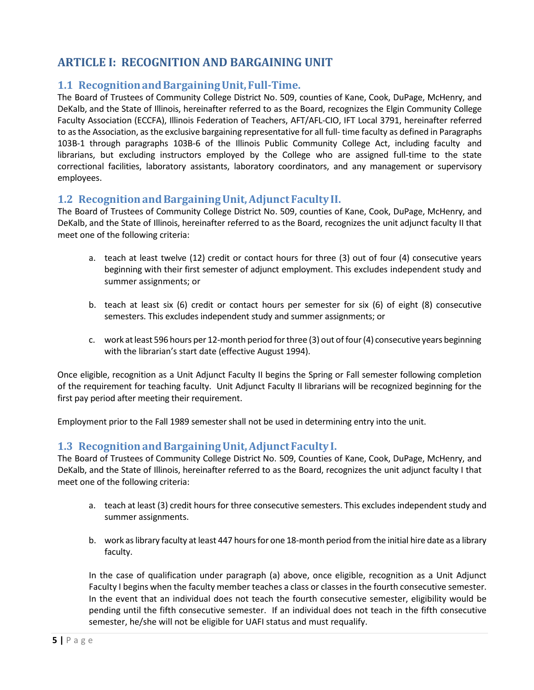# <span id="page-4-0"></span>**ARTICLE I: RECOGNITION AND BARGAINING UNIT**

## <span id="page-4-1"></span>**1.1 Recognitionand Bargaining Unit, Full-Time.**

The Board of Trustees of Community College District No. 509, counties of Kane, Cook, DuPage, McHenry, and DeKalb, and the State of Illinois, hereinafter referred to as the Board, recognizes the Elgin Community College Faculty Association (ECCFA), Illinois Federation of Teachers, AFT/AFL-CIO, IFT Local 3791, hereinafter referred to asthe Association, as the exclusive bargaining representative for all full- time faculty as defined in Paragraphs 103B-1 through paragraphs 103B-6 of the Illinois Public Community College Act, including faculty and librarians, but excluding instructors employed by the College who are assigned full-time to the state correctional facilities, laboratory assistants, laboratory coordinators, and any management or supervisory employees.

#### <span id="page-4-2"></span>**1.2 Recognitionand Bargaining Unit, Adjunct FacultyII.**

The Board of Trustees of Community College District No. 509, counties of Kane, Cook, DuPage, McHenry, and DeKalb, and the State of Illinois, hereinafter referred to as the Board, recognizes the unit adjunct faculty II that meet one of the following criteria:

- a. teach at least twelve (12) credit or contact hours for three (3) out of four (4) consecutive years beginning with their first semester of adjunct employment. This excludes independent study and summer assignments; or
- b. teach at least six (6) credit or contact hours per semester for six (6) of eight (8) consecutive semesters. This excludes independent study and summer assignments; or
- c. work atleast 596 hours per 12-month period forthree (3) out of four(4) consecutive years beginning with the librarian's start date (effective August 1994).

Once eligible, recognition as a Unit Adjunct Faculty II begins the Spring or Fall semester following completion of the requirement for teaching faculty. Unit Adjunct Faculty II librarians will be recognized beginning for the first pay period after meeting their requirement.

Employment prior to the Fall 1989 semestershall not be used in determining entry into the unit.

### <span id="page-4-3"></span>**1.3 Recognitionand Bargaining Unit, AdjunctFaculty I.**

The Board of Trustees of Community College District No. 509, Counties of Kane, Cook, DuPage, McHenry, and DeKalb, and the State of Illinois, hereinafter referred to as the Board, recognizes the unit adjunct faculty I that meet one of the following criteria:

- a. teach at least (3) credit hours for three consecutive semesters. This excludes independent study and summer assignments.
- b. work as library faculty at least 447 hours for one 18-month period from the initial hire date as a library faculty.

In the case of qualification under paragraph (a) above, once eligible, recognition as a Unit Adjunct Faculty I begins when the faculty member teaches a class or classes in the fourth consecutive semester. In the event that an individual does not teach the fourth consecutive semester, eligibility would be pending until the fifth consecutive semester. If an individual does not teach in the fifth consecutive semester, he/she will not be eligible for UAFI status and must requalify.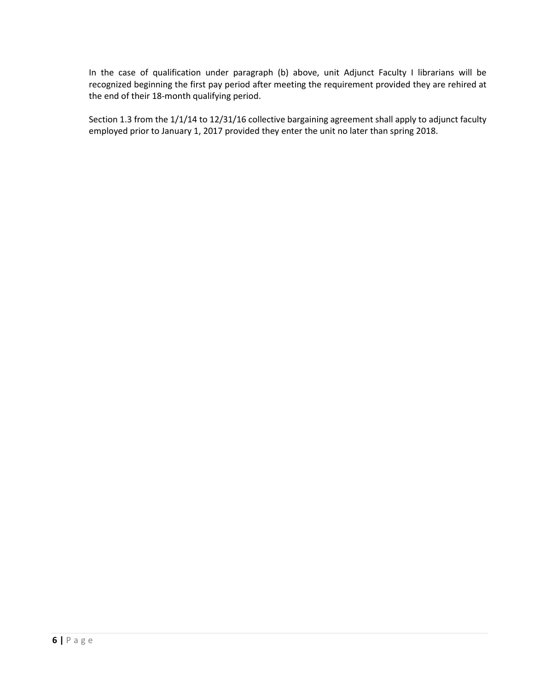In the case of qualification under paragraph (b) above, unit Adjunct Faculty I librarians will be recognized beginning the first pay period after meeting the requirement provided they are rehired at the end of their 18-month qualifying period.

Section 1.3 from the 1/1/14 to 12/31/16 collective bargaining agreement shall apply to adjunct faculty employed prior to January 1, 2017 provided they enter the unit no later than spring 2018.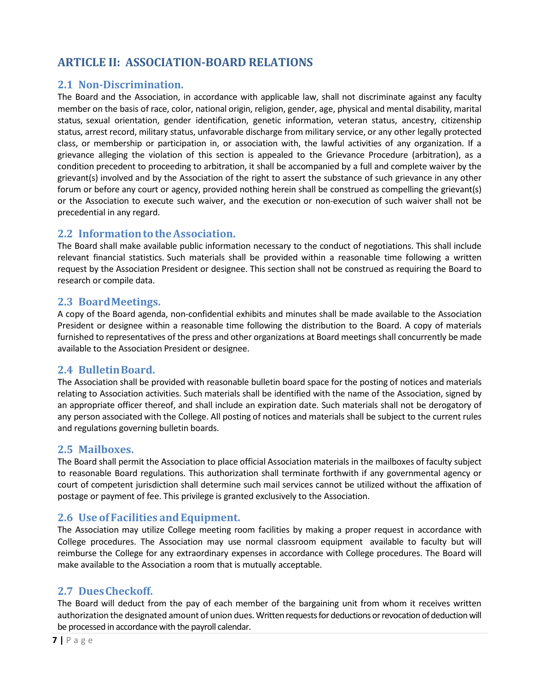# <span id="page-6-0"></span>**ARTICLE II: ASSOCIATION-BOARD RELATIONS**

### <span id="page-6-1"></span>**2.1 Non-Discrimination.**

The Board and the Association, in accordance with applicable law, shall not discriminate against any faculty member on the basis of race, color, national origin, religion, gender, age, physical and mental disability, marital status, sexual orientation, gender identification, genetic information, veteran status, ancestry, citizenship status, arrest record, military status, unfavorable discharge from military service, or any other legally protected class, or membership or participation in, or association with, the lawful activities of any organization. If a grievance alleging the violation of this section is appealed to the Grievance Procedure (arbitration), as a condition precedent to proceeding to arbitration, it shall be accompanied by a full and complete waiver by the grievant(s) involved and by the Association of the right to assert the substance of such grievance in any other forum or before any court or agency, provided nothing herein shall be construed as compelling the grievant(s) or the Association to execute such waiver, and the execution or non-execution of such waiver shall not be precedential in any regard.

## <span id="page-6-2"></span>**2.2 Information to the Association.**

The Board shall make available public information necessary to the conduct of negotiations. This shall include relevant financial statistics. Such materials shall be provided within a reasonable time following a written request by the Association President or designee. This section shall not be construed as requiring the Board to research or compile data.

### <span id="page-6-3"></span>**2.3 BoardMeetings.**

A copy of the Board agenda, non-confidential exhibits and minutes shall be made available to the Association President or designee within a reasonable time following the distribution to the Board. A copy of materials furnished to representatives of the press and other organizations at Board meetings shall concurrently be made available to the Association President or designee.

## <span id="page-6-4"></span>**2.4 BulletinBoard.**

The Association shall be provided with reasonable bulletin board space for the posting of notices and materials relating to Association activities. Such materials shall be identified with the name of the Association, signed by an appropriate officer thereof, and shall include an expiration date. Such materials shall not be derogatory of any person associated with the College. All posting of notices and materials shall be subject to the current rules and regulations governing bulletin boards.

### <span id="page-6-5"></span>**2.5 Mailboxes.**

The Board shall permit the Association to place official Association materials in the mailboxes of faculty subject to reasonable Board regulations. This authorization shall terminate forthwith if any governmental agency or court of competent jurisdiction shall determine such mail services cannot be utilized without the affixation of postage or payment of fee. This privilege is granted exclusively to the Association.

### <span id="page-6-6"></span>**2.6 Use of Facilities andEquipment.**

The Association may utilize College meeting room facilities by making a proper request in accordance with College procedures. The Association may use normal classroom equipment available to faculty but will reimburse the College for any extraordinary expenses in accordance with College procedures. The Board will make available to the Association a room that is mutually acceptable.

### <span id="page-6-7"></span>**2.7 DuesCheckoff.**

The Board will deduct from the pay of each member of the bargaining unit from whom it receives written authorization the designated amount of union dues. Written requests for deductions or revocation of deduction will be processed in accordance with the payroll calendar.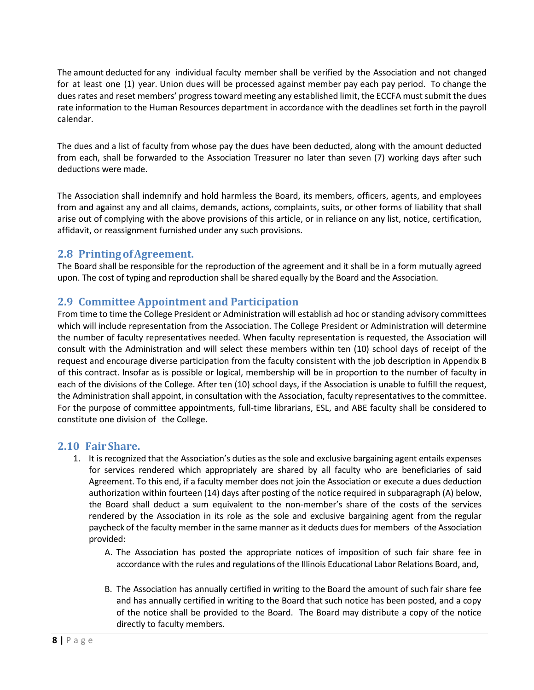The amount deducted for any individual faculty member shall be verified by the Association and not changed for at least one (1) year. Union dues will be processed against member pay each pay period. To change the dues rates and reset members' progress toward meeting any established limit, the ECCFA must submit the dues rate information to the Human Resources department in accordance with the deadlines set forth in the payroll calendar.

The dues and a list of faculty from whose pay the dues have been deducted, along with the amount deducted from each, shall be forwarded to the Association Treasurer no later than seven (7) working days after such deductions were made.

The Association shall indemnify and hold harmless the Board, its members, officers, agents, and employees from and against any and all claims, demands, actions, complaints, suits, or other forms of liability that shall arise out of complying with the above provisions of this article, or in reliance on any list, notice, certification, affidavit, or reassignment furnished under any such provisions.

#### <span id="page-7-0"></span>**2.8 PrintingofAgreement.**

The Board shall be responsible for the reproduction of the agreement and it shall be in a form mutually agreed upon. The cost of typing and reproduction shall be shared equally by the Board and the Association.

## <span id="page-7-1"></span>**2.9 Committee Appointment and Participation**

From time to time the College President or Administration will establish ad hoc or standing advisory committees which will include representation from the Association. The College President or Administration will determine the number of faculty representatives needed. When faculty representation is requested, the Association will consult with the Administration and will select these members within ten (10) school days of receipt of the request and encourage diverse participation from the faculty consistent with the job description in Appendix B of this contract. Insofar as is possible or logical, membership will be in proportion to the number of faculty in each of the divisions of the College. After ten (10) school days, if the Association is unable to fulfill the request, the Administration shall appoint, in consultation with the Association, faculty representatives to the committee. For the purpose of committee appointments, full-time librarians, ESL, and ABE faculty shall be considered to constitute one division of the College.

#### <span id="page-7-2"></span>**2.10 Fair Share.**

- 1. It is recognized that the Association's duties as the sole and exclusive bargaining agent entails expenses for services rendered which appropriately are shared by all faculty who are beneficiaries of said Agreement. To this end, if a faculty member does not join the Association or execute a dues deduction authorization within fourteen (14) days after posting of the notice required in subparagraph (A) below, the Board shall deduct a sum equivalent to the non-member's share of the costs of the services rendered by the Association in its role as the sole and exclusive bargaining agent from the regular paycheck of the faculty member in the same manner as it deducts dues for members of the Association provided:
	- A. The Association has posted the appropriate notices of imposition of such fair share fee in accordance with the rules and regulations of the Illinois Educational Labor Relations Board, and,
	- B. The Association has annually certified in writing to the Board the amount of such fair share fee and has annually certified in writing to the Board that such notice has been posted, and a copy of the notice shall be provided to the Board. The Board may distribute a copy of the notice directly to faculty members.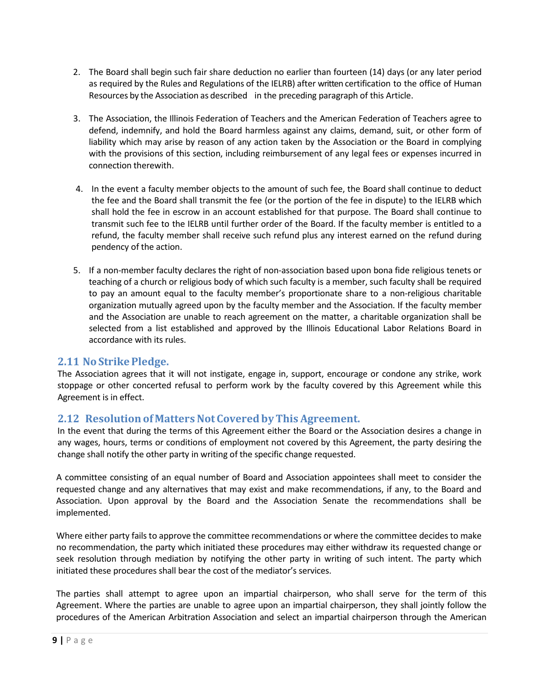|      | ARTICLE I: RECOGNITION AND BARGAINING UNIT           | 5              |
|------|------------------------------------------------------|----------------|
| 1.1  | RECOGNITION AND BARGAINING UNIT, FULL-TIME.          | 5              |
| 1.2  | RECOGNITION AND BARGAINING UNIT, ADJUNCT FACULTY II. | 5              |
| 1.3  | RECOGNITION AND BARGAINING UNIT, ADJUNCT FACULTY I.  | 5              |
|      | ARTICLE II: ASSOCIATION-BOARD RELATIONS              | $\overline{7}$ |
| 2.1  | NON-DISCRIMINATION.                                  | 7              |
| 2.2  | INFORMATION TO THE ASSOCIATION.                      | 7              |
| 2.3  | <b>BOARDMEETINGS.</b>                                | 7              |
| 2.4  | BULLETINBOARD.                                       | $\overline{7}$ |
| 2.5  | MAILBOXES.                                           | 7              |
| 2.6  | USE OF FACILITIES AND EQUIPMENT.                     | 7              |
| 2.7  | DUESCHECKOFF.                                        | $\overline{7}$ |
| 2.8  | PRINTING OF AGREEMENT.                               | 8              |
| 2.9  | <b>COMMITTEE APPOINTMENT AND PARTICIPATION</b>       | 8              |
| 2.10 | FAIR SHARE.                                          | 8              |
| 2.11 | <b>NO STRIKE PLEDGE.</b>                             | 9              |
| 2.12 | RESOLUTION OF MATTERS NOT COVERED BY THIS AGREEMENT. | 9              |
| 2.13 | MANAGEMENT RIGHTS CLAUSE.                            | 10             |
|      | ARTICLE III: GRIEVANCE PROCEDURE                     | 11             |
| 3.1  | DEFINITIONS.                                         | 11             |
| 3.2  | TIME LIMITS.                                         | 11             |
| 3.3  | FILING.                                              | 11             |
| 3.4  | FORMALPROCEDURE.                                     | 11             |
| 3.5  | EXPENSE OF ARBITRATION.                              | 13             |
| 3.6  | EVIDENCE AND HEARINGS.                               | 13             |
|      | ARTICLE IV: CONDITIONS OF EMPLOYMENT                 | 14             |
| 4.1  | ACADEMICFREEDOM.                                     | 14             |
| 4.2  | <b>INSTRUCTOR WORKLOAD.</b>                          | 14             |
| 4.4  | LIBRARIAN WORKLOAD.                                  | 14             |
| 4.5  | OFFICE HOURS.                                        | 14             |
| 4.6  | OTHER PROFESSIONAL DUTIES.                           | 15             |
| 4.7  | <b>OUTSIDE EMPLOYMENT.</b>                           | 15             |
| 4.8  | FULL-TIME FACULTY WORKLOAD.                          | 15             |
| 4.9  | TEAMTEACHING.                                        | 15             |
| 4.10 | <b>BLOCKTEACHING.</b>                                | 16             |
| 4.11 | <b>ONLINE LEARNING.</b>                              | 16             |
| 4.13 | FACULTY PERSONNEL RECORDS.                           | 19             |
| 4.14 | PAYPERIOD.                                           | 19             |
| 4.15 | ACADEMICCALENDAR.                                    | 19             |
| 4.16 | LENGTH OF ACADEMIC YEAR.                             | 19             |
| 4.17 | <b>GRANT RELATED ACTIVITIES.</b>                     | 20             |
| 4.18 | INSTRUCTIONAL AREA MEETINGS.                         | 20             |
| 4.19 | SENIORITY.                                           | 20             |
| 4.20 | RELEASETIME.                                         | 20             |
| 4.21 | TENURE AND EVALUATION.                               | 21             |
| 4.22 | REDUCTION IN FORCE.                                  | 22             |
| 4.23 | CLASS SIZE.                                          | 23             |
| 4.24 | DISCRIMINATION, HARASSMENT AND RETALIATION.          | 23             |
| 4.25 | DISCIPLINE.                                          | 25             |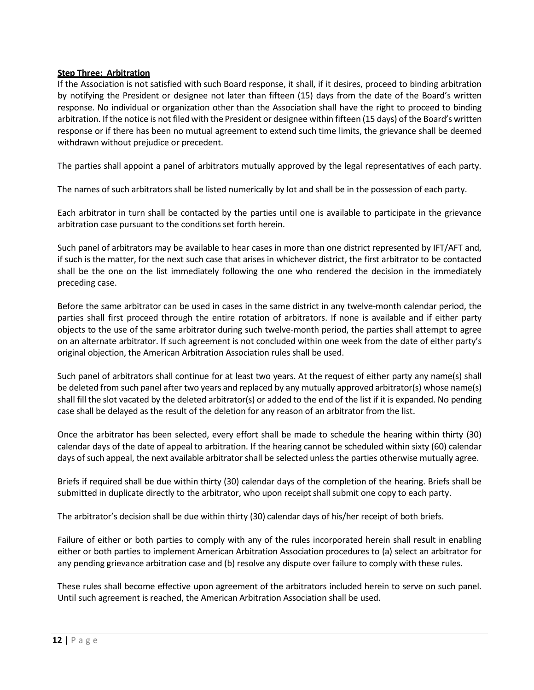#### **Step Three: Arbitration**

If the Association is not satisfied with such Board response, it shall, if it desires, proceed to binding arbitration by notifying the President or designee not later than fifteen (15) days from the date of the Board's written response. No individual or organization other than the Association shall have the right to proceed to binding arbitration. If the notice is not filed with the President or designee within fifteen (15 days) of the Board's written response or if there has been no mutual agreement to extend such time limits, the grievance shall be deemed withdrawn without prejudice or precedent.

The parties shall appoint a panel of arbitrators mutually approved by the legal representatives of each party.

The names of such arbitrators shall be listed numerically by lot and shall be in the possession of each party.

Each arbitrator in turn shall be contacted by the parties until one is available to participate in the grievance arbitration case pursuant to the conditions set forth herein.

Such panel of arbitrators may be available to hear cases in more than one district represented by IFT/AFT and, if such is the matter, for the next such case that arises in whichever district, the first arbitrator to be contacted shall be the one on the list immediately following the one who rendered the decision in the immediately preceding case.

Before the same arbitrator can be used in cases in the same district in any twelve-month calendar period, the parties shall first proceed through the entire rotation of arbitrators. If none is available and if either party objects to the use of the same arbitrator during such twelve-month period, the parties shall attempt to agree on an alternate arbitrator. If such agreement is not concluded within one week from the date of either party's original objection, the American Arbitration Association rules shall be used.

Such panel of arbitrators shall continue for at least two years. At the request of either party any name(s) shall be deleted from such panel after two years and replaced by any mutually approved arbitrator(s) whose name(s) shall fill the slot vacated by the deleted arbitrator(s) or added to the end of the list if it is expanded. No pending case shall be delayed as the result of the deletion for any reason of an arbitrator from the list.

Once the arbitrator has been selected, every effort shall be made to schedule the hearing within thirty (30) calendar days of the date of appeal to arbitration. If the hearing cannot be scheduled within sixty (60) calendar days of such appeal, the next available arbitrator shall be selected unless the parties otherwise mutually agree.

Briefs if required shall be due within thirty (30) calendar days of the completion of the hearing. Briefs shall be submitted in duplicate directly to the arbitrator, who upon receipt shall submit one copy to each party.

The arbitrator's decision shall be due within thirty (30) calendar days of his/her receipt of both briefs.

Failure of either or both parties to comply with any of the rules incorporated herein shall result in enabling either or both parties to implement American Arbitration Association procedures to (a) select an arbitrator for any pending grievance arbitration case and (b) resolve any dispute over failure to comply with these rules.

These rules shall become effective upon agreement of the arbitrators included herein to serve on such panel. Until such agreement is reached, the American Arbitration Association shall be used.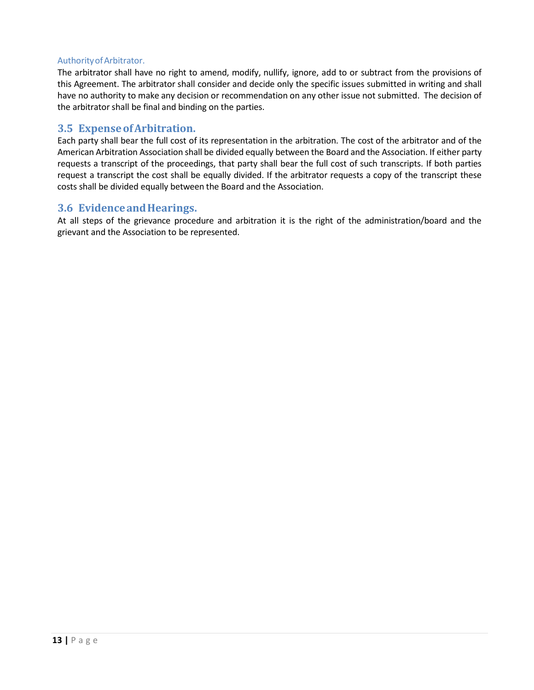#### AuthorityofArbitrator.

The arbitrator shall have no right to amend, modify, nullify, ignore, add to or subtract from the provisions of this Agreement. The arbitrator shall consider and decide only the specific issues submitted in writing and shall have no authority to make any decision or recommendation on any other issue not submitted. The decision of the arbitrator shall be final and binding on the parties.

#### <span id="page-12-0"></span>**3.5 ExpenseofArbitration.**

Each party shall bear the full cost of its representation in the arbitration. The cost of the arbitrator and of the American Arbitration Association shall be divided equally between the Board and the Association. If either party requests a transcript of the proceedings, that party shall bear the full cost of such transcripts. If both parties request a transcript the cost shall be equally divided. If the arbitrator requests a copy of the transcript these costs shall be divided equally between the Board and the Association.

#### <span id="page-12-1"></span>**3.6 EvidenceandHearings.**

At all steps of the grievance procedure and arbitration it is the right of the administration/board and the grievant and the Association to be represented.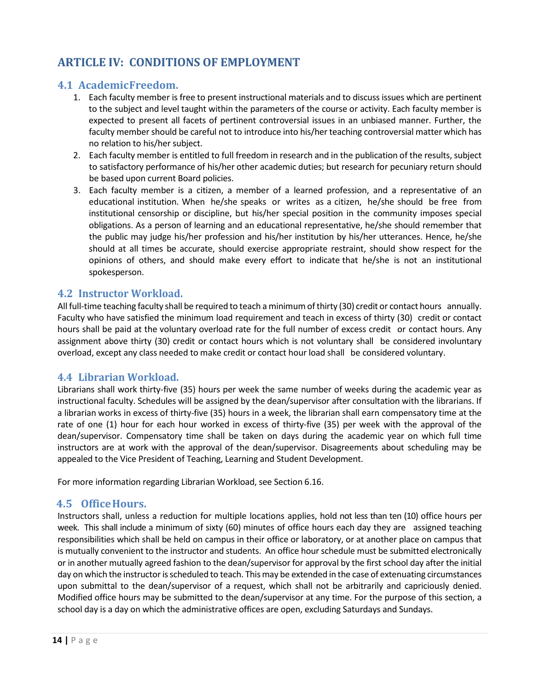# <span id="page-13-0"></span>**ARTICLE IV: CONDITIONS OF EMPLOYMENT**

## <span id="page-13-1"></span>**4.1 AcademicFreedom.**

- 1. Each faculty member is free to present instructional materials and to discuss issues which are pertinent to the subject and level taught within the parameters of the course or activity. Each faculty member is expected to present all facets of pertinent controversial issues in an unbiased manner. Further, the faculty member should be careful not to introduce into his/her teaching controversial matter which has no relation to his/her subject.
- 2. Each faculty member is entitled to full freedom in research and in the publication of the results, subject to satisfactory performance of his/her other academic duties; but research for pecuniary return should be based upon current Board policies.
- 3. Each faculty member is a citizen, a member of a learned profession, and a representative of an educational institution. When he/she speaks or writes as a citizen, he/she should be free from institutional censorship or discipline, but his/her special position in the community imposes special obligations. As a person of learning and an educational representative, he/she should remember that the public may judge his/her profession and his/her institution by his/her utterances. Hence, he/she should at all times be accurate, should exercise appropriate restraint, should show respect for the opinions of others, and should make every effort to indicate that he/she is not an institutional spokesperson.

## <span id="page-13-2"></span>**4.2 Instructor Workload.**

All full-time teaching faculty shall be required to teach a minimumofthirty (30) credit or contact hours annually. Faculty who have satisfied the minimum load requirement and teach in excess of thirty (30) credit or contact hours shall be paid at the voluntary overload rate for the full number of excess credit or contact hours. Any assignment above thirty (30) credit or contact hours which is not voluntary shall be considered involuntary overload, except any class needed to make credit or contact hour load shall be considered voluntary.

### <span id="page-13-3"></span>**4.4 Librarian Workload.**

Librarians shall work thirty-five (35) hours per week the same number of weeks during the academic year as instructional faculty. Schedules will be assigned by the dean/supervisor after consultation with the librarians. If a librarian works in excess of thirty-five (35) hours in a week, the librarian shall earn compensatory time at the rate of one (1) hour for each hour worked in excess of thirty-five (35) per week with the approval of the dean/supervisor. Compensatory time shall be taken on days during the academic year on which full time instructors are at work with the approval of the dean/supervisor. Disagreements about scheduling may be appealed to the Vice President of Teaching, Learning and Student Development.

For more information regarding Librarian Workload, see [Section](http://www.eccfaculty.org/contract/article6.html%23article6.16) 6.16.

### <span id="page-13-4"></span>**4.5 OfficeHours.**

Instructors shall, unless a reduction for multiple locations applies, hold not less than ten (10) office hours per week. This shall include a minimum of sixty (60) minutes of office hours each day they are assigned teaching responsibilities which shall be held on campus in their office or laboratory, or at another place on campus that is mutually convenient to the instructor and students. An office hour schedule must be submitted electronically or in another mutually agreed fashion to the dean/supervisor for approval by the first school day after the initial day on which the instructor is scheduled to teach. This may be extended in the case of extenuating circumstances upon submittal to the dean/supervisor of a request, which shall not be arbitrarily and capriciously denied. Modified office hours may be submitted to the dean/supervisor at any time. For the purpose of this section, a school day is a day on which the administrative offices are open, excluding Saturdays and Sundays.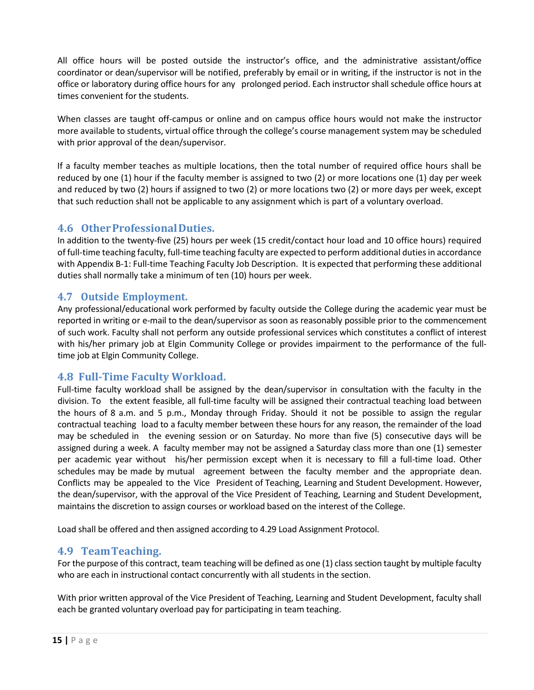All office hours will be posted outside the instructor's office, and the administrative assistant/office coordinator or dean/supervisor will be notified, preferably by email or in writing, if the instructor is not in the office or laboratory during office hours for any prolonged period. Each instructor shall schedule office hours at times convenient for the students.

When classes are taught off-campus or online and on campus office hours would not make the instructor more available to students, virtual office through the college's course management system may be scheduled with prior approval of the dean/supervisor.

If a faculty member teaches as multiple locations, then the total number of required office hours shall be reduced by one (1) hour if the faculty member is assigned to two (2) or more locations one (1) day per week and reduced by two (2) hours if assigned to two (2) or more locations two (2) or more days per week, except that such reduction shall not be applicable to any assignment which is part of a voluntary overload.

## <span id="page-14-0"></span>**4.6 OtherProfessionalDuties.**

In addition to the twenty-five (25) hours per week (15 credit/contact hour load and 10 office hours) required of full-time teaching faculty, full-time teaching faculty are expected to perform additional duties in accordance with Appendix B-1: Full-time Teaching Faculty Job Description. It is expected that performing these additional duties shall normally take a minimum of ten (10) hours per week.

## <span id="page-14-1"></span>**4.7 Outside Employment.**

Any professional/educational work performed by faculty outside the College during the academic year must be reported in writing or e-mail to the dean/supervisor as soon as reasonably possible prior to the commencement of such work. Faculty shall not perform any outside professional services which constitutes a conflict of interest with his/her primary job at Elgin Community College or provides impairment to the performance of the fulltime job at Elgin Community College.

### <span id="page-14-2"></span>**4.8 Full-Time Faculty Workload.**

Full-time faculty workload shall be assigned by the dean/supervisor in consultation with the faculty in the division. To the extent feasible, all full-time faculty will be assigned their contractual teaching load between the hours of 8 a.m. and 5 p.m., Monday through Friday. Should it not be possible to assign the regular contractual teaching load to a faculty member between these hours for any reason, the remainder of the load may be scheduled in the evening session or on Saturday. No more than five (5) consecutive days will be assigned during a week. A faculty member may not be assigned a Saturday class more than one (1) semester per academic year without his/her permission except when it is necessary to fill a full-time load. Other schedules may be made by mutual agreement between the faculty member and the appropriate dean. Conflicts may be appealed to the Vice President of Teaching, Learning and Student Development. However, the dean/supervisor, with the approval of the Vice President of Teaching, Learning and Student Development, maintains the discretion to assign courses or workload based on the interest of the College.

Load shall be offered and then assigned according to 4.29 Load Assignment Protocol.

### <span id="page-14-3"></span>**4.9 Team Teaching.**

For the purpose of this contract, team teaching will be defined as one (1) class section taught by multiple faculty who are each in instructional contact concurrently with all students in the section.

With prior written approval of the Vice President of Teaching, Learning and Student Development, faculty shall each be granted voluntary overload pay for participating in team teaching.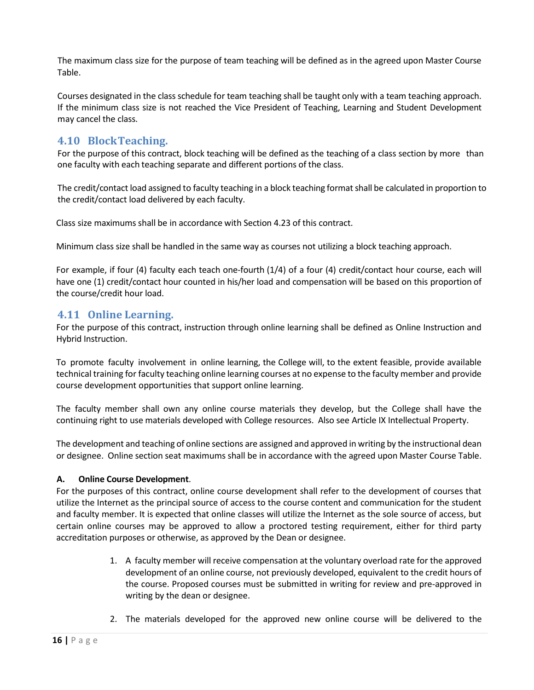The maximum class size for the purpose of team teaching will be defined as in the agreed upon Master Course Table.

Courses designated in the class schedule for team teaching shall be taught only with a team teaching approach. If the minimum class size is not reached the Vice President of Teaching, Learning and Student Development may cancel the class.

## <span id="page-15-0"></span>**4.10 Block Teaching.**

For the purpose of this contract, block teaching will be defined as the teaching of a class section by more than one faculty with each teaching separate and different portions of the class.

The credit/contact load assigned to faculty teaching in a block teaching format shall be calculated in proportion to the credit/contact load delivered by each faculty.

Class size maximums shall be in accordance with Section 4.23 of this contract.

Minimum class size shall be handled in the same way as courses not utilizing a block teaching approach.

For example, if four (4) faculty each teach one-fourth (1/4) of a four (4) credit/contact hour course, each will have one (1) credit/contact hour counted in his/her load and compensation will be based on this proportion of the course/credit hour load.

### <span id="page-15-1"></span>**4.11 Online Learning.**

For the purpose of this contract, instruction through online learning shall be defined as Online Instruction and Hybrid Instruction.

To promote faculty involvement in online learning, the College will, to the extent feasible, provide available technical training for faculty teaching online learning courses at no expense to the faculty member and provide course development opportunities that support online learning.

The faculty member shall own any online course materials they develop, but the College shall have the continuing right to use materials developed with College resources. Also see Article IX Intellectual Property.

The development and teaching of online sections are assigned and approved in writing by the instructional dean or designee. Online section seat maximums shall be in accordance with the agreed upon Master Course Table.

#### **A. Online Course Development**.

For the purposes of this contract, online course development shall refer to the development of courses that utilize the Internet as the principal source of access to the course content and communication for the student and faculty member. It is expected that online classes will utilize the Internet as the sole source of access, but certain online courses may be approved to allow a proctored testing requirement, either for third party accreditation purposes or otherwise, as approved by the Dean or designee.

- 1. A faculty member will receive compensation at the voluntary overload rate for the approved development of an online course, not previously developed, equivalent to the credit hours of the course. Proposed courses must be submitted in writing for review and pre-approved in writing by the dean or designee.
- 2. The materials developed for the approved new online course will be delivered to the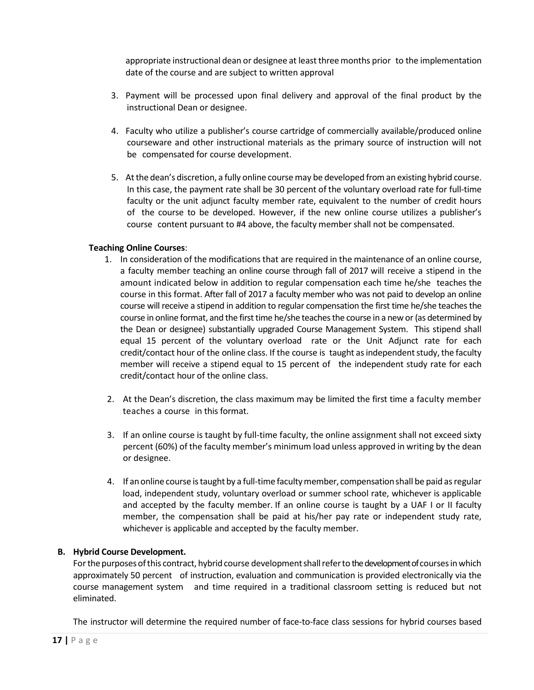appropriate instructional dean or designee at leastthreemonths prior to the implementation date of the course and are subject to written approval

- 3. Payment will be processed upon final delivery and approval of the final product by the instructional Dean or designee.
- 4. Faculty who utilize a publisher's course cartridge of commercially available/produced online courseware and other instructional materials as the primary source of instruction will not be compensated for course development.
- 5. Atthe dean's discretion, a fully online coursemay be developed froman existing hybrid course. In this case, the payment rate shall be 30 percent of the voluntary overload rate for full-time faculty or the unit adjunct faculty member rate, equivalent to the number of credit hours of the course to be developed. However, if the new online course utilizes a publisher's course content pursuant to #4 above, the faculty member shall not be compensated.

#### **Teaching Online Courses**:

- 1. In consideration of the modificationsthat are required in the maintenance of an online course, a faculty member teaching an online course through fall of 2017 will receive a stipend in the amount indicated below in addition to regular compensation each time he/she teaches the course in this format. After fall of 2017 a faculty member who was not paid to develop an online course will receive a stipend in addition to regular compensation the first time he/she teaches the course in online format, and the first time he/she teaches the course in a new or (as determined by the Dean or designee) substantially upgraded Course Management System. This stipend shall equal 15 percent of the voluntary overload rate or the Unit Adjunct rate for each credit/contact hour of the online class. If the course is taught asindependent study, the faculty member will receive a stipend equal to 15 percent of the independent study rate for each credit/contact hour of the online class.
- 2. At the Dean's discretion, the class maximum may be limited the first time a faculty member teaches a course in this format.
- 3. If an online course is taught by full-time faculty, the online assignment shall not exceed sixty percent (60%) of the faculty member's minimum load unless approved in writing by the dean or designee.
- 4. If anonline course istaught by a full-time facultymember, compensationshall be paid asregular load, independent study, voluntary overload or summer school rate, whichever is applicable and accepted by the faculty member. If an online course is taught by a UAF I or II faculty member, the compensation shall be paid at his/her pay rate or independent study rate, whichever is applicable and accepted by the faculty member.

#### **B. Hybrid Course Development.**

For the purposes of this contract, hybrid course development shall refer to the development of courses in which approximately 50 percent of instruction, evaluation and communication is provided electronically via the course management system and time required in a traditional classroom setting is reduced but not eliminated.

The instructor will determine the required number of face-to-face class sessions for hybrid courses based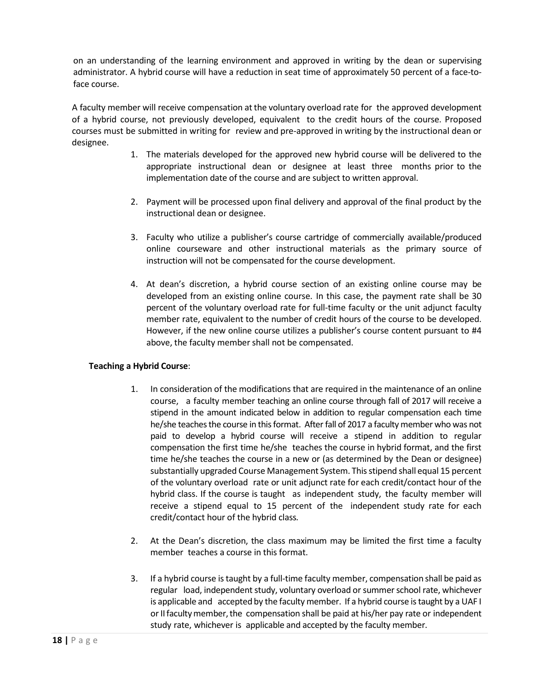on an understanding of the learning environment and approved in writing by the dean or supervising administrator. A hybrid course will have a reduction in seat time of approximately 50 percent of a face-toface course.

A faculty member will receive compensation at the voluntary overload rate for the approved development of a hybrid course, not previously developed, equivalent to the credit hours of the course. Proposed courses must be submitted in writing for review and pre-approved in writing by the instructional dean or designee.

- 1. The materials developed for the approved new hybrid course will be delivered to the appropriate instructional dean or designee at least three months prior to the implementation date of the course and are subject to written approval.
- 2. Payment will be processed upon final delivery and approval of the final product by the instructional dean or designee.
- 3. Faculty who utilize a publisher's course cartridge of commercially available/produced online courseware and other instructional materials as the primary source of instruction will not be compensated for the course development.
- 4. At dean's discretion, a hybrid course section of an existing online course may be developed from an existing online course. In this case, the payment rate shall be 30 percent of the voluntary overload rate for full-time faculty or the unit adjunct faculty member rate, equivalent to the number of credit hours of the course to be developed. However, if the new online course utilizes a publisher's course content pursuant to #4 above, the faculty member shall not be compensated.

#### **Teaching a Hybrid Course**:

- 1. In consideration of the modifications that are required in the maintenance of an online course, a faculty member teaching an online course through fall of 2017 will receive a stipend in the amount indicated below in addition to regular compensation each time he/she teaches the course in this format. After fall of 2017 a faculty member who was not paid to develop a hybrid course will receive a stipend in addition to regular compensation the first time he/she teaches the course in hybrid format, and the first time he/she teaches the course in a new or (as determined by the Dean or designee) substantially upgraded Course Management System. Thisstipend shall equal 15 percent of the voluntary overload rate or unit adjunct rate for each credit/contact hour of the hybrid class. If the course is taught as independent study, the faculty member will receive a stipend equal to 15 percent of the independent study rate for each credit/contact hour of the hybrid class*.*
- 2. At the Dean's discretion, the class maximum may be limited the first time a faculty member teaches a course in this format.
- 3. If a hybrid course istaught by a full-time faculty member, compensation shall be paid as regular load, independent study, voluntary overload or summer school rate, whichever is applicable and accepted by the faculty member. If a hybrid course istaught by a UAF I or II faculty member, the compensation shall be paid at his/her pay rate or independent study rate, whichever is applicable and accepted by the faculty member.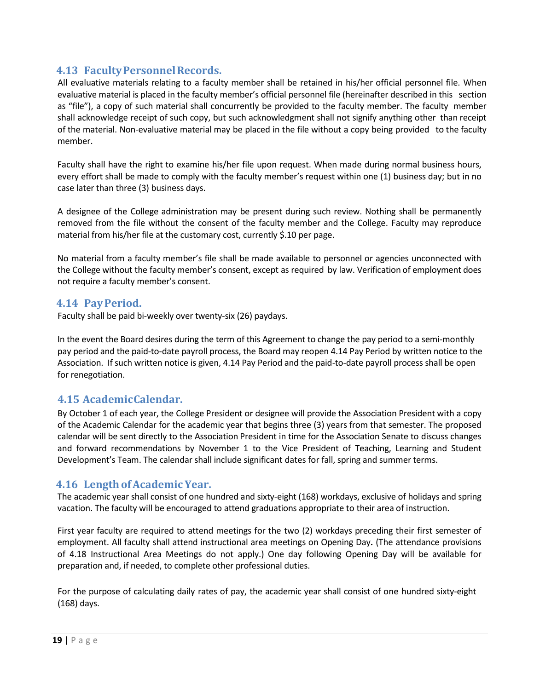## <span id="page-18-0"></span>**4.13 FacultyPersonnelRecords.**

All evaluative materials relating to a faculty member shall be retained in his/her official personnel file. When evaluative material is placed in the faculty member's official personnel file (hereinafter described in this section as "file"), a copy of such material shall concurrently be provided to the faculty member. The faculty member shall acknowledge receipt of such copy, but such acknowledgment shall not signify anything other than receipt of the material. Non-evaluative material may be placed in the file without a copy being provided to the faculty member.

Faculty shall have the right to examine his/her file upon request. When made during normal business hours, every effort shall be made to comply with the faculty member's request within one (1) business day; but in no case later than three (3) business days.

A designee of the College administration may be present during such review. Nothing shall be permanently removed from the file without the consent of the faculty member and the College. Faculty may reproduce material from his/her file at the customary cost, currently \$.10 per page.

No material from a faculty member's file shall be made available to personnel or agencies unconnected with the College without the faculty member's consent, except as required by law. Verification of employment does not require a faculty member's consent.

#### <span id="page-18-1"></span>**4.14 PayPeriod.**

Faculty shall be paid bi-weekly over twenty-six (26) paydays.

In the event the Board desires during the term of this Agreement to change the pay period to a semi-monthly pay period and the paid-to-date payroll process, the Board may reopen 4.14 Pay Period by written notice to the Association. If such written notice is given, 4.14 Pay Period and the paid-to-date payroll process shall be open for renegotiation.

### <span id="page-18-2"></span>**4.15 AcademicCalendar.**

By October 1 of each year, the College President or designee will provide the Association President with a copy of the Academic Calendar for the academic year that begins three (3) years from that semester. The proposed calendar will be sent directly to the Association President in time for the Association Senate to discuss changes and forward recommendations by November 1 to the Vice President of Teaching, Learning and Student Development's Team. The calendar shall include significant dates for fall, spring and summer terms.

### <span id="page-18-3"></span>**4.16 Length ofAcademic Year.**

The academic year shall consist of one hundred and sixty-eight (168) workdays, exclusive of holidays and spring vacation. The faculty will be encouraged to attend graduations appropriate to their area of instruction.

First year faculty are required to attend meetings for the two (2) workdays preceding their first semester of employment. All faculty shall attend instructional area meetings on Opening Day**.** (The attendance provisions of 4.18 Instructional Area Meetings do not apply.) One day following Opening Day will be available for preparation and, if needed, to complete other professional duties.

For the purpose of calculating daily rates of pay, the academic year shall consist of one hundred sixty-eight (168) days.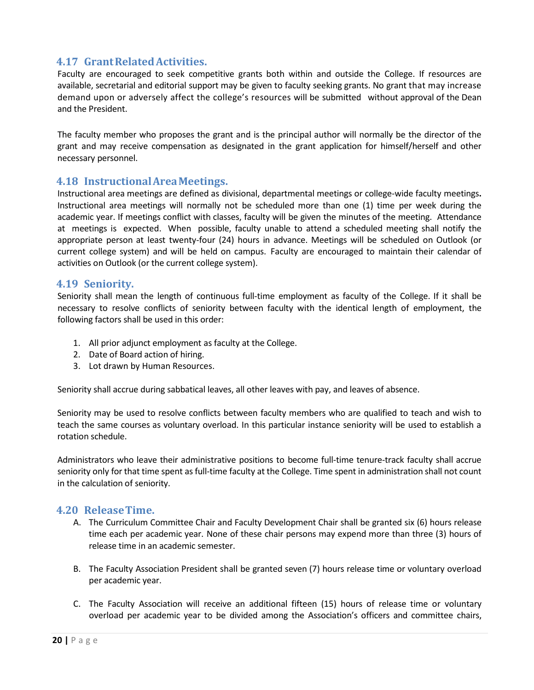## <span id="page-19-0"></span>**4.17 GrantRelatedActivities.**

Faculty are encouraged to seek competitive grants both within and outside the College. If resources are available, secretarial and editorial support may be given to faculty seeking grants. No grant that may increase demand upon or adversely affect the college's resources will be submitted without approval of the Dean and the President.

The faculty member who proposes the grant and is the principal author will normally be the director of the grant and may receive compensation as designated in the grant application for himself/herself and other necessary personnel.

#### <span id="page-19-1"></span>**4.18 InstructionalAreaMeetings.**

Instructional area meetings are defined as divisional, departmental meetings or college-wide faculty meetings**.**  Instructional area meetings will normally not be scheduled more than one (1) time per week during the academic year. If meetings conflict with classes, faculty will be given the minutes of the meeting. Attendance at meetings is expected. When possible, faculty unable to attend a scheduled meeting shall notify the appropriate person at least twenty-four (24) hours in advance. Meetings will be scheduled on Outlook (or current college system) and will be held on campus. Faculty are encouraged to maintain their calendar of activities on Outlook (or the current college system).

#### <span id="page-19-2"></span>**4.19 Seniority.**

Seniority shall mean the length of continuous full-time employment as faculty of the College. If it shall be necessary to resolve conflicts of seniority between faculty with the identical length of employment, the following factors shall be used in this order:

- 1. All prior adjunct employment as faculty at the College.
- 2. Date of Board action of hiring.
- 3. Lot drawn by Human Resources.

Seniority shall accrue during sabbatical leaves, all other leaves with pay, and leaves of absence.

Seniority may be used to resolve conflicts between faculty members who are qualified to teach and wish to teach the same courses as voluntary overload. In this particular instance seniority will be used to establish a rotation schedule.

Administrators who leave their administrative positions to become full-time tenure-track faculty shall accrue seniority only for that time spent as full-time faculty at the College. Time spent in administration shall not count in the calculation of seniority.

#### <span id="page-19-3"></span>**4.20 Release Time.**

- A. The Curriculum Committee Chair and Faculty Development Chair shall be granted six (6) hours release time each per academic year. None of these chair persons may expend more than three (3) hours of release time in an academic semester.
- B. The Faculty Association President shall be granted seven (7) hours release time or voluntary overload per academic year.
- C. The Faculty Association will receive an additional fifteen (15) hours of release time or voluntary overload per academic year to be divided among the Association's officers and committee chairs,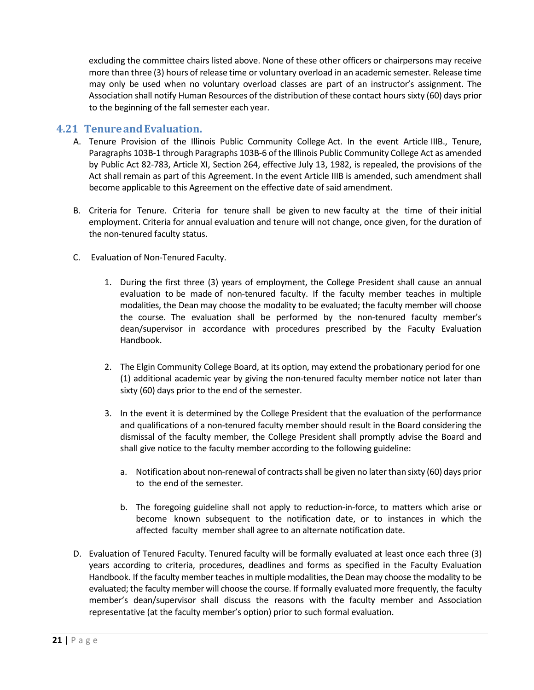excluding the committee chairs listed above. None of these other officers or chairpersons may receive more than three (3) hours of release time or voluntary overload in an academic semester. Release time may only be used when no voluntary overload classes are part of an instructor's assignment. The Association shall notify Human Resources of the distribution of these contact hours sixty (60) days prior to the beginning of the fall semester each year.

#### <span id="page-20-0"></span>**4.21 TenureandEvaluation.**

- A. Tenure Provision of the Illinois Public Community College Act. In the event Article IIIB., Tenure, Paragraphs 103B-1 through Paragraphs 103B-6 of the Illinois Public Community College Act as amended by Public Act 82-783, Article XI, Section 264, effective July 13, 1982, is repealed, the provisions of the Act shall remain as part of this Agreement. In the event Article IIIB is amended, such amendment shall become applicable to this Agreement on the effective date of said amendment.
- B. Criteria for Tenure. Criteria for tenure shall be given to new faculty at the time of their initial employment. Criteria for annual evaluation and tenure will not change, once given, for the duration of the non-tenured faculty status.
- C. Evaluation of Non-Tenured Faculty.
	- 1. During the first three (3) years of employment, the College President shall cause an annual evaluation to be made of non-tenured faculty. If the faculty member teaches in multiple modalities, the Dean may choose the modality to be evaluated; the faculty member will choose the course. The evaluation shall be performed by the non-tenured faculty member's dean/supervisor in accordance with procedures prescribed by the Faculty Evaluation Handbook.
	- 2. The Elgin Community College Board, at its option, may extend the probationary period for one (1) additional academic year by giving the non-tenured faculty member notice not later than sixty (60) days prior to the end of the semester.
	- 3. In the event it is determined by the College President that the evaluation of the performance and qualifications of a non-tenured faculty member should result in the Board considering the dismissal of the faculty member, the College President shall promptly advise the Board and shall give notice to the faculty member according to the following guideline:
		- a. Notification about non-renewal of contracts shall be given no later than sixty (60) days prior to the end of the semester.
		- b. The foregoing guideline shall not apply to reduction-in-force, to matters which arise or become known subsequent to the notification date, or to instances in which the affected faculty member shall agree to an alternate notification date.
- D. Evaluation of Tenured Faculty. Tenured faculty will be formally evaluated at least once each three (3) years according to criteria, procedures, deadlines and forms as specified in the Faculty Evaluation Handbook. If the faculty member teaches in multiple modalities, the Dean may choose the modality to be evaluated; the faculty member will choose the course. If formally evaluated more frequently, the faculty member's dean/supervisor shall discuss the reasons with the faculty member and Association representative (at the faculty member's option) prior to such formal evaluation.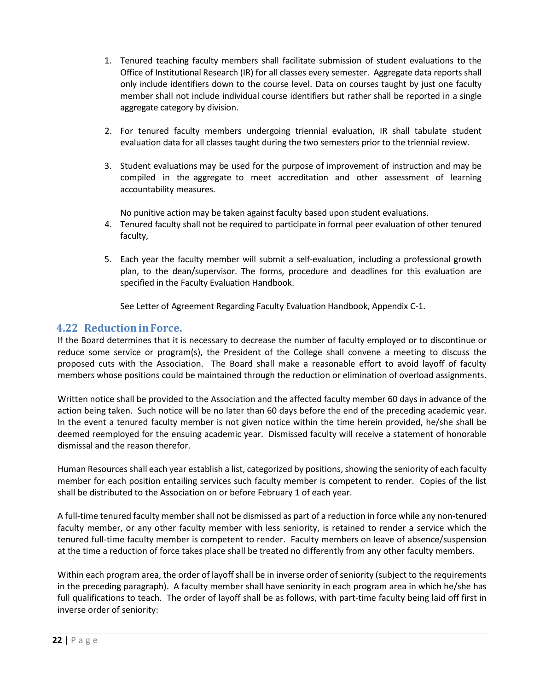- 1. Tenured teaching faculty members shall facilitate submission of student evaluations to the Office of Institutional Research (IR) for all classes every semester. Aggregate data reports shall only include identifiers down to the course level. Data on courses taught by just one faculty member shall not include individual course identifiers but rather shall be reported in a single aggregate category by division.
- 2. For tenured faculty members undergoing triennial evaluation, IR shall tabulate student evaluation data for all classes taught during the two semesters prior to the triennial review.
- 3. Student evaluations may be used for the purpose of improvement of instruction and may be compiled in the aggregate to meet accreditation and other assessment of learning accountability measures.

No punitive action may be taken against faculty based upon student evaluations.

- 4. Tenured faculty shall not be required to participate in formal peer evaluation of other tenured faculty,
- 5. Each year the faculty member will submit a self-evaluation, including a professional growth plan, to the dean/supervisor. The forms, procedure and deadlines for this evaluation are specified in the Faculty Evaluation Handbook.

See Letter of Agreement Regarding Faculty Evaluation Handbook, Appendix C-1.

### <span id="page-21-0"></span>**4.22 ReductioninForce.**

If the Board determines that it is necessary to decrease the number of faculty employed or to discontinue or reduce some service or program(s), the President of the College shall convene a meeting to discuss the proposed cuts with the Association. The Board shall make a reasonable effort to avoid layoff of faculty members whose positions could be maintained through the reduction or elimination of overload assignments.

Written notice shall be provided to the Association and the affected faculty member 60 days in advance of the action being taken. Such notice will be no later than 60 days before the end of the preceding academic year. In the event a tenured faculty member is not given notice within the time herein provided, he/she shall be deemed reemployed for the ensuing academic year. Dismissed faculty will receive a statement of honorable dismissal and the reason therefor.

Human Resources shall each year establish a list, categorized by positions, showing the seniority of each faculty member for each position entailing services such faculty member is competent to render. Copies of the list shall be distributed to the Association on or before February 1 of each year.

A full-time tenured faculty member shall not be dismissed as part of a reduction in force while any non-tenured faculty member, or any other faculty member with less seniority, is retained to render a service which the tenured full-time faculty member is competent to render. Faculty members on leave of absence/suspension at the time a reduction of force takes place shall be treated no differently from any other faculty members.

Within each program area, the order of layoff shall be in inverse order of seniority (subject to the requirements in the preceding paragraph). A faculty member shall have seniority in each program area in which he/she has full qualifications to teach. The order of layoff shall be as follows, with part-time faculty being laid off first in inverse order of seniority: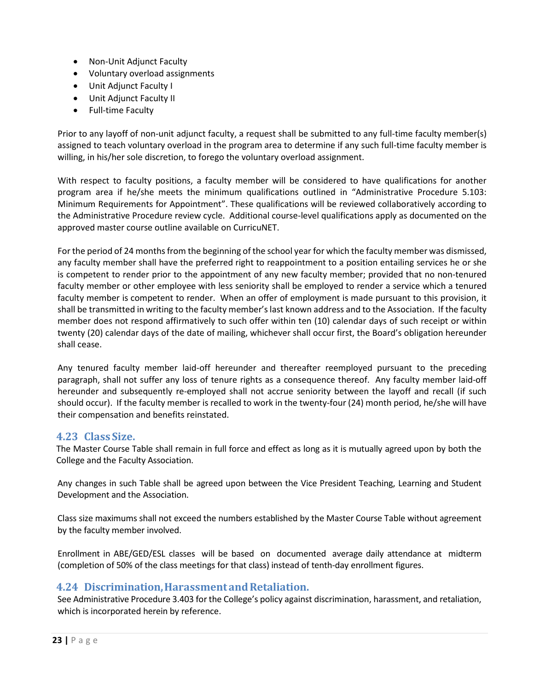- Non-Unit Adjunct Faculty
- Voluntary overload assignments
- Unit Adjunct Faculty I
- Unit Adjunct Faculty II
- Full-time Faculty

Prior to any layoff of non-unit adjunct faculty, a request shall be submitted to any full-time faculty member(s) assigned to teach voluntary overload in the program area to determine if any such full-time faculty member is willing, in his/her sole discretion, to forego the voluntary overload assignment.

With respect to faculty positions, a faculty member will be considered to have qualifications for another program area if he/she meets the minimum qualifications outlined in "Administrative Procedure 5.103: Minimum Requirements for Appointment". These qualifications will be reviewed collaboratively according to the Administrative Procedure review cycle. Additional course-level qualifications apply as documented on the approved master course outline available on CurricuNET.

For the period of 24 months from the beginning of the school year for which the faculty member was dismissed, any faculty member shall have the preferred right to reappointment to a position entailing services he or she is competent to render prior to the appointment of any new faculty member; provided that no non-tenured faculty member or other employee with less seniority shall be employed to render a service which a tenured faculty member is competent to render. When an offer of employment is made pursuant to this provision, it shall be transmitted in writing to the faculty member's last known address and to the Association. If the faculty member does not respond affirmatively to such offer within ten (10) calendar days of such receipt or within twenty (20) calendar days of the date of mailing, whichever shall occur first, the Board's obligation hereunder shall cease.

Any tenured faculty member laid-off hereunder and thereafter reemployed pursuant to the preceding paragraph, shall not suffer any loss of tenure rights as a consequence thereof. Any faculty member laid-off hereunder and subsequently re-employed shall not accrue seniority between the layoff and recall (if such should occur). If the faculty member is recalled to work in the twenty-four (24) month period, he/she will have their compensation and benefits reinstated.

### <span id="page-22-0"></span>**4.23 Class Size.**

The Master Course Table shall remain in full force and effect as long as it is mutually agreed upon by both the College and the Faculty Association.

Any changes in such Table shall be agreed upon between the Vice President Teaching, Learning and Student Development and the Association.

Class size maximums shall not exceed the numbers established by the Master Course Table without agreement by the faculty member involved.

Enrollment in ABE/GED/ESL classes will be based on documented average daily attendance at midterm (completion of 50% of the class meetings for that class) instead of tenth-day enrollment figures.

### <span id="page-22-1"></span>**4.24 Discrimination,HarassmentandRetaliation.**

See Administrative Procedure 3.403 for the College's policy against discrimination, harassment, and retaliation, which is incorporated herein by reference.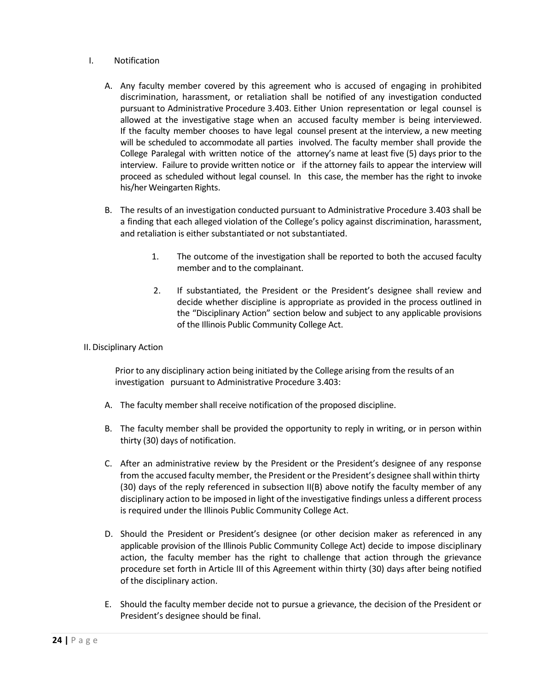#### I. Notification

- A. Any faculty member covered by this agreement who is accused of engaging in prohibited discrimination, harassment, or retaliation shall be notified of any investigation conducted pursuant to Administrative Procedure 3.403. Either Union representation or legal counsel is allowed at the investigative stage when an accused faculty member is being interviewed. If the faculty member chooses to have legal counsel present at the interview, a new meeting will be scheduled to accommodate all parties involved. The faculty member shall provide the College Paralegal with written notice of the attorney's name at least five (5) days prior to the interview. Failure to provide written notice or if the attorney fails to appear the interview will proceed as scheduled without legal counsel. In this case, the member has the right to invoke his/her Weingarten Rights.
- B. The results of an investigation conducted pursuant to Administrative Procedure 3.403 shall be a finding that each alleged violation of the College's policy against discrimination, harassment, and retaliation is either substantiated or not substantiated.
	- 1. The outcome of the investigation shall be reported to both the accused faculty member and to the complainant.
	- 2. If substantiated, the President or the President's designee shall review and decide whether discipline is appropriate as provided in the process outlined in the "Disciplinary Action" section below and subject to any applicable provisions of the Illinois Public Community College Act.

#### II. Disciplinary Action

Prior to any disciplinary action being initiated by the College arising from the results of an investigation pursuant to Administrative Procedure 3.403:

- A. The faculty member shall receive notification of the proposed discipline.
- B. The faculty member shall be provided the opportunity to reply in writing, or in person within thirty (30) days of notification.
- C. After an administrative review by the President or the President's designee of any response from the accused faculty member, the President or the President's designee shall within thirty (30) days of the reply referenced in subsection II(B) above notify the faculty member of any disciplinary action to be imposed in light of the investigative findings unless a different process is required under the Illinois Public Community College Act.
- D. Should the President or President's designee (or other decision maker as referenced in any applicable provision of the Illinois Public Community College Act) decide to impose disciplinary action, the faculty member has the right to challenge that action through the grievance procedure set forth in Article III of this Agreement within thirty (30) days after being notified of the disciplinary action.
- E. Should the faculty member decide not to pursue a grievance, the decision of the President or President's designee should be final.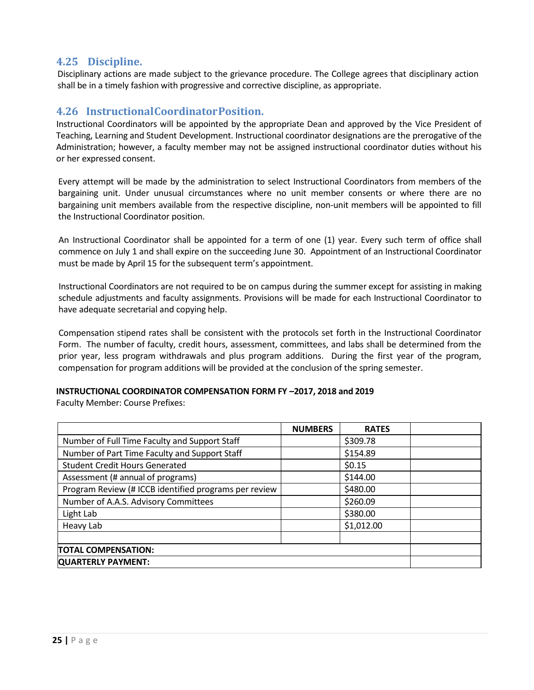## <span id="page-24-0"></span>**4.25 Discipline.**

Disciplinary actions are made subject to the grievance procedure. The College agrees that disciplinary action shall be in a timely fashion with progressive and corrective discipline, as appropriate.

#### <span id="page-24-1"></span>**4.26 InstructionalCoordinatorPosition.**

Instructional Coordinators will be appointed by the appropriate Dean and approved by the Vice President of Teaching, Learning and Student Development. Instructional coordinator designations are the prerogative of the Administration; however, a faculty member may not be assigned instructional coordinator duties without his or her expressed consent.

Every attempt will be made by the administration to select Instructional Coordinators from members of the bargaining unit. Under unusual circumstances where no unit member consents or where there are no bargaining unit members available from the respective discipline, non-unit members will be appointed to fill the Instructional Coordinator position.

An Instructional Coordinator shall be appointed for a term of one (1) year. Every such term of office shall commence on July 1 and shall expire on the succeeding June 30. Appointment of an Instructional Coordinator must be made by April 15 for the subsequent term's appointment.

Instructional Coordinators are not required to be on campus during the summer except for assisting in making schedule adjustments and faculty assignments. Provisions will be made for each Instructional Coordinator to have adequate secretarial and copying help.

Compensation stipend rates shall be consistent with the protocols set forth in the Instructional Coordinator Form. The number of faculty, credit hours, assessment, committees, and labs shall be determined from the prior year, less program withdrawals and plus program additions. During the first year of the program, compensation for program additions will be provided at the conclusion of the spring semester.

#### **INSTRUCTIONAL COORDINATOR COMPENSATION FORM FY –2017, 2018 and 2019**

Faculty Member: Course Prefixes:

|                                                       | <b>NUMBERS</b> | <b>RATES</b> |  |
|-------------------------------------------------------|----------------|--------------|--|
| Number of Full Time Faculty and Support Staff         |                | \$309.78     |  |
| Number of Part Time Faculty and Support Staff         |                | \$154.89     |  |
| <b>Student Credit Hours Generated</b>                 |                | \$0.15       |  |
| Assessment (# annual of programs)                     |                | \$144.00     |  |
| Program Review (# ICCB identified programs per review |                | \$480.00     |  |
| Number of A.A.S. Advisory Committees                  |                | \$260.09     |  |
| Light Lab                                             |                | \$380.00     |  |
| Heavy Lab                                             |                | \$1,012.00   |  |
|                                                       |                |              |  |
| <b>TOTAL COMPENSATION:</b>                            |                |              |  |
| <b>QUARTERLY PAYMENT:</b>                             |                |              |  |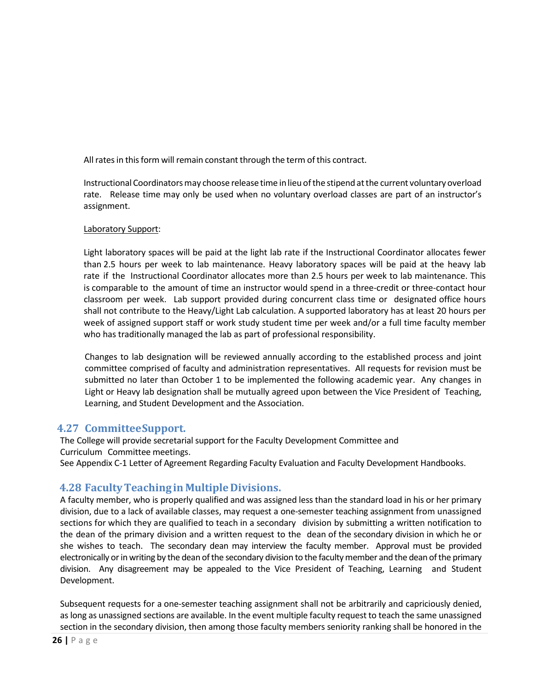All rates in this form will remain constant through the term of this contract.

Instructional Coordinators may choose release time in lieu of the stipend at the current voluntary overload rate. Release time may only be used when no voluntary overload classes are part of an instructor's assignment.

#### Laboratory Support:

Light laboratory spaces will be paid at the light lab rate if the Instructional Coordinator allocates fewer than 2.5 hours per week to lab maintenance. Heavy laboratory spaces will be paid at the heavy lab rate if the Instructional Coordinator allocates more than 2.5 hours per week to lab maintenance. This is comparable to the amount of time an instructor would spend in a three-credit or three-contact hour classroom per week. Lab support provided during concurrent class time or designated office hours shall not contribute to the Heavy/Light Lab calculation. A supported laboratory has at least 20 hours per week of assigned support staff or work study student time per week and/or a full time faculty member who has traditionally managed the lab as part of professional responsibility.

Changes to lab designation will be reviewed annually according to the established process and joint committee comprised of faculty and administration representatives. All requests for revision must be submitted no later than October 1 to be implemented the following academic year. Any changes in Light or Heavy lab designation shall be mutually agreed upon between the Vice President of Teaching, Learning, and Student Development and the Association.

### <span id="page-25-0"></span>**4.27 CommitteeSupport.**

The College will provide secretarial support for the Faculty Development Committee and Curriculum Committee meetings.

See Appendix C-1 Letter of Agreement Regarding Faculty Evaluation and Faculty Development Handbooks.

## <span id="page-25-1"></span>**4.28 Faculty Teaching in Multiple Divisions.**

A faculty member, who is properly qualified and was assigned less than the standard load in his or her primary division, due to a lack of available classes, may request a one-semester teaching assignment from unassigned sections for which they are qualified to teach in a secondary division by submitting a written notification to the dean of the primary division and a written request to the dean of the secondary division in which he or she wishes to teach. The secondary dean may interview the faculty member. Approval must be provided electronically or in writing by the dean of the secondary division to the faculty member and the dean of the primary division. Any disagreement may be appealed to the Vice President of Teaching, Learning and Student Development.

Subsequent requests for a one-semester teaching assignment shall not be arbitrarily and capriciously denied, as long as unassigned sections are available. In the event multiple faculty request to teach the same unassigned section in the secondary division, then among those faculty members seniority ranking shall be honored in the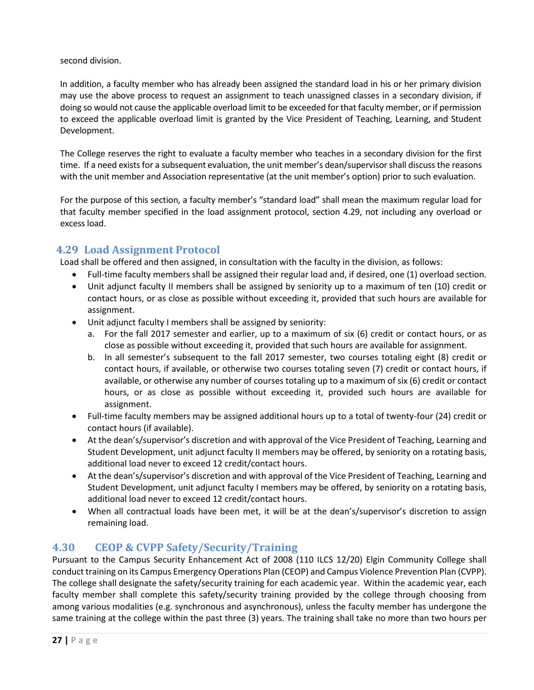second division.

In addition, a faculty member who has already been assigned the standard load in his or her primary division may use the above process to request an assignment to teach unassigned classes in a secondary division, if doing so would not cause the applicable overload limit to be exceeded for that faculty member, or if permission to exceed the applicable overload limit is granted by the Vice President of Teaching, Learning, and Student Development.

The College reserves the right to evaluate a faculty member who teaches in a secondary division for the first time. If a need exists for a subsequent evaluation, the unit member's dean/supervisor shall discuss the reasons with the unit member and Association representative (at the unit member's option) prior to such evaluation.

For the purpose of this section, a faculty member's "standard load" shall mean the maximum regular load for that faculty member specified in the load assignment protocol, section 4.29, not including any overload or excess load.

## <span id="page-26-0"></span>**4.29 Load Assignment Protocol**

Load shall be offered and then assigned, in consultation with the faculty in the division, as follows:

- Full-time faculty members shall be assigned their regular load and, if desired, one (1) overload section.
- Unit adjunct faculty II members shall be assigned by seniority up to a maximum of ten (10) credit or contact hours, or as close as possible without exceeding it, provided that such hours are available for assignment.
- Unit adjunct faculty I members shall be assigned by seniority:
	- a. For the fall 2017 semester and earlier, up to a maximum of six (6) credit or contact hours, or as close as possible without exceeding it, provided that such hours are available for assignment.
	- b. In all semester's subsequent to the fall 2017 semester, two courses totaling eight (8) credit or contact hours, if available, or otherwise two courses totaling seven (7) credit or contact hours, if available, or otherwise any number of courses totaling up to a maximum of six (6) credit or contact hours, or as close as possible without exceeding it, provided such hours are available for assignment.
- Full-time faculty members may be assigned additional hours up to a total of twenty-four (24) credit or contact hours (if available).
- At the dean's/supervisor's discretion and with approval of the Vice President of Teaching, Learning and Student Development, unit adjunct faculty II members may be offered, by seniority on a rotating basis, additional load never to exceed 12 credit/contact hours.
- At the dean's/supervisor's discretion and with approval of the Vice President of Teaching, Learning and Student Development, unit adjunct faculty I members may be offered, by seniority on a rotating basis, additional load never to exceed 12 credit/contact hours.
- When all contractual loads have been met, it will be at the dean's/supervisor's discretion to assign remaining load.

## <span id="page-26-1"></span>**4.30 CEOP & CVPP Safety/Security/Training**

Pursuant to the Campus Security Enhancement Act of 2008 (110 ILCS 12/20) Elgin Community College shall conduct training on its Campus Emergency Operations Plan (CEOP) and Campus Violence Prevention Plan (CVPP). The college shall designate the safety/security training for each academic year. Within the academic year, each faculty member shall complete this safety/security training provided by the college through choosing from among various modalities (e.g. synchronous and asynchronous), unless the faculty member has undergone the same training at the college within the past three (3) years. The training shall take no more than two hours per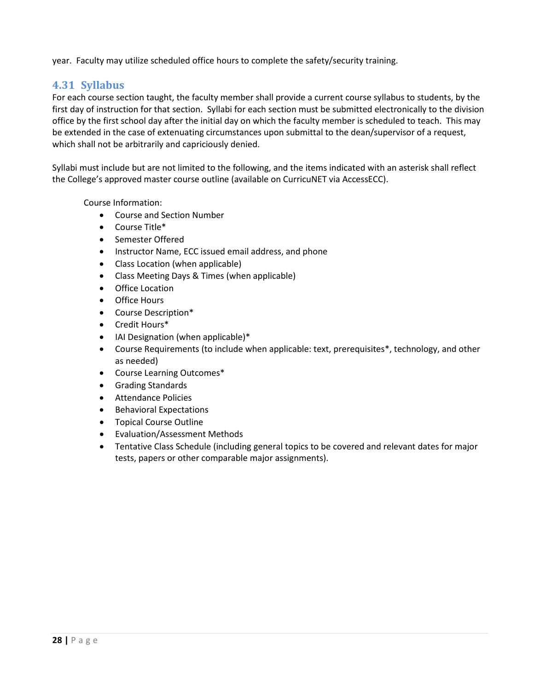year. Faculty may utilize scheduled office hours to complete the safety/security training.

## <span id="page-27-0"></span>**4.31 Syllabus**

For each course section taught, the faculty member shall provide a current course syllabus to students, by the first day of instruction for that section. Syllabi for each section must be submitted electronically to the division office by the first school day after the initial day on which the faculty member is scheduled to teach. This may be extended in the case of extenuating circumstances upon submittal to the dean/supervisor of a request, which shall not be arbitrarily and capriciously denied.

Syllabi must include but are not limited to the following, and the items indicated with an asterisk shall reflect the College's approved master course outline (available on CurricuNET via AccessECC).

Course Information:

- Course and Section Number
- Course Title\*
- Semester Offered
- Instructor Name, ECC issued email address, and phone
- Class Location (when applicable)
- Class Meeting Days & Times (when applicable)
- Office Location
- Office Hours
- Course Description\*
- Credit Hours\*
- IAI Designation (when applicable)\*
- Course Requirements (to include when applicable: text, prerequisites\*, technology, and other as needed)
- Course Learning Outcomes\*
- Grading Standards
- Attendance Policies
- Behavioral Expectations
- Topical Course Outline
- Evaluation/Assessment Methods
- Tentative Class Schedule (including general topics to be covered and relevant dates for major tests, papers or other comparable major assignments).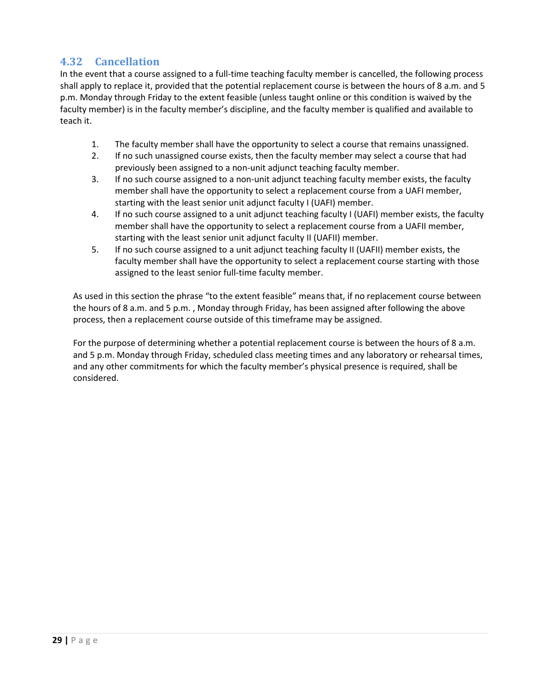## <span id="page-28-0"></span>**4.32 Cancellation**

In the event that a course assigned to a full-time teaching faculty member is cancelled, the following process shall apply to replace it, provided that the potential replacement course is between the hours of 8 a.m. and 5 p.m. Monday through Friday to the extent feasible (unless taught online or this condition is waived by the faculty member) is in the faculty member's discipline, and the faculty member is qualified and available to teach it.

- 1. The faculty member shall have the opportunity to select a course that remains unassigned.
- 2. If no such unassigned course exists, then the faculty member may select a course that had previously been assigned to a non-unit adjunct teaching faculty member.
- 3. If no such course assigned to a non-unit adjunct teaching faculty member exists, the faculty member shall have the opportunity to select a replacement course from a UAFI member, starting with the least senior unit adjunct faculty I (UAFI) member.
- 4. If no such course assigned to a unit adjunct teaching faculty I (UAFI) member exists, the faculty member shall have the opportunity to select a replacement course from a UAFII member, starting with the least senior unit adjunct faculty II (UAFII) member.
- 5. If no such course assigned to a unit adjunct teaching faculty II (UAFII) member exists, the faculty member shall have the opportunity to select a replacement course starting with those assigned to the least senior full-time faculty member.

As used in this section the phrase "to the extent feasible" means that, if no replacement course between the hours of 8 a.m. and 5 p.m. , Monday through Friday, has been assigned after following the above process, then a replacement course outside of this timeframe may be assigned.

For the purpose of determining whether a potential replacement course is between the hours of 8 a.m. and 5 p.m. Monday through Friday, scheduled class meeting times and any laboratory or rehearsal times, and any other commitments for which the faculty member's physical presence is required, shall be considered.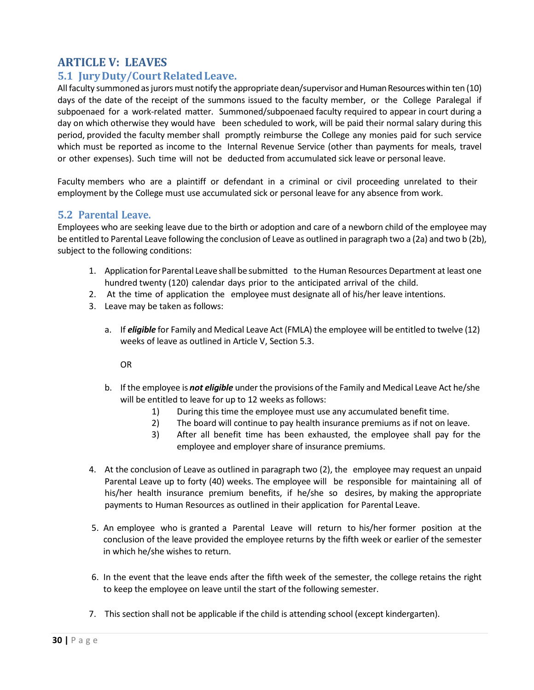## <span id="page-29-0"></span>**ARTICLE V: LEAVES**

## <span id="page-29-1"></span>**5.1 JuryDuty/CourtRelatedLeave.**

All faculty summoned as jurors must notify the appropriate dean/supervisor and Human Resources within ten (10) days of the date of the receipt of the summons issued to the faculty member, or the College Paralegal if subpoenaed for a work-related matter. Summoned/subpoenaed faculty required to appear in court during a day on which otherwise they would have been scheduled to work, will be paid their normal salary during this period, provided the faculty member shall promptly reimburse the College any monies paid for such service which must be reported as income to the Internal Revenue Service (other than payments for meals, travel or other expenses). Such time will not be deducted from accumulated sick leave or personal leave.

Faculty members who are a plaintiff or defendant in a criminal or civil proceeding unrelated to their employment by the College must use accumulated sick or personal leave for any absence from work.

#### <span id="page-29-2"></span>**5.2 Parental Leave.**

Employees who are seeking leave due to the birth or adoption and care of a newborn child of the employee may be entitled to Parental Leave following the conclusion of Leave as outlined in paragraph two a (2a) and two b (2b), subject to the following conditions:

- 1. Application forParental Leave shall be submitted to the Human Resources Department at least one hundred twenty (120) calendar days prior to the anticipated arrival of the child.
- 2. At the time of application the employee must designate all of his/her leave intentions.
- 3. Leave may be taken as follows:
	- a. If *eligible* for Family and Medical Leave Act (FMLA) the employee will be entitled to twelve (12) weeks of leave as outlined in Article V, Section 5.3.

OR

- b. If the employee is *not eligible* underthe provisions ofthe Family and Medical Leave Act he/she will be entitled to leave for up to 12 weeks as follows:
	- 1) During this time the employee must use any accumulated benefit time.
	- 2) The board will continue to pay health insurance premiums as if not on leave.
	- 3) After all benefit time has been exhausted, the employee shall pay for the employee and employer share of insurance premiums.
- 4. At the conclusion of Leave as outlined in paragraph two (2), the employee may request an unpaid Parental Leave up to forty (40) weeks. The employee will be responsible for maintaining all of his/her health insurance premium benefits, if he/she so desires, by making the appropriate payments to Human Resources as outlined in their application for Parental Leave.
- 5. An employee who is granted a Parental Leave will return to his/her former position at the conclusion of the leave provided the employee returns by the fifth week or earlier of the semester in which he/she wishes to return.
- 6. In the event that the leave ends after the fifth week of the semester, the college retains the right to keep the employee on leave until the start of the following semester.
- 7. This section shall not be applicable if the child is attending school (except kindergarten).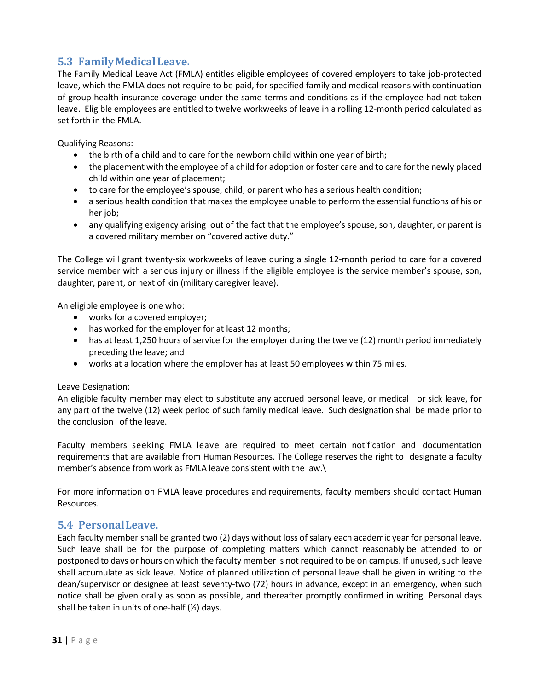## <span id="page-30-0"></span>**5.3 FamilyMedicalLeave.**

The Family Medical Leave Act (FMLA) entitles eligible employees of covered employers to take job-protected leave, which the FMLA does not require to be paid, for specified family and medical reasons with continuation of group health insurance coverage under the same terms and conditions as if the employee had not taken leave. Eligible employees are entitled to twelve workweeks of leave in a rolling 12-month period calculated as set forth in the FMLA.

Qualifying Reasons:

- the birth of a child and to care for the newborn child within one year of birth;
- the placement with the employee of a child for adoption or foster care and to care for the newly placed child within one year of placement;
- to care for the employee's spouse, child, or parent who has a serious health condition;
- a serious health condition that makes the employee unable to perform the essential functions of his or her job:
- any qualifying exigency arising out of the fact that the employee's spouse, son, daughter, or parent is a covered military member on "covered active duty."

The College will grant twenty-six workweeks of leave during a single 12-month period to care for a covered service member with a serious injury or illness if the eligible employee is the service member's spouse, son, daughter, parent, or next of kin (military caregiver leave).

An eligible employee is one who:

- works for a covered employer;
- has worked for the employer for at least 12 months;
- has at least 1,250 hours of service for the employer during the twelve (12) month period immediately preceding the leave; and
- works at a location where the employer has at least 50 employees within 75 miles.

Leave Designation:

An eligible faculty member may elect to substitute any accrued personal leave, or medical or sick leave, for any part of the twelve (12) week period of such family medical leave. Such designation shall be made prior to the conclusion of the leave.

Faculty members seeking FMLA leave are required to meet certain notification and documentation requirements that are available from Human Resources. The College reserves the right to designate a faculty member's absence from work as FMLA leave consistent with the law.\

For more information on FMLA leave procedures and requirements, faculty members should contact Human Resources.

## <span id="page-30-1"></span>**5.4 PersonalLeave.**

Each faculty member shall be granted two (2) days without loss ofsalary each academic year for personal leave. Such leave shall be for the purpose of completing matters which cannot reasonably be attended to or postponed to days or hours on which the faculty member is not required to be on campus. If unused, such leave shall accumulate as sick leave. Notice of planned utilization of personal leave shall be given in writing to the dean/supervisor or designee at least seventy-two (72) hours in advance, except in an emergency, when such notice shall be given orally as soon as possible, and thereafter promptly confirmed in writing. Personal days shall be taken in units of one-half (½) days.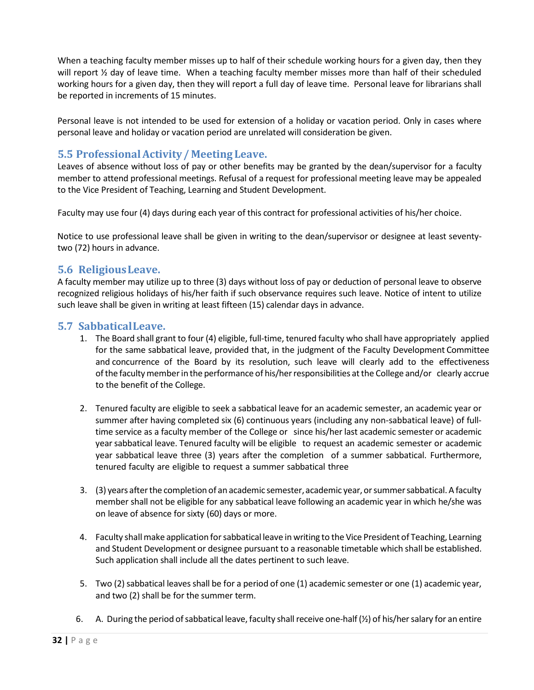When a teaching faculty member misses up to half of their schedule working hours for a given day, then they will report  $\frac{1}{2}$  day of leave time. When a teaching faculty member misses more than half of their scheduled working hours for a given day, then they will report a full day of leave time. Personal leave for librarians shall be reported in increments of 15 minutes.

Personal leave is not intended to be used for extension of a holiday or vacation period. Only in cases where personal leave and holiday or vacation period are unrelated will consideration be given.

## <span id="page-31-0"></span>**5.5 ProfessionalActivity / Meeting Leave.**

Leaves of absence without loss of pay or other benefits may be granted by the dean/supervisor for a faculty member to attend professional meetings. Refusal of a request for professional meeting leave may be appealed to the Vice President of Teaching, Learning and Student Development.

Faculty may use four (4) days during each year of this contract for professional activities of his/her choice.

Notice to use professional leave shall be given in writing to the dean/supervisor or designee at least seventytwo (72) hours in advance.

## <span id="page-31-1"></span>**5.6 ReligiousLeave.**

A faculty member may utilize up to three (3) days without loss of pay or deduction of personal leave to observe recognized religious holidays of his/her faith if such observance requires such leave. Notice of intent to utilize such leave shall be given in writing at least fifteen (15) calendar days in advance.

### <span id="page-31-2"></span>**5.7 SabbaticalLeave.**

- 1. The Board shall grant to four (4) eligible, full-time, tenured faculty who shall have appropriately applied for the same sabbatical leave, provided that, in the judgment of the Faculty Development Committee and concurrence of the Board by its resolution, such leave will clearly add to the effectiveness ofthe facultymemberin the performance of his/herresponsibilities atthe College and/or clearly accrue to the benefit of the College.
- 2. Tenured faculty are eligible to seek a sabbatical leave for an academic semester, an academic year or summer after having completed six (6) continuous years (including any non-sabbatical leave) of fulltime service as a faculty member of the College or since his/her last academic semester or academic yearsabbatical leave. Tenured faculty will be eligible to request an academic semester or academic year sabbatical leave three (3) years after the completion of a summer sabbatical. Furthermore, tenured faculty are eligible to request a summer sabbatical three
- 3. (3) years after the completion of an academic semester, academic year, or summer sabbatical. A faculty member shall not be eligible for any sabbatical leave following an academic year in which he/she was on leave of absence for sixty (60) days or more.
- 4. Faculty shallmake application forsabbatical leave in writing to the Vice President of Teaching, Learning and Student Development or designee pursuant to a reasonable timetable which shall be established. Such application shall include all the dates pertinent to such leave.
- 5. Two (2) sabbatical leaves shall be for a period of one (1) academic semester or one (1) academic year, and two (2) shall be for the summer term.
- 6. A. During the period of sabbatical leave, faculty shall receive one-half  $(\frac{1}{2})$  of his/her salary for an entire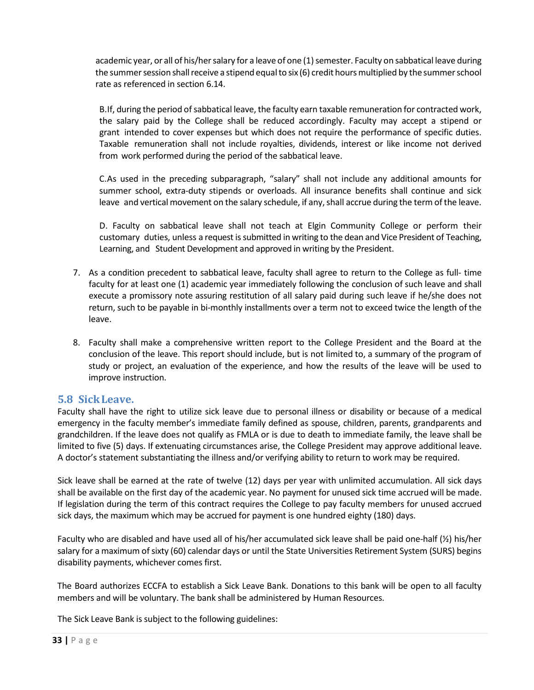academic year, or all of his/her salary for a leave of one (1) semester. Faculty on sabbatical leave during the summer session shall receive a stipend equal to six (6) credit hours multiplied by the summer school rate as referenced in section 6.14.

B.If, during the period of sabbatical leave, the faculty earn taxable remuneration for contracted work, the salary paid by the College shall be reduced accordingly. Faculty may accept a stipend or grant intended to cover expenses but which does not require the performance of specific duties. Taxable remuneration shall not include royalties, dividends, interest or like income not derived from work performed during the period of the sabbatical leave.

C.As used in the preceding subparagraph, "salary" shall not include any additional amounts for summer school, extra-duty stipends or overloads. All insurance benefits shall continue and sick leave and vertical movement on the salary schedule, if any,shall accrue during the term ofthe leave.

D. Faculty on sabbatical leave shall not teach at Elgin Community College or perform their customary duties, unless a request is submitted in writing to the dean and Vice President of Teaching, Learning, and Student Development and approved in writing by the President.

- 7. As a condition precedent to sabbatical leave, faculty shall agree to return to the College as full- time faculty for at least one (1) academic year immediately following the conclusion of such leave and shall execute a promissory note assuring restitution of all salary paid during such leave if he/she does not return, such to be payable in bi-monthly installments over a term not to exceed twice the length of the leave.
- 8. Faculty shall make a comprehensive written report to the College President and the Board at the conclusion of the leave. This report should include, but is not limited to, a summary of the program of study or project, an evaluation of the experience, and how the results of the leave will be used to improve instruction.

### <span id="page-32-0"></span>**5.8 SickLeave.**

Faculty shall have the right to utilize sick leave due to personal illness or disability or because of a medical emergency in the faculty member's immediate family defined as spouse, children, parents, grandparents and grandchildren. If the leave does not qualify as FMLA or is due to death to immediate family, the leave shall be limited to five (5) days. If extenuating circumstances arise, the College President may approve additional leave. A doctor's statement substantiating the illness and/or verifying ability to return to work may be required.

Sick leave shall be earned at the rate of twelve (12) days per year with unlimited accumulation. All sick days shall be available on the first day of the academic year. No payment for unused sick time accrued will be made. If legislation during the term of this contract requires the College to pay faculty members for unused accrued sick days, the maximum which may be accrued for payment is one hundred eighty (180) days.

Faculty who are disabled and have used all of his/her accumulated sick leave shall be paid one-half (½) his/her salary for a maximum of sixty (60) calendar days or until the State Universities Retirement System (SURS) begins disability payments, whichever comes first.

The Board authorizes ECCFA to establish a Sick Leave Bank. Donations to this bank will be open to all faculty members and will be voluntary. The bank shall be administered by Human Resources.

The Sick Leave Bank is subject to the following guidelines: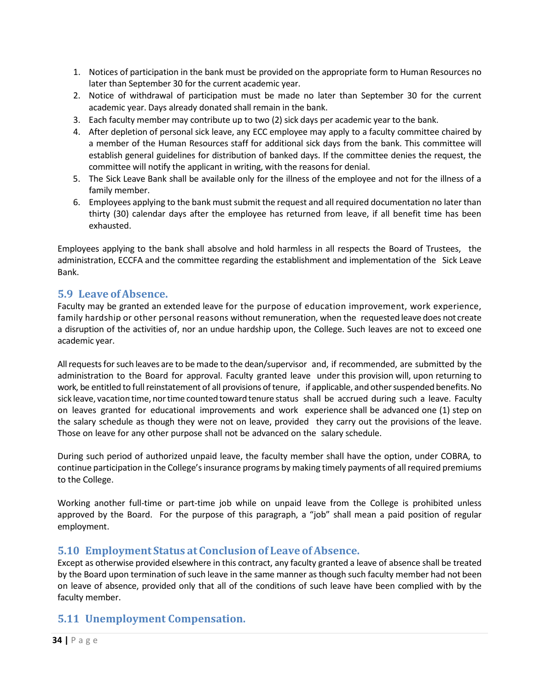- 1. Notices of participation in the bank must be provided on the appropriate form to Human Resources no later than September 30 for the current academic year.
- 2. Notice of withdrawal of participation must be made no later than September 30 for the current academic year. Days already donated shall remain in the bank.
- 3. Each faculty member may contribute up to two (2) sick days per academic year to the bank.
- 4. After depletion of personal sick leave, any ECC employee may apply to a faculty committee chaired by a member of the Human Resources staff for additional sick days from the bank. This committee will establish general guidelines for distribution of banked days. If the committee denies the request, the committee will notify the applicant in writing, with the reasons for denial.
- 5. The Sick Leave Bank shall be available only for the illness of the employee and not for the illness of a family member.
- 6. Employees applying to the bank must submit the request and all required documentation no later than thirty (30) calendar days after the employee has returned from leave, if all benefit time has been exhausted.

Employees applying to the bank shall absolve and hold harmless in all respects the Board of Trustees, the administration, ECCFA and the committee regarding the establishment and implementation of the Sick Leave Bank.

## <span id="page-33-0"></span>**5.9 Leave ofAbsence.**

Faculty may be granted an extended leave for the purpose of education improvement, work experience, family hardship or other personal reasons without remuneration, when the requested leave does not create a disruption of the activities of, nor an undue hardship upon, the College. Such leaves are not to exceed one academic year.

All requests for such leaves are to be made to the dean/supervisor and, if recommended, are submitted by the administration to the Board for approval. Faculty granted leave under this provision will, upon returning to work, be entitled to full reinstatement of all provisions of tenure, if applicable, and other suspended benefits. No sick leave, vacation time, nortime counted toward tenure status shall be accrued during such a leave. Faculty on leaves granted for educational improvements and work experience shall be advanced one (1) step on the salary schedule as though they were not on leave, provided they carry out the provisions of the leave. Those on leave for any other purpose shall not be advanced on the salary schedule.

During such period of authorized unpaid leave, the faculty member shall have the option, under COBRA, to continue participation in the College's insurance programs by making timely payments of all required premiums to the College.

Working another full-time or part-time job while on unpaid leave from the College is prohibited unless approved by the Board. For the purpose of this paragraph, a "job" shall mean a paid position of regular employment.

### <span id="page-33-1"></span>**5.10 Employment Status at Conclusion of Leave of Absence.**

Except as otherwise provided elsewhere in this contract, any faculty granted a leave of absence shall be treated by the Board upon termination of such leave in the same manner as though such faculty member had not been on leave of absence, provided only that all of the conditions of such leave have been complied with by the faculty member.

## <span id="page-33-2"></span>**5.11 Unemployment Compensation.**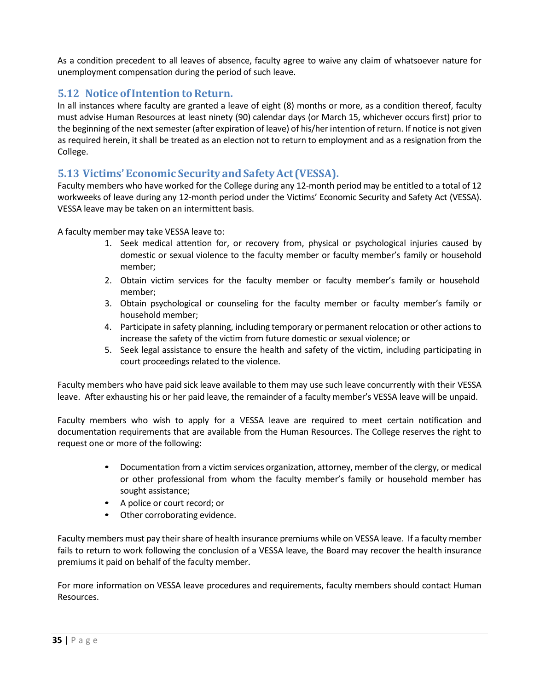As a condition precedent to all leaves of absence, faculty agree to waive any claim of whatsoever nature for unemployment compensation during the period of such leave.

## <span id="page-34-0"></span>**5.12 Notice of Intention to Return.**

In all instances where faculty are granted a leave of eight (8) months or more, as a condition thereof, faculty must advise Human Resources at least ninety (90) calendar days (or March 15, whichever occurs first) prior to the beginning of the next semester (after expiration of leave) of his/her intention of return. If notice is not given as required herein, it shall be treated as an election not to return to employment and as a resignation from the College.

### <span id="page-34-1"></span>**5.13 Victims' Economic Security andSafetyAct (VESSA).**

Faculty members who have worked for the College during any 12-month period may be entitled to a total of 12 workweeks of leave during any 12-month period under the Victims' Economic Security and Safety Act (VESSA). VESSA leave may be taken on an intermittent basis.

A faculty member may take VESSA leave to:

- 1. Seek medical attention for, or recovery from, physical or psychological injuries caused by domestic or sexual violence to the faculty member or faculty member's family or household member;
- 2. Obtain victim services for the faculty member or faculty member's family or household member;
- 3. Obtain psychological or counseling for the faculty member or faculty member's family or household member;
- 4. Participate in safety planning, including temporary or permanent relocation or other actions to increase the safety of the victim from future domestic or sexual violence; or
- 5. Seek legal assistance to ensure the health and safety of the victim, including participating in court proceedings related to the violence.

Faculty members who have paid sick leave available to them may use such leave concurrently with their VESSA leave. After exhausting his or her paid leave, the remainder of a faculty member's VESSA leave will be unpaid.

Faculty members who wish to apply for a VESSA leave are required to meet certain notification and documentation requirements that are available from the Human Resources. The College reserves the right to request one or more of the following:

- Documentation from a victim services organization, attorney, member of the clergy, or medical or other professional from whom the faculty member's family or household member has sought assistance;
- A police or court record; or
- Other corroborating evidence.

Faculty members must pay their share of health insurance premiums while on VESSA leave. If a faculty member fails to return to work following the conclusion of a VESSA leave, the Board may recover the health insurance premiums it paid on behalf of the faculty member.

For more information on VESSA leave procedures and requirements, faculty members should contact Human Resources.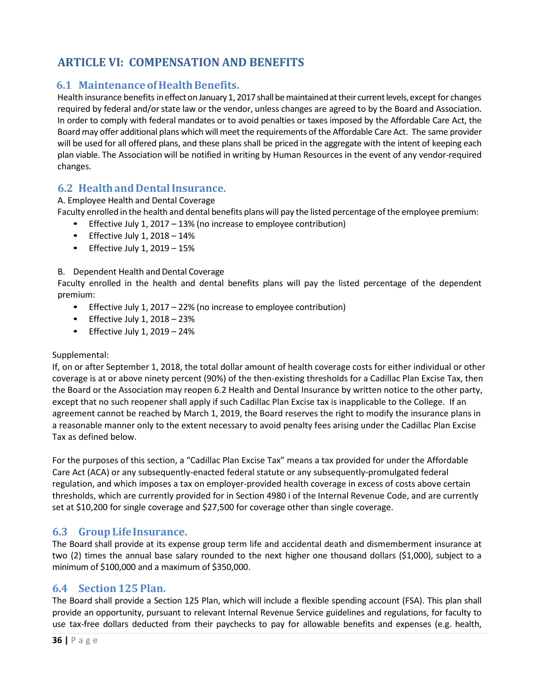# <span id="page-35-0"></span>**ARTICLE VI: COMPENSATION AND BENEFITS**

### <span id="page-35-1"></span>**6.1 MaintenanceofHealthBenefits.**

Health insurance benefits in effect on January 1, 2017 shall be maintained at their current levels, except for changes required by federal and/orstate law or the vendor, unless changes are agreed to by the Board and Association. In order to comply with federal mandates or to avoid penalties or taxes imposed by the Affordable Care Act, the Board may offer additional plans which will meet the requirements of the Affordable Care Act. The same provider will be used for all offered plans, and these plans shall be priced in the aggregate with the intent of keeping each plan viable. The Association will be notified in writing by Human Resources in the event of any vendor-required changes.

## <span id="page-35-2"></span>**6.2 HealthandDentalInsurance.**

A. Employee Health and Dental Coverage

Faculty enrolled in the health and dental benefits planswill pay the listed percentage ofthe employee premium:

- Effective July 1, 2017 13% (no increase to employee contribution)
- Effective July  $1, 2018 14\%$
- Effective July  $1, 2019 15\%$

#### B. Dependent Health and Dental Coverage

Faculty enrolled in the health and dental benefits plans will pay the listed percentage of the dependent premium:

- Effective July 1, 2017 22% (no increase to employee contribution)
- $\bullet$  Effective July 1, 2018 23%
- $\bullet$  Effective July 1, 2019 24%

#### Supplemental:

If, on or after September 1, 2018, the total dollar amount of health coverage costs for either individual or other coverage is at or above ninety percent (90%) of the then-existing thresholds for a Cadillac Plan Excise Tax, then the Board or the Association may reopen 6.2 Health and Dental Insurance by written notice to the other party, except that no such reopener shall apply if such Cadillac Plan Excise tax is inapplicable to the College. If an agreement cannot be reached by March 1, 2019, the Board reserves the right to modify the insurance plans in a reasonable manner only to the extent necessary to avoid penalty fees arising under the Cadillac Plan Excise Tax as defined below.

For the purposes of this section, a "Cadillac Plan Excise Tax" means a tax provided for under the Affordable Care Act (ACA) or any subsequently-enacted federal statute or any subsequently-promulgated federal regulation, and which imposes a tax on employer-provided health coverage in excess of costs above certain thresholds, which are currently provided for in Section 4980 i of the Internal Revenue Code, and are currently set at \$10,200 for single coverage and \$27,500 for coverage other than single coverage.

### <span id="page-35-3"></span>**6.3 GroupLifeInsurance.**

The Board shall provide at its expense group term life and accidental death and dismemberment insurance at two (2) times the annual base salary rounded to the next higher one thousand dollars (\$1,000), subject to a minimum of \$100,000 and a maximum of \$350,000.

#### <span id="page-35-4"></span>**6.4 Section 125 Plan.**

The Board shall provide a Section 125 Plan, which will include a flexible spending account (FSA). This plan shall provide an opportunity, pursuant to relevant Internal Revenue Service guidelines and regulations, for faculty to use tax-free dollars deducted from their paychecks to pay for allowable benefits and expenses (e.g. health,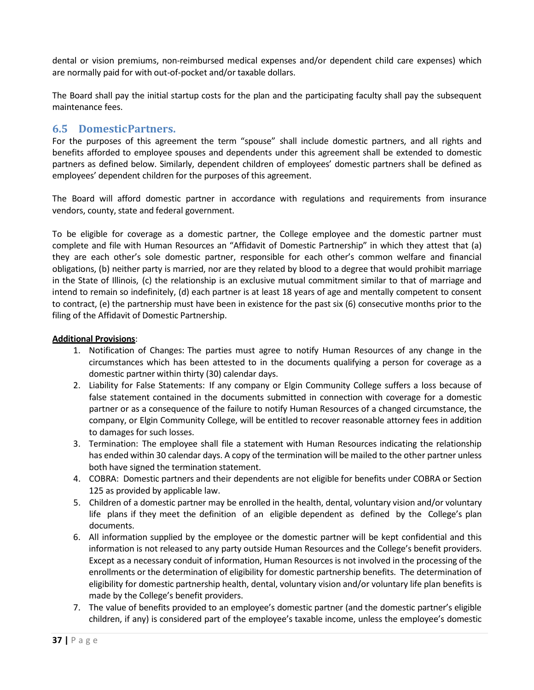dental or vision premiums, non-reimbursed medical expenses and/or dependent child care expenses) which are normally paid for with out-of-pocket and/or taxable dollars.

The Board shall pay the initial startup costs for the plan and the participating faculty shall pay the subsequent maintenance fees.

## **6.5 DomesticPartners.**

For the purposes of this agreement the term "spouse" shall include domestic partners, and all rights and benefits afforded to employee spouses and dependents under this agreement shall be extended to domestic partners as defined below. Similarly, dependent children of employees' domestic partners shall be defined as employees' dependent children for the purposes of this agreement.

The Board will afford domestic partner in accordance with regulations and requirements from insurance vendors, county, state and federal government.

To be eligible for coverage as a domestic partner, the College employee and the domestic partner must complete and file with Human Resources an "Affidavit of Domestic Partnership" in which they attest that (a) they are each other's sole domestic partner, responsible for each other's common welfare and financial obligations, (b) neither party is married, nor are they related by blood to a degree that would prohibit marriage in the State of Illinois, (c) the relationship is an exclusive mutual commitment similar to that of marriage and intend to remain so indefinitely, (d) each partner is at least 18 years of age and mentally competent to consent to contract, (e) the partnership must have been in existence for the past six (6) consecutive months prior to the filing of the Affidavit of Domestic Partnership.

#### **Additional Provisions**:

- 1. Notification of Changes: The parties must agree to notify Human Resources of any change in the circumstances which has been attested to in the documents qualifying a person for coverage as a domestic partner within thirty (30) calendar days.
- 2. Liability for False Statements: If any company or Elgin Community College suffers a loss because of false statement contained in the documents submitted in connection with coverage for a domestic partner or as a consequence of the failure to notify Human Resources of a changed circumstance, the company, or Elgin Community College, will be entitled to recover reasonable attorney fees in addition to damages for such losses.
- 3. Termination: The employee shall file a statement with Human Resources indicating the relationship has ended within 30 calendar days. A copy of the termination will be mailed to the other partner unless both have signed the termination statement.
- 4. COBRA: Domestic partners and their dependents are not eligible for benefits under COBRA or Section 125 as provided by applicable law.
- 5. Children of a domestic partner may be enrolled in the health, dental, voluntary vision and/or voluntary life plans if they meet the definition of an eligible dependent as defined by the College's plan documents.
- 6. All information supplied by the employee or the domestic partner will be kept confidential and this information is not released to any party outside Human Resources and the College's benefit providers. Except as a necessary conduit of information, Human Resources is not involved in the processing of the enrollments or the determination of eligibility for domestic partnership benefits. The determination of eligibility for domestic partnership health, dental, voluntary vision and/or voluntary life plan benefits is made by the College's benefit providers.
- 7. The value of benefits provided to an employee's domestic partner (and the domestic partner's eligible children, if any) is considered part of the employee's taxable income, unless the employee's domestic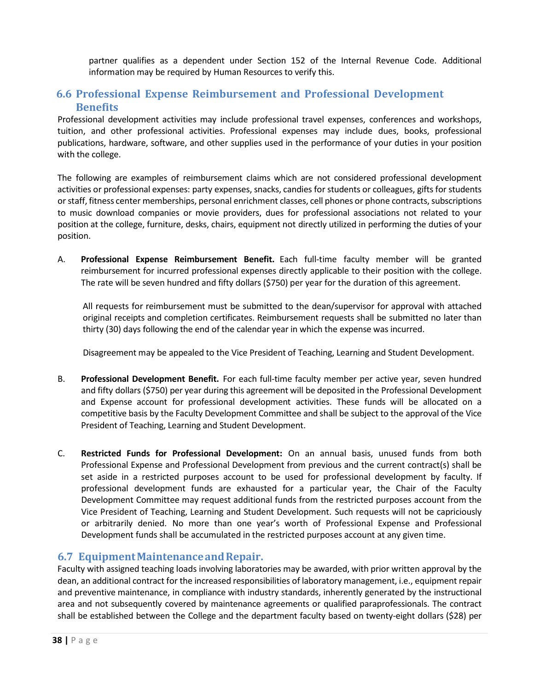partner qualifies as a dependent under Section 152 of the Internal Revenue Code. Additional information may be required by Human Resources to verify this.

## **6.6 Professional Expense Reimbursement and Professional Development Benefits**

Professional development activities may include professional travel expenses, conferences and workshops, tuition, and other professional activities. Professional expenses may include dues, books, professional publications, hardware, software, and other supplies used in the performance of your duties in your position with the college.

The following are examples of reimbursement claims which are not considered professional development activities or professional expenses: party expenses, snacks, candies for students or colleagues, gifts for students or staff, fitness center memberships, personal enrichment classes, cell phones or phone contracts, subscriptions to music download companies or movie providers, dues for professional associations not related to your position at the college, furniture, desks, chairs, equipment not directly utilized in performing the duties of your position.

A. **Professional Expense Reimbursement Benefit.** Each full-time faculty member will be granted reimbursement for incurred professional expenses directly applicable to their position with the college. The rate will be seven hundred and fifty dollars (\$750) per year for the duration of this agreement.

All requests for reimbursement must be submitted to the dean/supervisor for approval with attached original receipts and completion certificates. Reimbursement requests shall be submitted no later than thirty (30) days following the end of the calendar year in which the expense was incurred.

Disagreement may be appealed to the Vice President of Teaching, Learning and Student Development.

- B. **Professional Development Benefit.** For each full-time faculty member per active year, seven hundred and fifty dollars (\$750) per year during this agreement will be deposited in the Professional Development and Expense account for professional development activities. These funds will be allocated on a competitive basis by the Faculty Development Committee and shall be subject to the approval of the Vice President of Teaching, Learning and Student Development.
- C. **Restricted Funds for Professional Development:** On an annual basis, unused funds from both Professional Expense and Professional Development from previous and the current contract(s) shall be set aside in a restricted purposes account to be used for professional development by faculty. If professional development funds are exhausted for a particular year, the Chair of the Faculty Development Committee may request additional funds from the restricted purposes account from the Vice President of Teaching, Learning and Student Development. Such requests will not be capriciously or arbitrarily denied. No more than one year's worth of Professional Expense and Professional Development funds shall be accumulated in the restricted purposes account at any given time.

## **6.7 EquipmentMaintenanceandRepair.**

Faculty with assigned teaching loads involving laboratories may be awarded, with prior written approval by the dean, an additional contract for the increased responsibilities of laboratory management, i.e., equipment repair and preventive maintenance, in compliance with industry standards, inherently generated by the instructional area and not subsequently covered by maintenance agreements or qualified paraprofessionals. The contract shall be established between the College and the department faculty based on twenty-eight dollars (\$28) per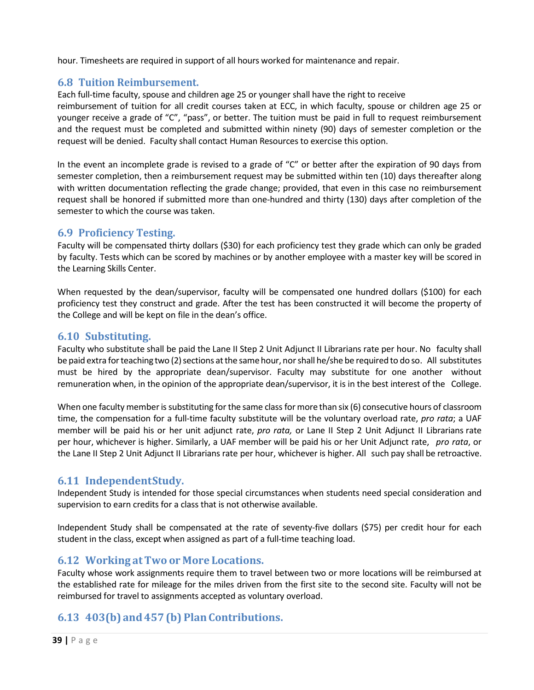hour. Timesheets are required in support of all hours worked for maintenance and repair.

## **6.8 Tuition Reimbursement.**

Each full-time faculty, spouse and children age 25 or younger shall have the right to receive

reimbursement of tuition for all credit courses taken at ECC, in which faculty, spouse or children age 25 or younger receive a grade of "C", "pass", or better. The tuition must be paid in full to request reimbursement and the request must be completed and submitted within ninety (90) days of semester completion or the request will be denied. Faculty shall contact Human Resources to exercise this option.

In the event an incomplete grade is revised to a grade of "C" or better after the expiration of 90 days from semester completion, then a reimbursement request may be submitted within ten (10) days thereafter along with written documentation reflecting the grade change; provided, that even in this case no reimbursement request shall be honored if submitted more than one-hundred and thirty (130) days after completion of the semester to which the course was taken.

## **6.9 Proficiency Testing.**

Faculty will be compensated thirty dollars (\$30) for each proficiency test they grade which can only be graded by faculty. Tests which can be scored by machines or by another employee with a master key will be scored in the Learning Skills Center.

When requested by the dean/supervisor, faculty will be compensated one hundred dollars (\$100) for each proficiency test they construct and grade. After the test has been constructed it will become the property of the College and will be kept on file in the dean's office.

## **6.10 Substituting.**

Faculty who substitute shall be paid the Lane II Step 2 Unit Adjunct II Librarians rate per hour. No faculty shall be paid extra for teaching two (2) sections at the same hour, nor shall he/she be required to do so. All substitutes must be hired by the appropriate dean/supervisor. Faculty may substitute for one another without remuneration when, in the opinion of the appropriate dean/supervisor, it is in the best interest of the College.

When one faculty member is substituting for the same class for more than six (6) consecutive hours of classroom time, the compensation for a full-time faculty substitute will be the voluntary overload rate, *pro rata*; a UAF member will be paid his or her unit adjunct rate, *pro rata,* or Lane II Step 2 Unit Adjunct II Librarians rate per hour, whichever is higher. Similarly, a UAF member will be paid his or her Unit Adjunct rate, *pro rata*, or the Lane II Step 2 Unit Adjunct II Librarians rate per hour, whichever is higher. All such pay shall be retroactive.

## **6.11 IndependentStudy.**

Independent Study is intended for those special circumstances when students need special consideration and supervision to earn credits for a class that is not otherwise available.

Independent Study shall be compensated at the rate of seventy-five dollars (\$75) per credit hour for each student in the class, except when assigned as part of a full-time teaching load.

## **6.12 Working atTwo or More Locations.**

Faculty whose work assignments require them to travel between two or more locations will be reimbursed at the established rate for mileage for the miles driven from the first site to the second site. Faculty will not be reimbursed for travel to assignments accepted as voluntary overload.

## **6.13 403(b) and 457 (b) PlanContributions.**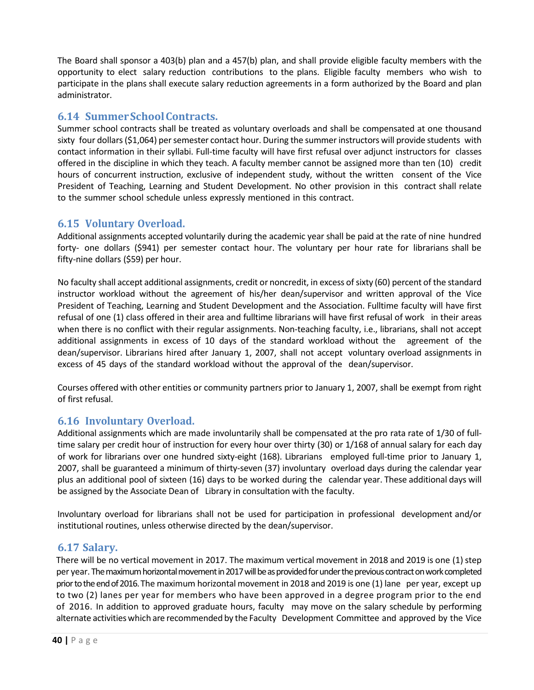The Board shall sponsor a 403(b) plan and a 457(b) plan, and shall provide eligible faculty members with the opportunity to elect salary reduction contributions to the plans. Eligible faculty members who wish to participate in the plans shall execute salary reduction agreements in a form authorized by the Board and plan administrator.

## **6.14 SummerSchoolContracts.**

Summer school contracts shall be treated as voluntary overloads and shall be compensated at one thousand sixty four dollars (\$1,064) per semester contact hour. During the summer instructors will provide students with contact information in their syllabi. Full-time faculty will have first refusal over adjunct instructors for classes offered in the discipline in which they teach. A faculty member cannot be assigned more than ten (10) credit hours of concurrent instruction, exclusive of independent study, without the written consent of the Vice President of Teaching, Learning and Student Development. No other provision in this contract shall relate to the summer school schedule unless expressly mentioned in this contract.

## **6.15 Voluntary Overload.**

Additional assignments accepted voluntarily during the academic year shall be paid at the rate of nine hundred forty- one dollars (\$941) per semester contact hour. The voluntary per hour rate for librarians shall be fifty-nine dollars (\$59) per hour.

No faculty shall accept additional assignments, credit or noncredit, in excess ofsixty (60) percent of the standard instructor workload without the agreement of his/her dean/supervisor and written approval of the Vice President of Teaching, Learning and Student Development and the Association. Fulltime faculty will have first refusal of one (1) class offered in their area and fulltime librarians will have first refusal of work in their areas when there is no conflict with their regular assignments. Non-teaching faculty, i.e., librarians, shall not accept additional assignments in excess of 10 days of the standard workload without the agreement of the dean/supervisor. Librarians hired after January 1, 2007, shall not accept voluntary overload assignments in excess of 45 days of the standard workload without the approval of the dean/supervisor.

Courses offered with other entities or community partners prior to January 1, 2007, shall be exempt from right of first refusal.

## **6.16 Involuntary Overload.**

Additional assignments which are made involuntarily shall be compensated at the pro rata rate of 1/30 of fulltime salary per credit hour of instruction for every hour over thirty (30) or 1/168 of annual salary for each day of work for librarians over one hundred sixty-eight (168). Librarians employed full-time prior to January 1, 2007, shall be guaranteed a minimum of thirty-seven (37) involuntary overload days during the calendar year plus an additional pool of sixteen (16) days to be worked during the calendar year. These additional days will be assigned by the Associate Dean of Library in consultation with the faculty.

Involuntary overload for librarians shall not be used for participation in professional development and/or institutional routines, unless otherwise directed by the dean/supervisor.

## **6.17 Salary.**

There will be no vertical movement in 2017. The maximum vertical movement in 2018 and 2019 is one (1) step per year. The maximum horizontal movement in 2017 will be as provided for under the previous contract on work completed prior to the end of 2016. The maximum horizontal movement in 2018 and 2019 is one (1) lane per year, except up to two (2) lanes per year for members who have been approved in a degree program prior to the end of 2016. In addition to approved graduate hours, faculty may move on the salary schedule by performing alternate activities which are recommended by the Faculty Development Committee and approved by the Vice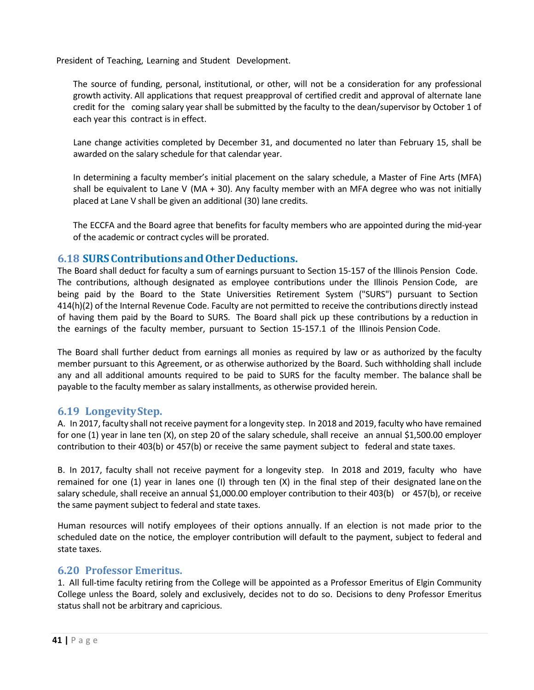President of Teaching, Learning and Student Development.

The source of funding, personal, institutional, or other, will not be a consideration for any professional growth activity. All applications that request preapproval of certified credit and approval of alternate lane credit for the coming salary year shall be submitted by the faculty to the dean/supervisor by October 1 of each year this contract is in effect.

Lane change activities completed by December 31, and documented no later than February 15, shall be awarded on the salary schedule for that calendar year.

In determining a faculty member's initial placement on the salary schedule, a Master of Fine Arts (MFA) shall be equivalent to Lane V (MA  $+$  30). Any faculty member with an MFA degree who was not initially placed at Lane V shall be given an additional (30) lane credits.

The ECCFA and the Board agree that benefits for faculty members who are appointed during the mid-year of the academic or contract cycles will be prorated.

#### **6.18 SURSContributionsandOtherDeductions.**

The Board shall deduct for faculty a sum of earnings pursuant to Section 15-157 of the Illinois Pension Code. The contributions, although designated as employee contributions under the Illinois Pension Code, are being paid by the Board to the State Universities Retirement System ("SURS") pursuant to Section 414(h)(2) of the Internal Revenue Code. Faculty are not permitted to receive the contributions directly instead of having them paid by the Board to SURS. The Board shall pick up these contributions by a reduction in the earnings of the faculty member, pursuant to Section 15-157.1 of the Illinois Pension Code.

The Board shall further deduct from earnings all monies as required by law or as authorized by the faculty member pursuant to this Agreement, or as otherwise authorized by the Board. Such withholding shall include any and all additional amounts required to be paid to SURS for the faculty member. The balance shall be payable to the faculty member as salary installments, as otherwise provided herein.

## **6.19 LongevityStep.**

A. In 2017, faculty shall not receive payment for a longevity step. In 2018 and 2019, faculty who have remained for one (1) year in lane ten (X), on step 20 of the salary schedule, shall receive an annual \$1,500.00 employer contribution to their 403(b) or 457(b) or receive the same payment subject to federal and state taxes.

B. In 2017, faculty shall not receive payment for a longevity step. In 2018 and 2019, faculty who have remained for one (1) year in lanes one (I) through ten (X) in the final step of their designated lane on the salary schedule, shall receive an annual \$1,000.00 employer contribution to their 403(b) or 457(b), or receive the same payment subject to federal and state taxes.

Human resources will notify employees of their options annually. If an election is not made prior to the scheduled date on the notice, the employer contribution will default to the payment, subject to federal and state taxes.

#### **6.20 Professor Emeritus.**

1. All full-time faculty retiring from the College will be appointed as a Professor Emeritus of Elgin Community College unless the Board, solely and exclusively, decides not to do so. Decisions to deny Professor Emeritus status shall not be arbitrary and capricious.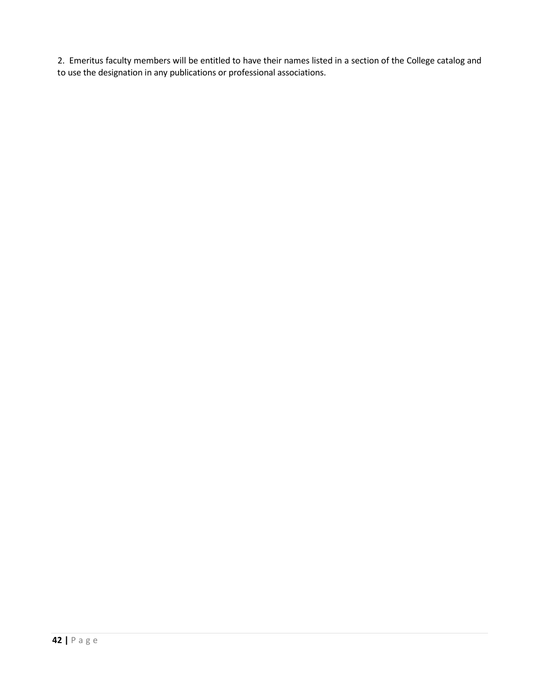2. Emeritus faculty members will be entitled to have their names listed in a section of the College catalog and to use the designation in any publications or professional associations.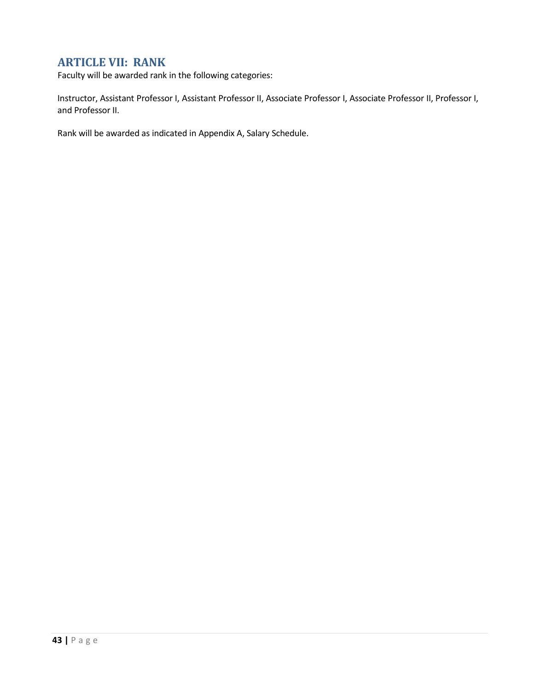## **ARTICLE VII: RANK**

Faculty will be awarded rank in the following categories:

Instructor, Assistant Professor I, Assistant Professor II, Associate Professor I, Associate Professor II, Professor I, and Professor II.

Rank will be awarded as indicated in Appendix A, Salary Schedule.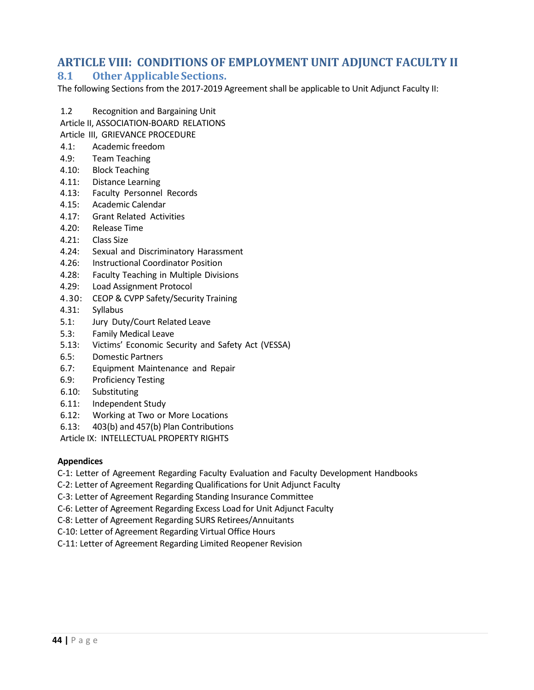## **ARTICLE VIII: CONDITIONS OF EMPLOYMENT UNIT ADJUNCT FACULTY II**

## **8.1 Other Applicable Sections.**

The following Sections from the 2017-2019 Agreement shall be applicable to Unit Adjunct Faculty II:

- 1.2 Recognition and Bargaining Unit
- Article II, ASSOCIATION-BOARD RELATIONS
- Article III, GRIEVANCE PROCEDURE
- 4.1: Academic freedom
- 4.9: Team Teaching
- 4.10: Block Teaching
- 4.11: Distance Learning
- 4.13: Faculty Personnel Records
- 4.15: Academic Calendar
- 4.17: Grant Related Activities
- 4.20: Release Time
- 4.21: Class Size
- 4.24: Sexual and Discriminatory Harassment
- 4.26: Instructional Coordinator Position
- 4.28: Faculty Teaching in Multiple Divisions
- 4.29: Load Assignment Protocol
- 4.30: CEOP & CVPP Safety/Security Training
- 4.31: Syllabus
- 5.1: Jury Duty/Court Related Leave
- 5.3: Family Medical Leave
- 5.13: Victims' Economic Security and Safety Act (VESSA)
- 6.5: Domestic Partners
- 6.7: Equipment Maintenance and Repair
- 6.9: Proficiency Testing
- 6.10: Substituting
- 6.11: Independent Study
- 6.12: Working at Two or More Locations
- 6.13: 403(b) and 457(b) Plan Contributions

Article IX: INTELLECTUAL PROPERTY RIGHTS

#### **Appendices**

C-1: Letter of Agreement Regarding Faculty Evaluation and Faculty Development Handbooks

- C-2: Letter of Agreement Regarding Qualifications for Unit Adjunct Faculty
- C-3: Letter of Agreement Regarding Standing Insurance Committee
- C-6: Letter of Agreement Regarding Excess Load for Unit Adjunct Faculty
- C-8: Letter of Agreement Regarding SURS Retirees/Annuitants
- C-10: Letter of Agreement Regarding Virtual Office Hours
- C-11: Letter of Agreement Regarding Limited Reopener Revision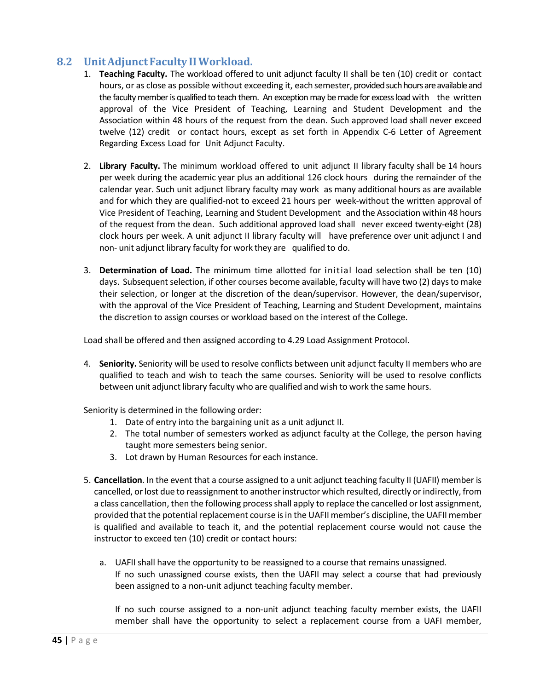## **8.2 Unit AdjunctFaculty IIWorkload.**

- 1. **Teaching Faculty.** The workload offered to unit adjunct faculty II shall be ten (10) credit or contact hours, or as close as possible without exceeding it, each semester, provided such hours are available and the faculty member is qualified to teach them. An exception may be made for excess load with the written approval of the Vice President of Teaching, Learning and Student Development and the Association within 48 hours of the request from the dean. Such approved load shall never exceed twelve (12) credit or contact hours, except as set forth in Appendix C-6 Letter of Agreement Regarding Excess Load for Unit Adjunct Faculty.
- 2. **Library Faculty.** The minimum workload offered to unit adjunct II library faculty shall be 14 hours per week during the academic year plus an additional 126 clock hours during the remainder of the calendar year. Such unit adjunct library faculty may work as many additional hours as are available and for which they are qualified-not to exceed 21 hours per week-without the written approval of Vice President of Teaching, Learning and Student Development and the Association within 48 hours of the request from the dean. Such additional approved load shall never exceed twenty-eight (28) clock hours per week. A unit adjunct II library faculty will have preference over unit adjunct I and non- unit adjunct library faculty for work they are qualified to do.
- 3. **Determination of Load.** The minimum time allotted for initial load selection shall be ten (10) days. Subsequent selection, if other courses become available, faculty will have two (2) days to make their selection, or longer at the discretion of the dean/supervisor. However, the dean/supervisor, with the approval of the Vice President of Teaching, Learning and Student Development, maintains the discretion to assign courses or workload based on the interest of the College.

Load shall be offered and then assigned according to 4.29 Load Assignment Protocol.

4. **Seniority.** Seniority will be used to resolve conflicts between unit adjunct faculty II members who are qualified to teach and wish to teach the same courses. Seniority will be used to resolve conflicts between unit adjunct library faculty who are qualified and wish to work the same hours.

Seniority is determined in the following order:

- 1. Date of entry into the bargaining unit as a unit adjunct II.
- 2. The total number of semesters worked as adjunct faculty at the College, the person having taught more semesters being senior.
- 3. Lot drawn by Human Resources for each instance.
- 5. **Cancellation**. In the event that a course assigned to a unit adjunct teaching faculty II (UAFII) member is cancelled, or lost due to reassignment to another instructor which resulted, directly or indirectly, from a class cancellation, then the following process shall apply to replace the cancelled or lost assignment, provided that the potential replacement course is in the UAFII member's discipline, the UAFII member is qualified and available to teach it, and the potential replacement course would not cause the instructor to exceed ten (10) credit or contact hours:
	- a. UAFII shall have the opportunity to be reassigned to a course that remains unassigned. If no such unassigned course exists, then the UAFII may select a course that had previously been assigned to a non-unit adjunct teaching faculty member.

If no such course assigned to a non-unit adjunct teaching faculty member exists, the UAFII member shall have the opportunity to select a replacement course from a UAFI member,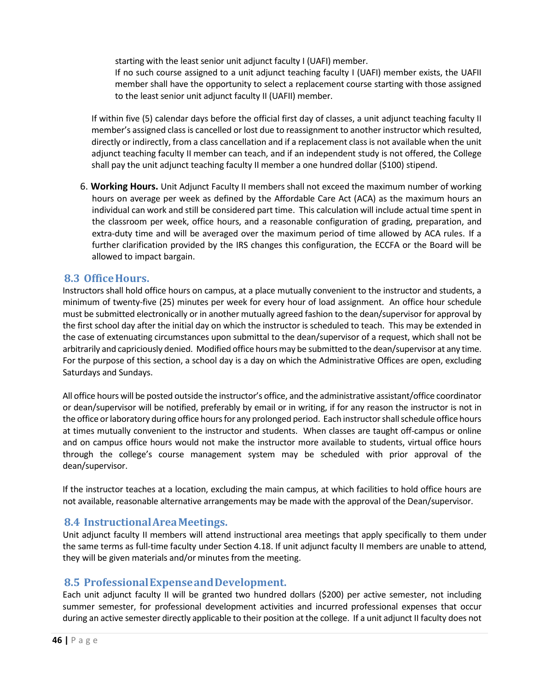starting with the least senior unit adjunct faculty I (UAFI) member.

If no such course assigned to a unit adjunct teaching faculty I (UAFI) member exists, the UAFII member shall have the opportunity to select a replacement course starting with those assigned to the least senior unit adjunct faculty II (UAFII) member.

If within five (5) calendar days before the official first day of classes, a unit adjunct teaching faculty II member's assigned class is cancelled or lost due to reassignment to another instructor which resulted, directly or indirectly, from a class cancellation and if a replacement class is not available when the unit adjunct teaching faculty II member can teach, and if an independent study is not offered, the College shall pay the unit adjunct teaching faculty II member a one hundred dollar (\$100) stipend.

6. **Working Hours.** Unit Adjunct Faculty II members shall not exceed the maximum number of working hours on average per week as defined by the Affordable Care Act (ACA) as the maximum hours an individual can work and still be considered part time. This calculation will include actual time spent in the classroom per week, office hours, and a reasonable configuration of grading, preparation, and extra-duty time and will be averaged over the maximum period of time allowed by ACA rules. If a further clarification provided by the IRS changes this configuration, the ECCFA or the Board will be allowed to impact bargain.

#### **8.3 OfficeHours.**

Instructors shall hold office hours on campus, at a place mutually convenient to the instructor and students, a minimum of twenty-five (25) minutes per week for every hour of load assignment. An office hour schedule must be submitted electronically or in another mutually agreed fashion to the dean/supervisor for approval by the first school day after the initial day on which the instructor is scheduled to teach. This may be extended in the case of extenuating circumstances upon submittal to the dean/supervisor of a request, which shall not be arbitrarily and capriciously denied. Modified office hours may be submitted to the dean/supervisor at any time. For the purpose of this section, a school day is a day on which the Administrative Offices are open, excluding Saturdays and Sundays.

All office hours will be posted outside the instructor's office, and the administrative assistant/office coordinator or dean/supervisor will be notified, preferably by email or in writing, if for any reason the instructor is not in the office or laboratory during office hours for any prolonged period. Each instructor shall schedule office hours at times mutually convenient to the instructor and students. When classes are taught off-campus or online and on campus office hours would not make the instructor more available to students, virtual office hours through the college's course management system may be scheduled with prior approval of the dean/supervisor.

If the instructor teaches at a location, excluding the main campus, at which facilities to hold office hours are not available, reasonable alternative arrangements may be made with the approval of the Dean/supervisor.

## **8.4 InstructionalAreaMeetings.**

Unit adjunct faculty II members will attend instructional area meetings that apply specifically to them under the same terms as full-time faculty under Section 4.18. If unit adjunct faculty II members are unable to attend, they will be given materials and/or minutes from the meeting.

## **8.5 ProfessionalExpenseandDevelopment.**

Each unit adjunct faculty II will be granted two hundred dollars (\$200) per active semester, not including summer semester, for professional development activities and incurred professional expenses that occur during an active semester directly applicable to their position at the college. If a unit adjunct II faculty does not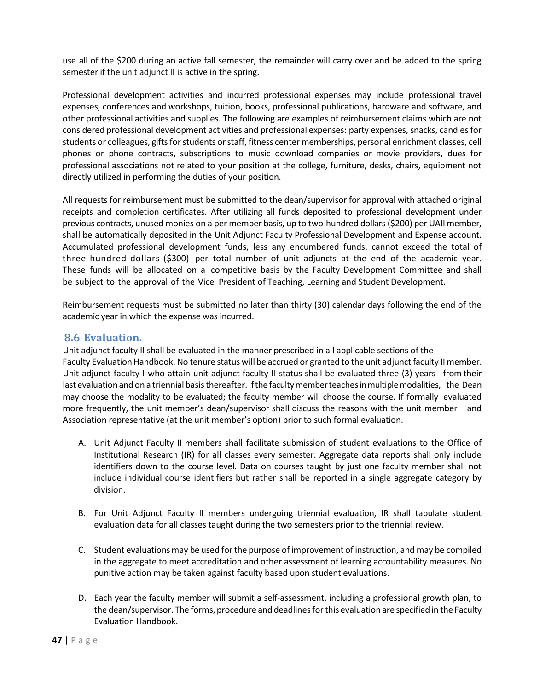use all of the \$200 during an active fall semester, the remainder will carry over and be added to the spring semester if the unit adjunct II is active in the spring.

Professional development activities and incurred professional expenses may include professional travel expenses, conferences and workshops, tuition, books, professional publications, hardware and software, and other professional activities and supplies. The following are examples of reimbursement claims which are not considered professional development activities and professional expenses: party expenses, snacks, candiesfor students or colleagues, gifts for students or staff, fitness center memberships, personal enrichment classes, cell phones or phone contracts, subscriptions to music download companies or movie providers, dues for professional associations not related to your position at the college, furniture, desks, chairs, equipment not directly utilized in performing the duties of your position.

All requests for reimbursement must be submitted to the dean/supervisor for approval with attached original receipts and completion certificates. After utilizing all funds deposited to professional development under previous contracts, unused monies on a per member basis, up to two-hundred dollars(\$200) per UAII member, shall be automatically deposited in the Unit Adjunct Faculty Professional Development and Expense account. Accumulated professional development funds, less any encumbered funds, cannot exceed the total of three-hundred dollars (\$300) per total number of unit adjuncts at the end of the academic year. These funds will be allocated on a competitive basis by the Faculty Development Committee and shall be subject to the approval of the Vice President of Teaching, Learning and Student Development.

Reimbursement requests must be submitted no later than thirty (30) calendar days following the end of the academic year in which the expense was incurred.

## **8.6 Evaluation.**

Unit adjunct faculty II shall be evaluated in the manner prescribed in all applicable sections of the Faculty Evaluation Handbook. No tenure status will be accrued or granted to the unit adjunct faculty II member. Unit adjunct faculty I who attain unit adjunct faculty II status shall be evaluated three (3) years from their last evaluation and on a triennial basis thereafter. If the faculty member teaches in multiple modalities, the Dean may choose the modality to be evaluated; the faculty member will choose the course. If formally evaluated more frequently, the unit member's dean/supervisor shall discuss the reasons with the unit member and Association representative (at the unit member's option) prior to such formal evaluation.

- A. Unit Adjunct Faculty II members shall facilitate submission of student evaluations to the Office of Institutional Research (IR) for all classes every semester. Aggregate data reports shall only include identifiers down to the course level. Data on courses taught by just one faculty member shall not include individual course identifiers but rather shall be reported in a single aggregate category by division.
- B. For Unit Adjunct Faculty II members undergoing triennial evaluation, IR shall tabulate student evaluation data for all classes taught during the two semesters prior to the triennial review.
- C. Student evaluationsmay be used forthe purpose of improvement of instruction, and may be compiled in the aggregate to meet accreditation and other assessment of learning accountability measures. No punitive action may be taken against faculty based upon student evaluations.
- D. Each year the faculty member will submit a self-assessment, including a professional growth plan, to the dean/supervisor. The forms, procedure and deadlines for this evaluation are specified in the Faculty Evaluation Handbook.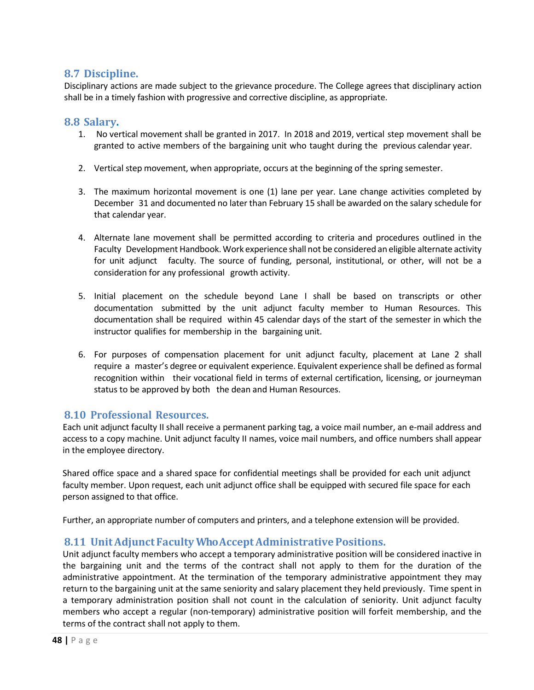## **8.7 Discipline.**

Disciplinary actions are made subject to the grievance procedure. The College agrees that disciplinary action shall be in a timely fashion with progressive and corrective discipline, as appropriate.

#### **8.8 Salary.**

- 1. No vertical movement shall be granted in 2017. In 2018 and 2019, vertical step movement shall be granted to active members of the bargaining unit who taught during the previous calendar year.
- 2. Vertical step movement, when appropriate, occurs at the beginning of the spring semester.
- 3. The maximum horizontal movement is one (1) lane per year. Lane change activities completed by December 31 and documented no later than February 15 shall be awarded on the salary schedule for that calendar year.
- 4. Alternate lane movement shall be permitted according to criteria and procedures outlined in the Faculty Development Handbook.Work experience shall not be considered an eligible alternate activity for unit adjunct faculty. The source of funding, personal, institutional, or other, will not be a consideration for any professional growth activity.
- 5. Initial placement on the schedule beyond Lane I shall be based on transcripts or other documentation submitted by the unit adjunct faculty member to Human Resources. This documentation shall be required within 45 calendar days of the start of the semester in which the instructor qualifies for membership in the bargaining unit.
- 6. For purposes of compensation placement for unit adjunct faculty, placement at Lane 2 shall require a master's degree or equivalent experience. Equivalent experience shall be defined as formal recognition within their vocational field in terms of external certification, licensing, or journeyman status to be approved by both the dean and Human Resources.

## **8.10 Professional Resources.**

Each unit adjunct faculty II shall receive a permanent parking tag, a voice mail number, an e-mail address and access to a copy machine. Unit adjunct faculty II names, voice mail numbers, and office numbers shall appear in the employee directory.

Shared office space and a shared space for confidential meetings shall be provided for each unit adjunct faculty member. Upon request, each unit adjunct office shall be equipped with secured file space for each person assigned to that office.

Further, an appropriate number of computers and printers, and a telephone extension will be provided.

## **8.11 Unit AdjunctFaculty WhoAcceptAdministrativePositions.**

Unit adjunct faculty members who accept a temporary administrative position will be considered inactive in the bargaining unit and the terms of the contract shall not apply to them for the duration of the administrative appointment. At the termination of the temporary administrative appointment they may return to the bargaining unit at the same seniority and salary placement they held previously. Time spent in a temporary administration position shall not count in the calculation of seniority. Unit adjunct faculty members who accept a regular (non-temporary) administrative position will forfeit membership, and the terms of the contract shall not apply to them.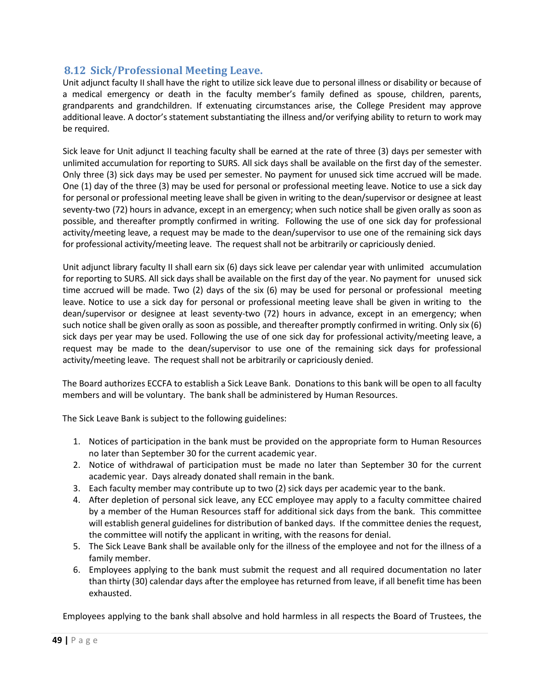## **8.12 Sick/Professional Meeting Leave.**

Unit adjunct faculty II shall have the right to utilize sick leave due to personal illness or disability or because of a medical emergency or death in the faculty member's family defined as spouse, children, parents, grandparents and grandchildren. If extenuating circumstances arise, the College President may approve additional leave. A doctor's statement substantiating the illness and/or verifying ability to return to work may be required.

Sick leave for Unit adjunct II teaching faculty shall be earned at the rate of three (3) days per semester with unlimited accumulation for reporting to SURS. All sick days shall be available on the first day of the semester. Only three (3) sick days may be used per semester. No payment for unused sick time accrued will be made. One (1) day of the three (3) may be used for personal or professional meeting leave. Notice to use a sick day for personal or professional meeting leave shall be given in writing to the dean/supervisor or designee at least seventy-two (72) hours in advance, except in an emergency; when such notice shall be given orally as soon as possible, and thereafter promptly confirmed in writing. Following the use of one sick day for professional activity/meeting leave, a request may be made to the dean/supervisor to use one of the remaining sick days for professional activity/meeting leave. The request shall not be arbitrarily or capriciously denied.

Unit adjunct library faculty II shall earn six (6) days sick leave per calendar year with unlimited accumulation for reporting to SURS. All sick days shall be available on the first day of the year. No payment for unused sick time accrued will be made. Two (2) days of the six (6) may be used for personal or professional meeting leave. Notice to use a sick day for personal or professional meeting leave shall be given in writing to the dean/supervisor or designee at least seventy-two (72) hours in advance, except in an emergency; when such notice shall be given orally as soon as possible, and thereafter promptly confirmed in writing. Only six (6) sick days per year may be used. Following the use of one sick day for professional activity/meeting leave, a request may be made to the dean/supervisor to use one of the remaining sick days for professional activity/meeting leave. The request shall not be arbitrarily or capriciously denied.

The Board authorizes ECCFA to establish a Sick Leave Bank. Donations to this bank will be open to all faculty members and will be voluntary. The bank shall be administered by Human Resources.

The Sick Leave Bank is subject to the following guidelines:

- 1. Notices of participation in the bank must be provided on the appropriate form to Human Resources no later than September 30 for the current academic year.
- 2. Notice of withdrawal of participation must be made no later than September 30 for the current academic year. Days already donated shall remain in the bank.
- 3. Each faculty member may contribute up to two (2) sick days per academic year to the bank.
- 4. After depletion of personal sick leave, any ECC employee may apply to a faculty committee chaired by a member of the Human Resources staff for additional sick days from the bank. This committee will establish general guidelines for distribution of banked days. If the committee denies the request, the committee will notify the applicant in writing, with the reasons for denial.
- 5. The Sick Leave Bank shall be available only for the illness of the employee and not for the illness of a family member.
- 6. Employees applying to the bank must submit the request and all required documentation no later than thirty (30) calendar days after the employee has returned from leave, if all benefit time has been exhausted.

Employees applying to the bank shall absolve and hold harmless in all respects the Board of Trustees, the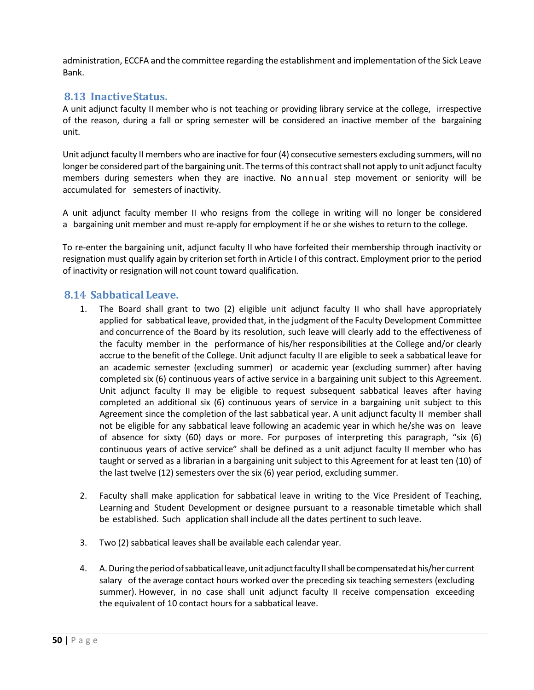administration, ECCFA and the committee regarding the establishment and implementation of the Sick Leave Bank.

## **8.13 InactiveStatus.**

A unit adjunct faculty II member who is not teaching or providing library service at the college, irrespective of the reason, during a fall or spring semester will be considered an inactive member of the bargaining unit.

Unit adjunct faculty II members who are inactive for four (4) consecutive semesters excluding summers, will no longer be considered part of the bargaining unit. The terms of this contract shall not apply to unit adjunct faculty members during semesters when they are inactive. No annual step movement or seniority will be accumulated for semesters of inactivity.

A unit adjunct faculty member II who resigns from the college in writing will no longer be considered a bargaining unit member and must re-apply for employment if he or she wishes to return to the college.

To re-enter the bargaining unit, adjunct faculty II who have forfeited their membership through inactivity or resignation must qualify again by criterion set forth in Article I of this contract. Employment prior to the period of inactivity or resignation will not count toward qualification.

#### **8.14 Sabbatical Leave.**

- 1. The Board shall grant to two (2) eligible unit adjunct faculty II who shall have appropriately applied for sabbatical leave, provided that, in the judgment of the Faculty Development Committee and concurrence of the Board by its resolution, such leave will clearly add to the effectiveness of the faculty member in the performance of his/her responsibilities at the College and/or clearly accrue to the benefit of the College. Unit adjunct faculty II are eligible to seek a sabbatical leave for an academic semester (excluding summer) or academic year (excluding summer) after having completed six (6) continuous years of active service in a bargaining unit subject to this Agreement. Unit adjunct faculty II may be eligible to request subsequent sabbatical leaves after having completed an additional six (6) continuous years of service in a bargaining unit subject to this Agreement since the completion of the last sabbatical year. A unit adjunct faculty II member shall not be eligible for any sabbatical leave following an academic year in which he/she was on leave of absence for sixty (60) days or more. For purposes of interpreting this paragraph, "six (6) continuous years of active service" shall be defined as a unit adjunct faculty II member who has taught or served as a librarian in a bargaining unit subject to this Agreement for at least ten (10) of the last twelve (12) semesters over the six (6) year period, excluding summer.
- 2. Faculty shall make application for sabbatical leave in writing to the Vice President of Teaching, Learning and Student Development or designee pursuant to a reasonable timetable which shall be established. Such application shall include all the dates pertinent to such leave.
- 3. Two (2) sabbatical leaves shall be available each calendar year.
- 4. A. During the period of sabbatical leave, unit adjunct faculty II shall be compensated at his/her current salary of the average contact hours worked over the preceding six teaching semesters (excluding summer). However, in no case shall unit adjunct faculty II receive compensation exceeding the equivalent of 10 contact hours for a sabbatical leave.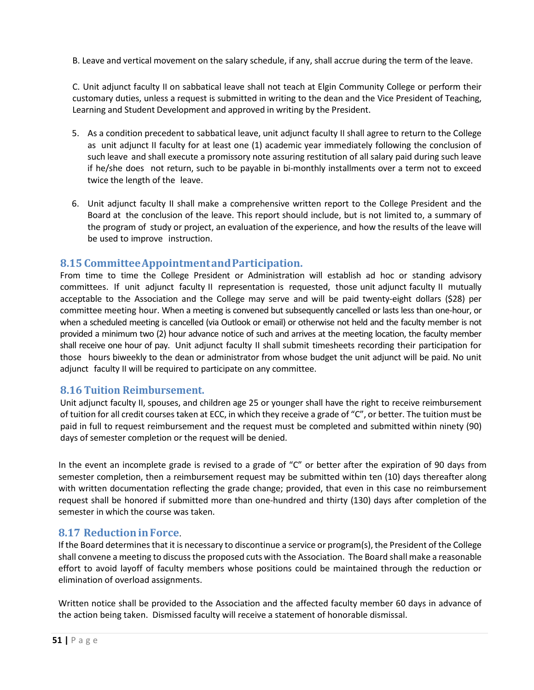B. Leave and vertical movement on the salary schedule, if any, shall accrue during the term of the leave.

C. Unit adjunct faculty II on sabbatical leave shall not teach at Elgin Community College or perform their customary duties, unless a request is submitted in writing to the dean and the Vice President of Teaching, Learning and Student Development and approved in writing by the President.

- 5. As a condition precedent to sabbatical leave, unit adjunct faculty II shall agree to return to the College as unit adjunct II faculty for at least one (1) academic year immediately following the conclusion of such leave and shall execute a promissory note assuring restitution of all salary paid during such leave if he/she does not return, such to be payable in bi-monthly installments over a term not to exceed twice the length of the leave.
- 6. Unit adjunct faculty II shall make a comprehensive written report to the College President and the Board at the conclusion of the leave. This report should include, but is not limited to, a summary of the program of study or project, an evaluation of the experience, and how the results of the leave will be used to improve instruction.

## **8.15 CommitteeAppointmentandParticipation.**

From time to time the College President or Administration will establish ad hoc or standing advisory committees. If unit adjunct faculty II representation is requested, those unit adjunct faculty II mutually acceptable to the Association and the College may serve and will be paid twenty-eight dollars (\$28) per committee meeting hour. When a meeting is convened but subsequently cancelled or lasts less than one-hour, or when a scheduled meeting is cancelled (via Outlook or email) or otherwise not held and the faculty member is not provided a minimum two (2) hour advance notice of such and arrives at the meeting location, the faculty member shall receive one hour of pay. Unit adjunct faculty II shall submit timesheets recording their participation for those hours biweekly to the dean or administrator from whose budget the unit adjunct will be paid. No unit adjunct faculty II will be required to participate on any committee.

## **8.16 Tuition Reimbursement.**

Unit adjunct faculty II, spouses, and children age 25 or younger shall have the right to receive reimbursement of tuition for all credit courses taken at ECC, in which they receive a grade of "C", or better. The tuition must be paid in full to request reimbursement and the request must be completed and submitted within ninety (90) days of semester completion or the request will be denied.

In the event an incomplete grade is revised to a grade of "C" or better after the expiration of 90 days from semester completion, then a reimbursement request may be submitted within ten (10) days thereafter along with written documentation reflecting the grade change; provided, that even in this case no reimbursement request shall be honored if submitted more than one-hundred and thirty (130) days after completion of the semester in which the course was taken.

## **8.17 Reduction in Force**.

If the Board determines that it is necessary to discontinue a service or program(s), the President of the College shall convene a meeting to discuss the proposed cuts with the Association. The Board shall make a reasonable effort to avoid layoff of faculty members whose positions could be maintained through the reduction or elimination of overload assignments.

Written notice shall be provided to the Association and the affected faculty member 60 days in advance of the action being taken. Dismissed faculty will receive a statement of honorable dismissal.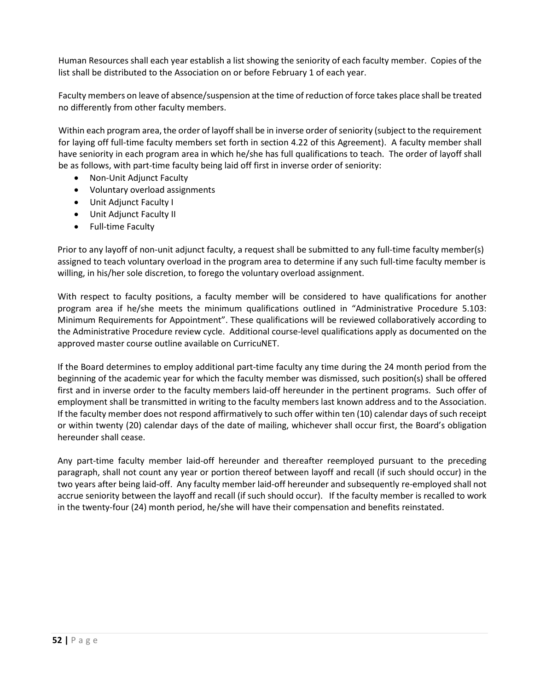Human Resources shall each year establish a list showing the seniority of each faculty member. Copies of the list shall be distributed to the Association on or before February 1 of each year.

Faculty members on leave of absence/suspension at the time of reduction of force takes place shall be treated no differently from other faculty members.

Within each program area, the order of layoff shall be in inverse order of seniority (subject to the requirement for laying off full-time faculty members set forth in section 4.22 of this Agreement). A faculty member shall have seniority in each program area in which he/she has full qualifications to teach. The order of layoff shall be as follows, with part-time faculty being laid off first in inverse order of seniority:

- Non-Unit Adjunct Faculty
- Voluntary overload assignments
- Unit Adjunct Faculty I
- Unit Adjunct Faculty II
- Full-time Faculty

Prior to any layoff of non-unit adjunct faculty, a request shall be submitted to any full-time faculty member(s) assigned to teach voluntary overload in the program area to determine if any such full-time faculty member is willing, in his/her sole discretion, to forego the voluntary overload assignment.

With respect to faculty positions, a faculty member will be considered to have qualifications for another program area if he/she meets the minimum qualifications outlined in "Administrative Procedure 5.103: Minimum Requirements for Appointment". These qualifications will be reviewed collaboratively according to the Administrative Procedure review cycle. Additional course-level qualifications apply as documented on the approved master course outline available on CurricuNET.

If the Board determines to employ additional part-time faculty any time during the 24 month period from the beginning of the academic year for which the faculty member was dismissed, such position(s) shall be offered first and in inverse order to the faculty members laid-off hereunder in the pertinent programs. Such offer of employment shall be transmitted in writing to the faculty members last known address and to the Association. If the faculty member does not respond affirmatively to such offer within ten (10) calendar days of such receipt or within twenty (20) calendar days of the date of mailing, whichever shall occur first, the Board's obligation hereunder shall cease.

Any part-time faculty member laid-off hereunder and thereafter reemployed pursuant to the preceding paragraph, shall not count any year or portion thereof between layoff and recall (if such should occur) in the two years after being laid-off. Any faculty member laid-off hereunder and subsequently re-employed shall not accrue seniority between the layoff and recall (if such should occur). If the faculty member is recalled to work in the twenty-four (24) month period, he/she will have their compensation and benefits reinstated.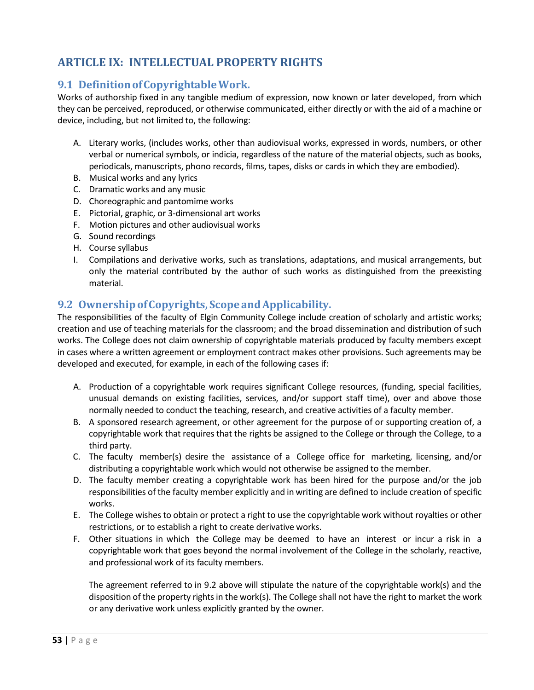## **ARTICLE IX: INTELLECTUAL PROPERTY RIGHTS**

## **9.1 Definition ofCopyrightableWork.**

Works of authorship fixed in any tangible medium of expression, now known or later developed, from which they can be perceived, reproduced, or otherwise communicated, either directly or with the aid of a machine or device, including, but not limited to, the following:

- A. Literary works, (includes works, other than audiovisual works, expressed in words, numbers, or other verbal or numerical symbols, or indicia, regardless of the nature of the material objects, such as books, periodicals, manuscripts, phono records, films, tapes, disks or cards in which they are embodied).
- B. Musical works and any lyrics
- C. Dramatic works and any music
- D. Choreographic and pantomime works
- E. Pictorial, graphic, or 3-dimensional art works
- F. Motion pictures and other audiovisual works
- G. Sound recordings
- H. Course syllabus
- I. Compilations and derivative works, such as translations, adaptations, and musical arrangements, but only the material contributed by the author of such works as distinguished from the preexisting material.

## **9.2 OwnershipofCopyrights, Scope andApplicability.**

The responsibilities of the faculty of Elgin Community College include creation of scholarly and artistic works; creation and use of teaching materials for the classroom; and the broad dissemination and distribution of such works. The College does not claim ownership of copyrightable materials produced by faculty members except in cases where a written agreement or employment contract makes other provisions. Such agreements may be developed and executed, for example, in each of the following cases if:

- A. Production of a copyrightable work requires significant College resources, (funding, special facilities, unusual demands on existing facilities, services, and/or support staff time), over and above those normally needed to conduct the teaching, research, and creative activities of a faculty member.
- B. A sponsored research agreement, or other agreement for the purpose of or supporting creation of, a copyrightable work that requires that the rights be assigned to the College or through the College, to a third party.
- C. The faculty member(s) desire the assistance of a College office for marketing, licensing, and/or distributing a copyrightable work which would not otherwise be assigned to the member.
- D. The faculty member creating a copyrightable work has been hired for the purpose and/or the job responsibilities of the faculty member explicitly and in writing are defined to include creation ofspecific works.
- E. The College wishes to obtain or protect a right to use the copyrightable work without royalties or other restrictions, or to establish a right to create derivative works.
- F. Other situations in which the College may be deemed to have an interest or incur a risk in a copyrightable work that goes beyond the normal involvement of the College in the scholarly, reactive, and professional work of its faculty members.

The agreement referred to in 9.2 above will stipulate the nature of the copyrightable work(s) and the disposition of the property rights in the work(s). The College shall not have the right to market the work or any derivative work unless explicitly granted by the owner.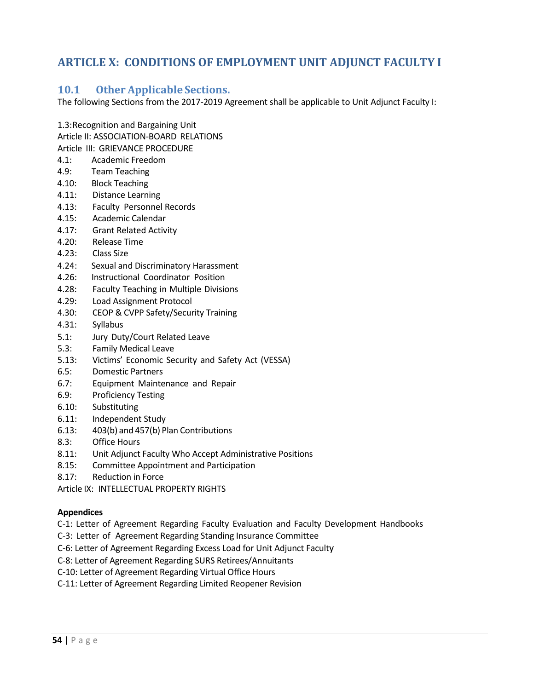## **ARTICLE X: CONDITIONS OF EMPLOYMENT UNIT ADJUNCT FACULTY I**

## **10.1 Other Applicable Sections.**

The following Sections from the 2017-2019 Agreement shall be applicable to Unit Adjunct Faculty I:

1.3:Recognition and Bargaining Unit

Article II: ASSOCIATION-BOARD RELATIONS

Article III: GRIEVANCE PROCEDURE

- 4.1: Academic Freedom
- 4.9: Team Teaching
- 4.10: Block Teaching
- 4.11: Distance Learning
- 4.13: Faculty Personnel Records
- 4.15: Academic Calendar
- 4.17: Grant Related Activity
- 4.20: Release Time
- 4.23: Class Size
- 4.24: Sexual and Discriminatory Harassment
- 4.26: Instructional Coordinator Position
- 4.28: Faculty Teaching in Multiple Divisions
- 4.29: Load Assignment Protocol
- 4.30: CEOP & CVPP Safety/Security Training
- 4.31: Syllabus
- 5.1: Jury Duty/Court Related Leave
- 5.3: Family Medical Leave
- 5.13: Victims' Economic Security and Safety Act (VESSA)
- 6.5: Domestic Partners
- 6.7: Equipment Maintenance and Repair
- 6.9: Proficiency Testing
- 6.10: Substituting
- 6.11: Independent Study
- 6.13: 403(b) and 457(b) Plan Contributions
- 8.3: Office Hours
- 8.11: Unit Adjunct Faculty Who Accept Administrative Positions
- 8.15: Committee Appointment and Participation
- 8.17: Reduction in Force

Article IX: INTELLECTUAL PROPERTY RIGHTS

#### **Appendices**

C-1: Letter of Agreement Regarding Faculty Evaluation and Faculty Development Handbooks

- C-3: Letter of Agreement Regarding Standing Insurance Committee
- C-6: Letter of Agreement Regarding Excess Load for Unit Adjunct Faculty
- C-8: Letter of Agreement Regarding SURS Retirees/Annuitants
- C-10: Letter of Agreement Regarding Virtual Office Hours
- C-11: Letter of Agreement Regarding Limited Reopener Revision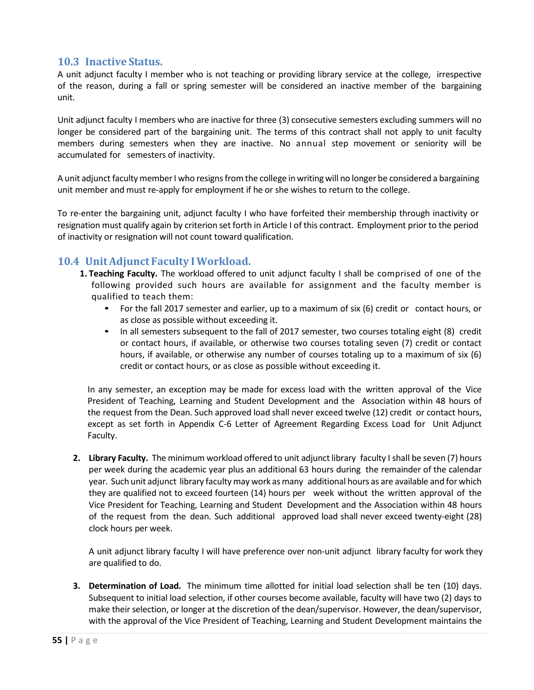#### **10.3 Inactive Status.**

A unit adjunct faculty I member who is not teaching or providing library service at the college, irrespective of the reason, during a fall or spring semester will be considered an inactive member of the bargaining unit.

Unit adjunct faculty I members who are inactive for three (3) consecutive semesters excluding summers will no longer be considered part of the bargaining unit. The terms of this contract shall not apply to unit faculty members during semesters when they are inactive. No annual step movement or seniority will be accumulated for semesters of inactivity.

A unit adjunct facultymember I who resignsfromthe college in writing will no longer be considered a bargaining unit member and must re-apply for employment if he or she wishes to return to the college.

To re-enter the bargaining unit, adjunct faculty I who have forfeited their membership through inactivity or resignation must qualify again by criterion set forth in Article I of this contract. Employment prior to the period of inactivity or resignation will not count toward qualification.

## **10.4 Unit Adjunct Faculty I Workload.**

- **1. Teaching Faculty.** The workload offered to unit adjunct faculty I shall be comprised of one of the following provided such hours are available for assignment and the faculty member is qualified to teach them:
	- For the fall 2017 semester and earlier, up to a maximum of six (6) credit or contact hours, or as close as possible without exceeding it.
	- In all semesters subsequent to the fall of 2017 semester, two courses totaling eight (8) credit or contact hours, if available, or otherwise two courses totaling seven (7) credit or contact hours, if available, or otherwise any number of courses totaling up to a maximum of six (6) credit or contact hours, or as close as possible without exceeding it.

In any semester, an exception may be made for excess load with the written approval of the Vice President of Teaching, Learning and Student Development and the Association within 48 hours of the request from the Dean. Such approved load shall never exceed twelve (12) credit or contact hours, except as set forth in Appendix C-6 Letter of Agreement Regarding Excess Load for Unit Adjunct Faculty.

**2. Library Faculty.** The minimum workload offered to unit adjunctlibrary faculty I shall be seven (7) hours per week during the academic year plus an additional 63 hours during the remainder of the calendar year. Such unit adjunct library faculty may work asmany additional hours as are available and for which they are qualified not to exceed fourteen (14) hours per week without the written approval of the Vice President for Teaching, Learning and Student Development and the Association within 48 hours of the request from the dean. Such additional approved load shall never exceed twenty-eight (28) clock hours per week.

A unit adjunct library faculty I will have preference over non-unit adjunct library faculty for work they are qualified to do.

**3. Determination of Load.** The minimum time allotted for initial load selection shall be ten (10) days. Subsequent to initial load selection, if other courses become available, faculty will have two (2) days to make their selection, or longer at the discretion of the dean/supervisor. However, the dean/supervisor, with the approval of the Vice President of Teaching, Learning and Student Development maintains the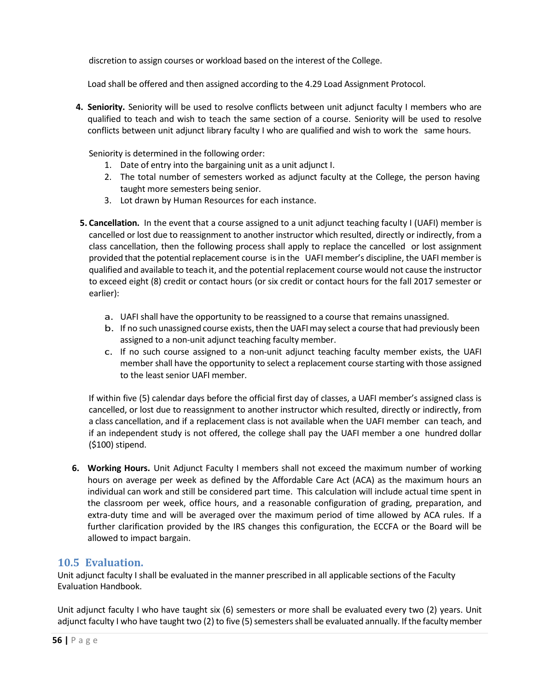discretion to assign courses or workload based on the interest of the College.

Load shall be offered and then assigned according to the 4.29 Load Assignment Protocol.

**4. Seniority.** Seniority will be used to resolve conflicts between unit adjunct faculty I members who are qualified to teach and wish to teach the same section of a course. Seniority will be used to resolve conflicts between unit adjunct library faculty I who are qualified and wish to work the same hours.

Seniority is determined in the following order:

- 1. Date of entry into the bargaining unit as a unit adjunct I.
- 2. The total number of semesters worked as adjunct faculty at the College, the person having taught more semesters being senior.
- 3. Lot drawn by Human Resources for each instance.
- **5. Cancellation.** In the event that a course assigned to a unit adjunct teaching faculty I (UAFI) member is cancelled or lost due to reassignment to another instructor which resulted, directly or indirectly, from a class cancellation, then the following process shall apply to replace the cancelled or lost assignment provided that the potential replacement course isin the UAFI member's discipline, the UAFI member is qualified and available to teach it, and the potential replacement course would not cause the instructor to exceed eight (8) credit or contact hours (or six credit or contact hours for the fall 2017 semester or earlier):
	- a. UAFI shall have the opportunity to be reassigned to a course that remains unassigned.
	- b. If no such unassigned course exists, then the UAFI may select a course that had previously been assigned to a non-unit adjunct teaching faculty member.
	- c. If no such course assigned to a non-unit adjunct teaching faculty member exists, the UAFI member shall have the opportunity to select a replacement course starting with those assigned to the least senior UAFI member.

If within five (5) calendar days before the official first day of classes, a UAFI member's assigned class is cancelled, or lost due to reassignment to another instructor which resulted, directly or indirectly, from a class cancellation, and if a replacement class is not available when the UAFI member can teach, and if an independent study is not offered, the college shall pay the UAFI member a one hundred dollar (\$100) stipend.

**6. Working Hours.** Unit Adjunct Faculty I members shall not exceed the maximum number of working hours on average per week as defined by the Affordable Care Act (ACA) as the maximum hours an individual can work and still be considered part time. This calculation will include actual time spent in the classroom per week, office hours, and a reasonable configuration of grading, preparation, and extra-duty time and will be averaged over the maximum period of time allowed by ACA rules. If a further clarification provided by the IRS changes this configuration, the ECCFA or the Board will be allowed to impact bargain.

## **10.5 Evaluation.**

Unit adjunct faculty I shall be evaluated in the manner prescribed in all applicable sections of the Faculty Evaluation Handbook.

Unit adjunct faculty I who have taught six (6) semesters or more shall be evaluated every two (2) years. Unit adjunct faculty I who have taught two (2) to five (5) semesters shall be evaluated annually. If the faculty member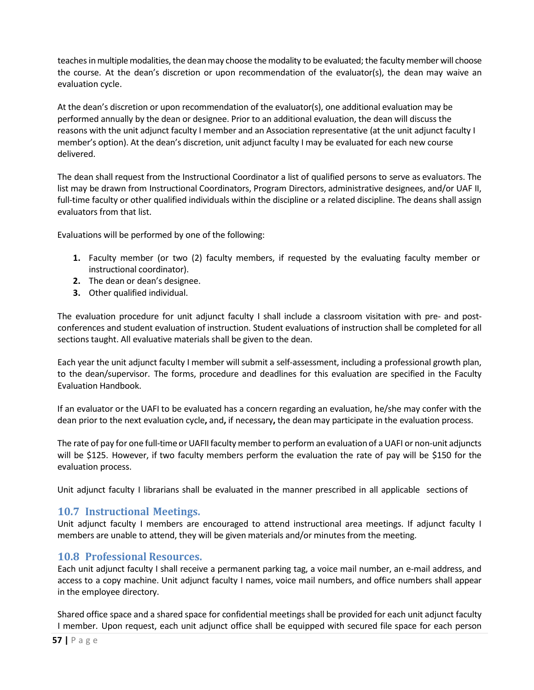teaches in multiple modalities, the dean may choose the modality to be evaluated; the faculty member will choose the course. At the dean's discretion or upon recommendation of the evaluator(s), the dean may waive an evaluation cycle.

At the dean's discretion or upon recommendation of the evaluator(s), one additional evaluation may be performed annually by the dean or designee. Prior to an additional evaluation, the dean will discuss the reasons with the unit adjunct faculty I member and an Association representative (at the unit adjunct faculty I member's option). At the dean's discretion, unit adjunct faculty I may be evaluated for each new course delivered.

The dean shall request from the Instructional Coordinator a list of qualified persons to serve as evaluators. The list may be drawn from Instructional Coordinators, Program Directors, administrative designees, and/or UAF II, full-time faculty or other qualified individuals within the discipline or a related discipline. The deans shall assign evaluators from that list.

Evaluations will be performed by one of the following:

- **1.** Faculty member (or two (2) faculty members, if requested by the evaluating faculty member or instructional coordinator).
- **2.** The dean or dean's designee.
- **3.** Other qualified individual.

The evaluation procedure for unit adjunct faculty I shall include a classroom visitation with pre- and postconferences and student evaluation of instruction. Student evaluations of instruction shall be completed for all sections taught. All evaluative materials shall be given to the dean.

Each year the unit adjunct faculty I member willsubmit a self-assessment, including a professional growth plan, to the dean/supervisor. The forms, procedure and deadlines for this evaluation are specified in the Faculty Evaluation Handbook.

If an evaluator or the UAFI to be evaluated has a concern regarding an evaluation, he/she may confer with the dean prior to the next evaluation cycle**,** and**,** if necessary**,** the dean may participate in the evaluation process.

The rate of pay for one full-time or UAFII faculty member to perform an evaluation of a UAFI or non-unit adjuncts will be \$125. However, if two faculty members perform the evaluation the rate of pay will be \$150 for the evaluation process.

Unit adjunct faculty I librarians shall be evaluated in the manner prescribed in all applicable sections of

## **10.7 Instructional Meetings.**

Unit adjunct faculty I members are encouraged to attend instructional area meetings. If adjunct faculty I members are unable to attend, they will be given materials and/or minutes from the meeting.

## **10.8 Professional Resources.**

Each unit adjunct faculty I shall receive a permanent parking tag, a voice mail number, an e-mail address, and access to a copy machine. Unit adjunct faculty I names, voice mail numbers, and office numbers shall appear in the employee directory.

Shared office space and a shared space for confidential meetings shall be provided for each unit adjunct faculty I member. Upon request, each unit adjunct office shall be equipped with secured file space for each person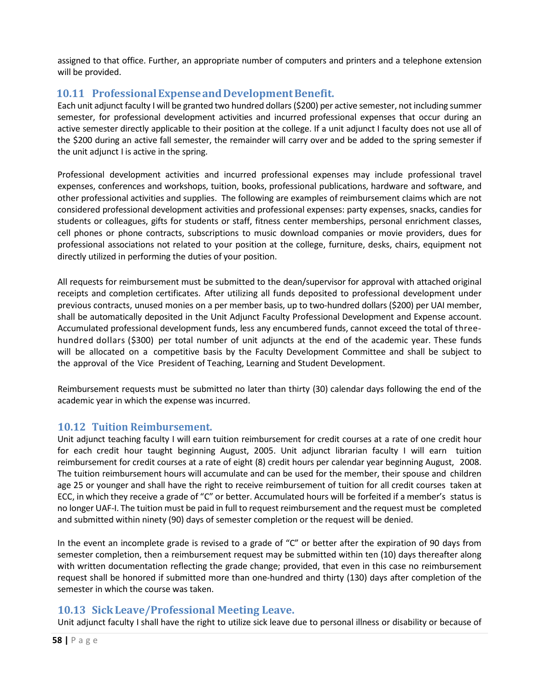assigned to that office. Further, an appropriate number of computers and printers and a telephone extension will be provided.

## **10.11 ProfessionalExpenseandDevelopmentBenefit.**

Each unit adjunct faculty I will be granted two hundred dollars(\$200) per active semester, not including summer semester, for professional development activities and incurred professional expenses that occur during an active semester directly applicable to their position at the college. If a unit adjunct I faculty does not use all of the \$200 during an active fall semester, the remainder will carry over and be added to the spring semester if the unit adjunct I is active in the spring.

Professional development activities and incurred professional expenses may include professional travel expenses, conferences and workshops, tuition, books, professional publications, hardware and software, and other professional activities and supplies. The following are examples of reimbursement claims which are not considered professional development activities and professional expenses: party expenses, snacks, candies for students or colleagues, gifts for students or staff, fitness center memberships, personal enrichment classes, cell phones or phone contracts, subscriptions to music download companies or movie providers, dues for professional associations not related to your position at the college, furniture, desks, chairs, equipment not directly utilized in performing the duties of your position.

All requests for reimbursement must be submitted to the dean/supervisor for approval with attached original receipts and completion certificates. After utilizing all funds deposited to professional development under previous contracts, unused monies on a per member basis, up to two-hundred dollars (\$200) per UAI member, shall be automatically deposited in the Unit Adjunct Faculty Professional Development and Expense account. Accumulated professional development funds, less any encumbered funds, cannot exceed the total of threehundred dollars (\$300) per total number of unit adjuncts at the end of the academic year. These funds will be allocated on a competitive basis by the Faculty Development Committee and shall be subject to the approval of the Vice President of Teaching, Learning and Student Development.

Reimbursement requests must be submitted no later than thirty (30) calendar days following the end of the academic year in which the expense was incurred.

## **10.12 Tuition Reimbursement.**

Unit adjunct teaching faculty I will earn tuition reimbursement for credit courses at a rate of one credit hour for each credit hour taught beginning August, 2005. Unit adjunct librarian faculty I will earn tuition reimbursement for credit courses at a rate of eight (8) credit hours per calendar year beginning August, 2008. The tuition reimbursement hours will accumulate and can be used for the member, their spouse and children age 25 or younger and shall have the right to receive reimbursement of tuition for all credit courses taken at ECC, in which they receive a grade of "C" or better. Accumulated hours will be forfeited if a member's status is no longer UAF-I. The tuition must be paid in full to request reimbursement and the request must be completed and submitted within ninety (90) days of semester completion or the request will be denied.

In the event an incomplete grade is revised to a grade of "C" or better after the expiration of 90 days from semester completion, then a reimbursement request may be submitted within ten (10) days thereafter along with written documentation reflecting the grade change; provided, that even in this case no reimbursement request shall be honored if submitted more than one-hundred and thirty (130) days after completion of the semester in which the course was taken.

## **10.13 SickLeave/Professional Meeting Leave.**

Unit adjunct faculty I shall have the right to utilize sick leave due to personal illness or disability or because of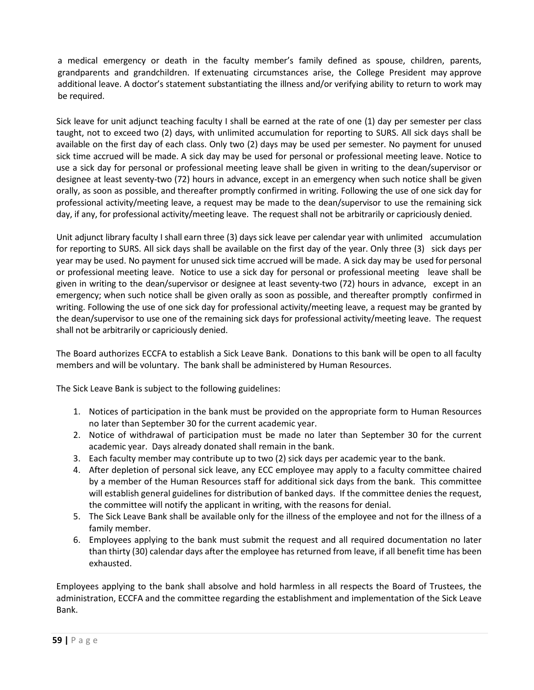a medical emergency or death in the faculty member's family defined as spouse, children, parents, grandparents and grandchildren. If extenuating circumstances arise, the College President may approve additional leave. A doctor's statement substantiating the illness and/or verifying ability to return to work may be required.

Sick leave for unit adjunct teaching faculty I shall be earned at the rate of one (1) day per semester per class taught, not to exceed two (2) days, with unlimited accumulation for reporting to SURS. All sick days shall be available on the first day of each class. Only two (2) days may be used per semester. No payment for unused sick time accrued will be made. A sick day may be used for personal or professional meeting leave. Notice to use a sick day for personal or professional meeting leave shall be given in writing to the dean/supervisor or designee at least seventy-two (72) hours in advance, except in an emergency when such notice shall be given orally, as soon as possible, and thereafter promptly confirmed in writing. Following the use of one sick day for professional activity/meeting leave, a request may be made to the dean/supervisor to use the remaining sick day, if any, for professional activity/meeting leave. The request shall not be arbitrarily or capriciously denied.

Unit adjunct library faculty I shall earn three (3) days sick leave per calendar year with unlimited accumulation for reporting to SURS. All sick days shall be available on the first day of the year. Only three (3) sick days per year may be used. No payment for unused sick time accrued will be made. A sick day may be used for personal or professional meeting leave. Notice to use a sick day for personal or professional meeting leave shall be given in writing to the dean/supervisor or designee at least seventy-two (72) hours in advance, except in an emergency; when such notice shall be given orally as soon as possible, and thereafter promptly confirmed in writing. Following the use of one sick day for professional activity/meeting leave, a request may be granted by the dean/supervisor to use one of the remaining sick days for professional activity/meeting leave. The request shall not be arbitrarily or capriciously denied.

The Board authorizes ECCFA to establish a Sick Leave Bank. Donations to this bank will be open to all faculty members and will be voluntary. The bank shall be administered by Human Resources.

The Sick Leave Bank is subject to the following guidelines:

- 1. Notices of participation in the bank must be provided on the appropriate form to Human Resources no later than September 30 for the current academic year.
- 2. Notice of withdrawal of participation must be made no later than September 30 for the current academic year. Days already donated shall remain in the bank.
- 3. Each faculty member may contribute up to two (2) sick days per academic year to the bank.
- 4. After depletion of personal sick leave, any ECC employee may apply to a faculty committee chaired by a member of the Human Resources staff for additional sick days from the bank. This committee will establish general guidelines for distribution of banked days. If the committee denies the request, the committee will notify the applicant in writing, with the reasons for denial.
- 5. The Sick Leave Bank shall be available only for the illness of the employee and not for the illness of a family member.
- 6. Employees applying to the bank must submit the request and all required documentation no later than thirty (30) calendar days after the employee has returned from leave, if all benefit time has been exhausted.

Employees applying to the bank shall absolve and hold harmless in all respects the Board of Trustees, the administration, ECCFA and the committee regarding the establishment and implementation of the Sick Leave Bank.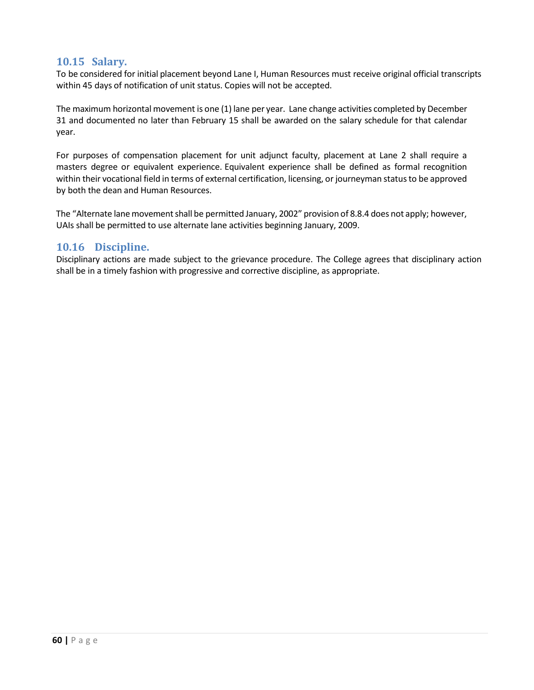## **10.15 Salary.**

To be considered for initial placement beyond Lane I, Human Resources must receive original official transcripts within 45 days of notification of unit status. Copies will not be accepted.

The maximum horizontal movement is one (1) lane per year. Lane change activities completed by December 31 and documented no later than February 15 shall be awarded on the salary schedule for that calendar year.

For purposes of compensation placement for unit adjunct faculty, placement at Lane 2 shall require a masters degree or equivalent experience. Equivalent experience shall be defined as formal recognition within their vocational field in terms of external certification, licensing, or journeyman status to be approved by both the dean and Human Resources.

The "Alternate lane movement shall be permitted January, 2002" provision of 8.8.4 does not apply; however, UAIs shall be permitted to use alternate lane activities beginning January, 2009.

## **10.16 Discipline.**

Disciplinary actions are made subject to the grievance procedure. The College agrees that disciplinary action shall be in a timely fashion with progressive and corrective discipline, as appropriate.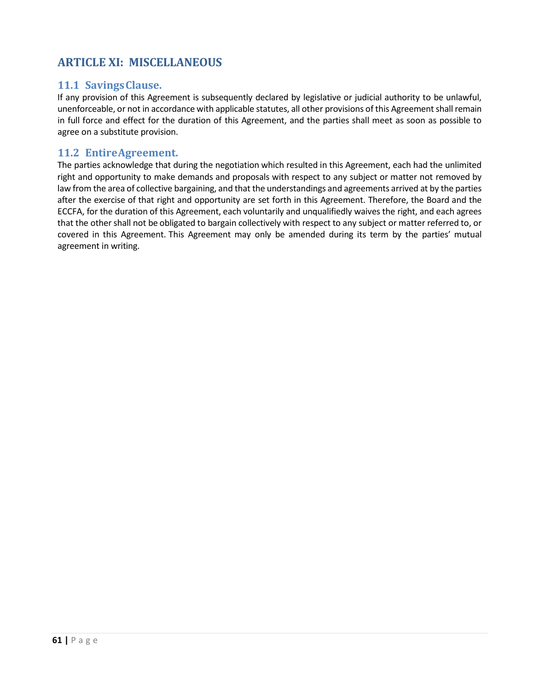## **ARTICLE XI: MISCELLANEOUS**

## **11.1 SavingsClause.**

If any provision of this Agreement is subsequently declared by legislative or judicial authority to be unlawful, unenforceable, or not in accordance with applicable statutes, all other provisions of this Agreement shall remain in full force and effect for the duration of this Agreement, and the parties shall meet as soon as possible to agree on a substitute provision.

## **11.2 EntireAgreement.**

The parties acknowledge that during the negotiation which resulted in this Agreement, each had the unlimited right and opportunity to make demands and proposals with respect to any subject or matter not removed by law from the area of collective bargaining, and that the understandings and agreements arrived at by the parties after the exercise of that right and opportunity are set forth in this Agreement. Therefore, the Board and the ECCFA, for the duration of this Agreement, each voluntarily and unqualifiedly waives the right, and each agrees that the other shall not be obligated to bargain collectively with respect to any subject or matter referred to, or covered in this Agreement. This Agreement may only be amended during its term by the parties' mutual agreement in writing.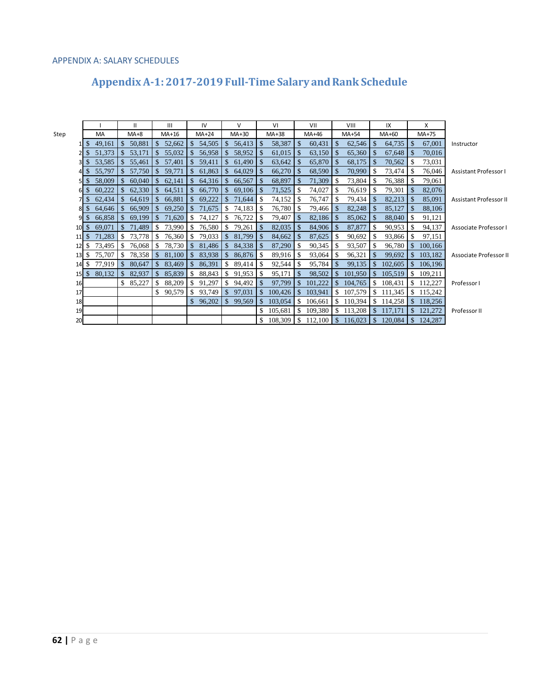#### APPENDIX A: SALARY SCHEDULES

# Appendix A-1: 2017-2019 Full-Time Salary and Rank Schedule

|                  |               |        |                | $\mathbf{H}$ |               | $\mathbf{III}$ |               | IV       |               | v             |               | VI      |              | VII                  |               | VIII      |               | IX      |               | x         |                               |
|------------------|---------------|--------|----------------|--------------|---------------|----------------|---------------|----------|---------------|---------------|---------------|---------|--------------|----------------------|---------------|-----------|---------------|---------|---------------|-----------|-------------------------------|
| Step             |               | MA     |                | $MA+8$       |               | $MA+16$        |               | $MA+24$  |               | $MA+30$       |               | MA+38   |              | MA+46                |               | $MA+54$   |               | $MA+60$ |               | $MA+75$   |                               |
|                  | <sup>\$</sup> | 49,161 |                | \$50,881     | $.$ \$        | 52,662         |               | \$54,505 | $\mathbb{S}$  | 56,413        | $\mathbb{S}$  | 58,387  | \$           | 60,431               | $\mathcal{S}$ | 62,546    | $\sqrt{3}$    | 64,735  | $\mathcal{S}$ | 67,001    | Instructor                    |
|                  |               | 51,373 | $\mathbb{S}^-$ | 53,171       | $\mathbb{S}$  | 55,032         | $\mathbb{S}$  | 56,958   | $\mathbb{S}$  | 58,952        |               | 61,015  |              | 63,150               | <sup>S</sup>  | 65,360    | l \$          | 67,648  | -S            | 70,016    |                               |
|                  | 3 IS          | 53,585 | $\mathbb{S}^-$ | 55,461       | <sup>\$</sup> | 57,401         | $\mathbb{S}$  | 59,411   | $\mathbb{S}$  | 61,490        | S             | 63,642  |              | 65,870               | <b>S</b>      | 68,175    | l \$          | 70,562  | -S            | 73,031    |                               |
|                  |               | 55,797 | <sup>\$</sup>  | 57,750       |               | 59,771         | $\mathbb{S}$  | 61,863   | <sup>S</sup>  | 64,029        | -S            | 66,270  |              | 68,590               | - \$          | 70,990    | - \$          | 73,474  |               | 76,046    | Assistant Professor I         |
|                  |               | 58,009 | S.             | 60,040       | <sup>S</sup>  | 62,141         | $\mathbb{S}$  | 64,316   | <sup>S</sup>  | 66,567        | -S            | 68,897  |              | 71,309               | -8            | 73,804    | -S            | 76,388  | -8            | 79,061    |                               |
|                  | $6 \,$ $\,$   | 60,222 | \$.            | 62,330       | -S            | 64,511         | $\mathbb{S}$  | 66,770   | - \$          | $69,106$   \$ |               | 71,525  |              | 74,027               | -S            | 76,619    | - \$          | 79,301  | S             | 82,076    |                               |
|                  |               | 62,434 | <sup>\$</sup>  | 64,619       | <sup>S</sup>  | 66,881         | $\mathbb{S}$  | 69,222   | <sup>S</sup>  | 71,644        |               | 74,152  |              | 76,747               |               | 79,434    | - \$          | 82,213  | -8            | 85,091    | <b>Assistant Professor II</b> |
|                  | $8 \mid S$    | 64,646 | <sup>\$</sup>  | 66,909       | $\sqrt{3}$    | 69,250         | $\mathbb{S}$  | 71,675   | -S            | 74,183        | -S            | 76,780  |              | $79,466$   \$        |               | 82,248    | <b>S</b>      | 85,127  |               | 88,106    |                               |
|                  | -S            | 66,858 | <sup>\$</sup>  | 69,199       | $\mathcal{S}$ | 71,620         | -S            | 74,127   | -S            | 76,722        | S             | 79,407  |              | 82,186               | -S            | 85,062    | -\$           | 88,040  | -S            | 91,121    |                               |
| $10 \mid S \mid$ |               | 69,071 |                | \$71,489     | -S            | 73,990         | -S            | 76,580   | S             | 79,261        | <b>S</b>      | 82,035  |              | $84,906$   \$        |               | 87,877    | -\$           | 90,953  | - \$          | 94,137    | Associate Professor I         |
| 11S              |               | 71,283 | <sup>\$</sup>  | 73,778       | -S            | 76,360         |               | 79,033   | <sup>S</sup>  | 81,799        | -S            | 84,662  |              | 87,625               |               | 90,692    | -S            | 93,866  | -S            | 97,151    |                               |
| $12 \text{ s}$   |               | 73,495 | -SS            | 76,068       | -S            | 78,730         | -S            | 81,486   | <sup>S</sup>  | 84,338        | - \$          | 87,290  |              | 90,345               | -S            | 93,507    | -S            | 96,780  | <sup>\$</sup> | 100,166   |                               |
|                  | $13 \mid S$   | 75,707 | S.             |              |               | 81,100         | <sup>\$</sup> | 83,938   | $\mathcal{S}$ | 86,876        | -S            | 89,916  |              | 93,064               | -S            | 96,321    | $\sqrt{3}$    | 99,692  | <sup>\$</sup> | 103,182   | Associate Professor II        |
| 14S              |               | 77,919 | <sup>\$</sup>  | 80,647       | <sup>S</sup>  | 83,469         | $\mathbf{\$}$ | 86,391   | S.            | 89,414        | S             | 92,544  |              | 95,784               |               | 99,135    | -S            | 102,605 | <sup>\$</sup> | 106,196   |                               |
|                  | $15 \mid$ \$  | 80,132 |                | \$82,937     |               | \$85,839       | -S            | 88,843   | S.            | 91,953        | S.            | 95,171  |              | 98,502               |               | \$101,950 | <b>S</b>      | 105,519 | <sup>\$</sup> | 109,211   |                               |
| 16               |               |        | \$.            | 85,227       |               | 88,209         | <sup>\$</sup> | 91,297   | - \$          | 94,492        | <sup>\$</sup> | 97,799  | $\mathbb{S}$ | 101,222              | <sup>\$</sup> | 104,765   | -\$           | 108,431 |               | \$112,227 | Professor I                   |
| 17               |               |        |                |              |               | 90,579         | S.            | 93,749   | -\$           | 97,031        | <sup>\$</sup> | 100,426 | S.           | 103,941              | S.            | 107,579   | <sup>\$</sup> | 111,345 |               | \$115,242 |                               |
| 18               |               |        |                |              |               |                |               | 96,202   | \$            | 99,569        |               | 103,054 |              | 106,661              | -SS           | 110,394   | \$            | 114,258 | <sup>\$</sup> | 118,256   |                               |
| 19               |               |        |                |              |               |                |               |          |               |               |               | 105,681 |              | 109,380              |               | \$113,208 | <sup>S</sup>  | 117,171 | S.            | 121,272   | Professor II                  |
| 20               |               |        |                |              |               |                |               |          |               |               |               | 108,309 |              | $112,100$ \$ 116,023 |               |           | $\mathcal{S}$ | 120,084 | <sup>\$</sup> | 124,287   |                               |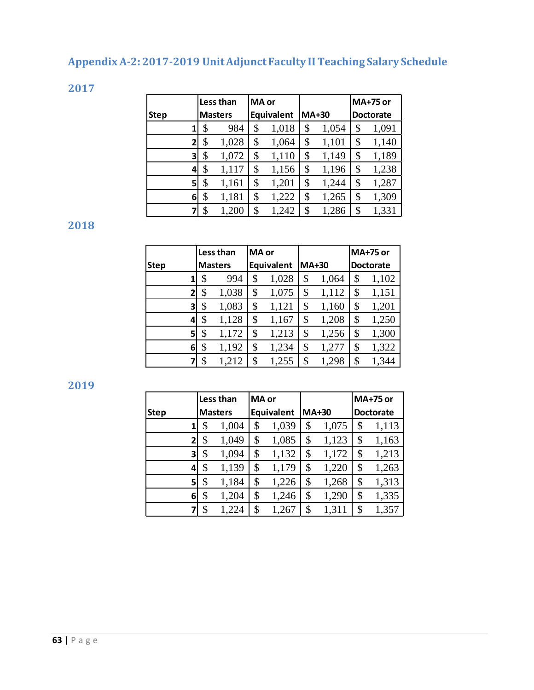# **Appendix A-2: 2017-2019 UnitAdjunct Faculty II Teaching Salary Schedule**

**2017** 

|              | Less than |                |    | MA or      |              |       | <b>MA+75 or</b>  |
|--------------|-----------|----------------|----|------------|--------------|-------|------------------|
| <b>Step</b>  |           | <b>Masters</b> |    | Equivalent | <b>MA+30</b> |       | <b>Doctorate</b> |
|              | \$        | 984            | \$ | 1,018      | \$           | 1,054 | \$<br>1,091      |
| $\mathbf{2}$ | \$        | 1,028          | \$ | 1,064      | \$           | 1,101 | \$<br>1,140      |
| 3            | \$        | 1,072          | \$ | 1,110      | \$           | 1,149 | \$<br>1,189      |
| 4            | \$        | 1,117          | \$ | 1,156      | \$           | 1,196 | \$<br>1,238      |
| 5            | \$        | 1,161          | \$ | 1,201      | \$           | 1,244 | \$<br>1,287      |
| 6            | \$        | 1,181          | \$ | 1,222      | \$           | 1,265 | \$<br>1,309      |
|              | \$        | 1,200          | \$ | 1,242      | \$           | 1,286 | \$<br>1,331      |

**2018** 

|              |                | Less than | MA or |            |              |       |                  | <b>MA+75 or</b> |  |
|--------------|----------------|-----------|-------|------------|--------------|-------|------------------|-----------------|--|
| <b>Step</b>  | <b>Masters</b> |           |       | Equivalent | <b>MA+30</b> |       | <b>Doctorate</b> |                 |  |
|              | \$             | 994       | \$    | 1,028      | \$           | 1,064 | \$               | 1,102           |  |
| $\mathbf{2}$ | \$             | 1,038     | \$    | 1,075      | \$           | 1,112 | \$               | 1,151           |  |
| 3            | \$             | 1,083     | \$    | 1,121      | \$           | 1,160 | \$               | 1,201           |  |
| 4            | \$             | 1,128     | \$    | 1,167      | \$           | 1,208 | \$               | 1,250           |  |
| 51           | \$             | 1,172     | \$    | 1,213      | \$           | 1,256 | \$               | 1,300           |  |
| 6            | \$             | 1,192     | \$    | 1,234      | \$           | 1,277 | \$               | 1,322           |  |
|              | \$             | 1,212     | \$    | 1,255      | \$           | 1,298 | \$               | 1,344           |  |

**2019**

|              |                | Less than |    | <b>MA</b> or |    |              | <b>MA+75 or</b>  |
|--------------|----------------|-----------|----|--------------|----|--------------|------------------|
| <b>Step</b>  | <b>Masters</b> |           |    | Equivalent   |    | <b>MA+30</b> | <b>Doctorate</b> |
|              | \$             | 1,004     | \$ | 1,039        | \$ | 1,075        | \$<br>1,113      |
| $\mathbf{z}$ | \$             | 1,049     | \$ | 1,085        | \$ | 1,123        | \$<br>1,163      |
| 3            | \$             | 1,094     | \$ | 1,132        | \$ | 1,172        | \$<br>1,213      |
| 4            | \$             | 1,139     | \$ | 1,179        | \$ | 1,220        | \$<br>1,263      |
| 5            | \$             | 1,184     | \$ | 1,226        | \$ | 1,268        | \$<br>1,313      |
| 6            | \$             | 1,204     | \$ | 1,246        | \$ | 1,290        | \$<br>1,335      |
|              | \$             | 1,224     | \$ | 1,267        | \$ | 1,311        | \$<br>1,357      |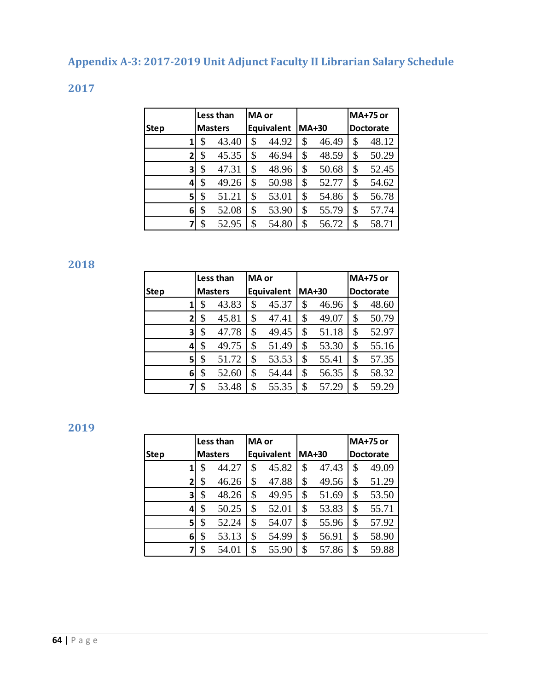# **Appendix A-3: 2017-2019 Unit Adjunct Faculty II Librarian Salary Schedule**

**2017**

| Less than   |                |    |                | MA or |                   |              |       | <b>MA+75 or</b>  |
|-------------|----------------|----|----------------|-------|-------------------|--------------|-------|------------------|
| <b>Step</b> |                |    | <b>Masters</b> |       | <b>Equivalent</b> | <b>MA+30</b> |       | <b>Doctorate</b> |
|             |                | \$ | 43.40          | \$    | 44.92             | \$           | 46.49 | \$<br>48.12      |
|             | 2              | \$ | 45.35          | \$    | 46.94             | \$           | 48.59 | \$<br>50.29      |
|             | 3              | \$ | 47.31          | \$    | 48.96             | \$           | 50.68 | \$<br>52.45      |
|             | 4              | \$ | 49.26          | \$    | 50.98             | \$           | 52.77 | \$<br>54.62      |
|             | 5 <sup>1</sup> | \$ | 51.21          | \$    | 53.01             | \$           | 54.86 | \$<br>56.78      |
|             | 61             | \$ | 52.08          | \$    | 53.90             | \$           | 55.79 | \$<br>57.74      |
|             |                | \$ | 52.95          | \$    | 54.80             | \$           | 56.72 | \$<br>58.71      |

**2018** 

|             |                | Less than |       |            |              |       |                  | <b>MA+75 or</b> |  |
|-------------|----------------|-----------|-------|------------|--------------|-------|------------------|-----------------|--|
|             |                |           | MA or |            |              |       |                  |                 |  |
| <b>Step</b> | <b>Masters</b> |           |       | Equivalent | <b>MA+30</b> |       | <b>Doctorate</b> |                 |  |
|             | \$             | 43.83     |       | 45.37      | \$           | 46.96 | \$               | 48.60           |  |
| 2           | \$             | 45.81     | \$    | 47.41      | \$           | 49.07 | \$               | 50.79           |  |
| 3           | \$             | 47.78     |       | 49.45      | \$           | 51.18 | \$               | 52.97           |  |
| 4           | \$             | 49.75     | \$    | 51.49      | \$           | 53.30 | \$               | 55.16           |  |
| 5           | \$             | 51.72     | \$    | 53.53      | \$           | 55.41 | \$               | 57.35           |  |
| 6           | \$             | 52.60     | \$    | 54.44      | \$           | 56.35 | \$               | 58.32           |  |
|             | \$             | 53.48     | \$    | 55.35      | \$           | 57.29 | \$               | 59.29           |  |

**2019** 

|             | Less than      |    | MA or             |              |       | <b>MA+75 or</b>  |
|-------------|----------------|----|-------------------|--------------|-------|------------------|
| <b>Step</b> | <b>Masters</b> |    | <b>Equivalent</b> | <b>MA+30</b> |       | <b>Doctorate</b> |
| 1           | \$<br>44.27    | \$ | 45.82             | \$           | 47.43 | \$<br>49.09      |
| 2           | \$<br>46.26    | \$ | 47.88             | \$           | 49.56 | \$<br>51.29      |
| 3           | \$<br>48.26    | \$ | 49.95             | \$           | 51.69 | \$<br>53.50      |
| 4           | \$<br>50.25    | \$ | 52.01             | \$           | 53.83 | \$<br>55.71      |
| 51          | \$<br>52.24    | \$ | 54.07             | \$           | 55.96 | \$<br>57.92      |
| 6           | \$<br>53.13    | \$ | 54.99             | \$           | 56.91 | \$<br>58.90      |
|             | \$<br>54.01    | \$ | 55.90             | \$           | 57.86 | \$<br>59.88      |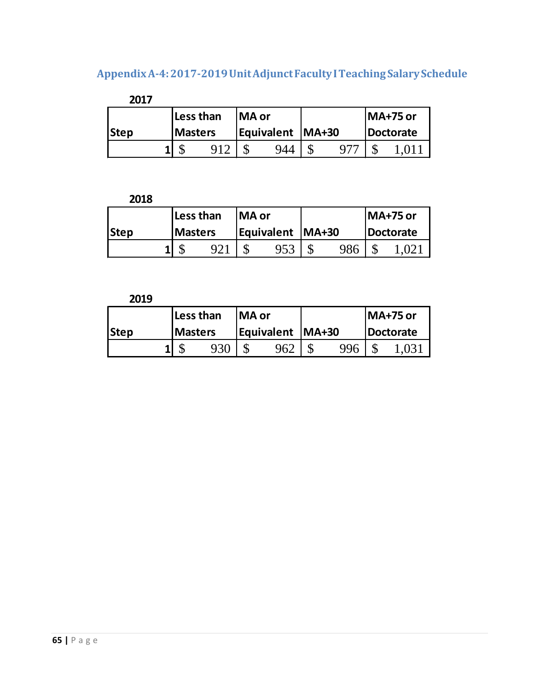# **Appendix A-4: 2017-2019 UnitAdjunctFaculty I Teaching SalarySchedule**

| 2017        |                |  |  |  |                    |  |           |
|-------------|----------------|--|--|--|--------------------|--|-----------|
|             | Less than      |  |  |  | <b>MA or</b>       |  | IMA+75 or |
| <b>Step</b> | <b>Masters</b> |  |  |  | Equivalent   MA+30 |  | Doctorate |
|             |                |  |  |  | 944                |  |           |

**2018**

|      | Less than      |  | lMA or |                    |     | MA+75 or  |  |  |
|------|----------------|--|--------|--------------------|-----|-----------|--|--|
| Step | <b>Masters</b> |  |        | Equivalent   MA+30 |     | Doctorate |  |  |
|      |                |  |        | 953                | 986 |           |  |  |

**2019**

|             | Less than      |     | lMA or                    |     |     | MA+75 or  |  |  |
|-------------|----------------|-----|---------------------------|-----|-----|-----------|--|--|
| <b>Step</b> | <b>Masters</b> |     | <b>Equivalent   MA+30</b> |     |     | Doctorate |  |  |
|             |                | 930 |                           | 962 | 996 |           |  |  |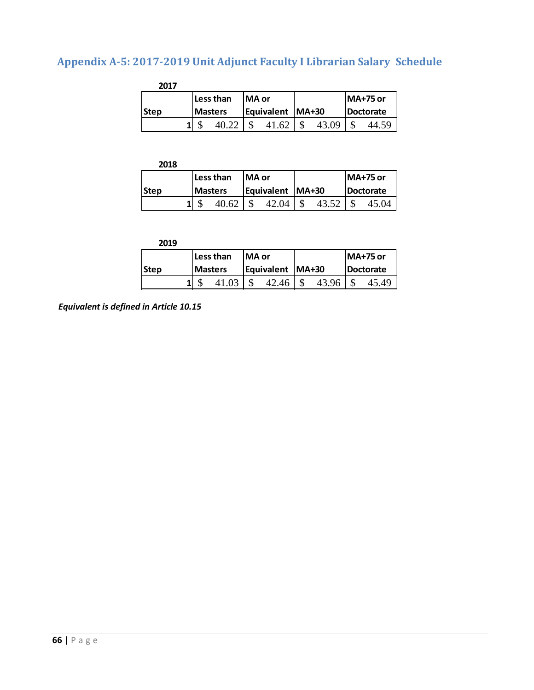# **Appendix A-5: 2017-2019 Unit Adjunct Faculty I Librarian Salary Schedule**

| 2017 |                 |               |                    |       |           |                 |  |
|------|-----------------|---------------|--------------------|-------|-----------|-----------------|--|
|      | Less than       | <b>IMA</b> or |                    |       |           | <b>MA+75 or</b> |  |
| Step | <b>IMasters</b> |               | Equivalent   MA+30 |       | Doctorate |                 |  |
|      |                 |               |                    | 43.09 |           |                 |  |

| 2018 |                 |           |               |                    |  |                  |                 |  |
|------|-----------------|-----------|---------------|--------------------|--|------------------|-----------------|--|
|      |                 | Less than | <b>IMA</b> or |                    |  |                  | <b>MA+75 or</b> |  |
| Step | <b>IMasters</b> |           |               | Equivalent   MA+30 |  | <b>Doctorate</b> |                 |  |
|      |                 |           |               | 04                 |  |                  |                 |  |

|      | Less than      |  | <b>IMA</b> or      |       |  |       | IMA+75 or        |       |
|------|----------------|--|--------------------|-------|--|-------|------------------|-------|
| Step | <b>Masters</b> |  | Equivalent   MA+30 |       |  |       | <b>Doctorate</b> |       |
|      |                |  |                    | 42.46 |  | 43.96 |                  | 45.49 |

*Equivalent is defined in Article 10.15*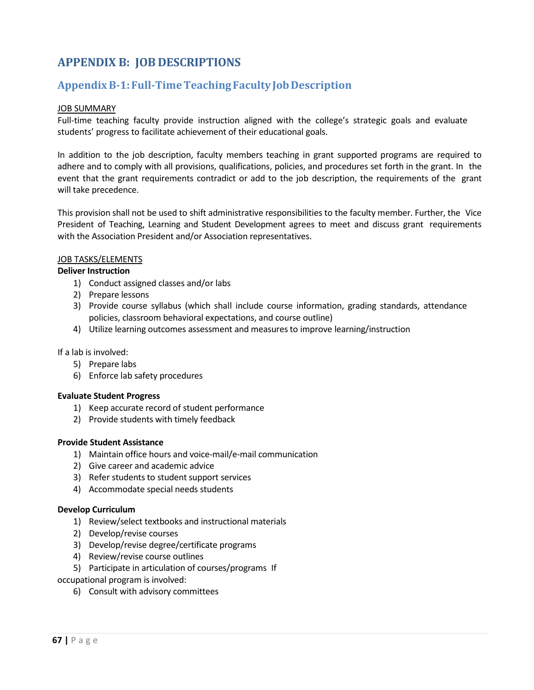## **APPENDIX B: JOB DESCRIPTIONS**

## **Appendix B-1: Full-Time Teaching FacultyJob Description**

#### **JOB SUMMARY**

Full-time teaching faculty provide instruction aligned with the college's strategic goals and evaluate students' progress to facilitate achievement of their educational goals.

In addition to the job description, faculty members teaching in grant supported programs are required to adhere and to comply with all provisions, qualifications, policies, and procedures set forth in the grant. In the event that the grant requirements contradict or add to the job description, the requirements of the grant will take precedence.

This provision shall not be used to shift administrative responsibilities to the faculty member. Further, the Vice President of Teaching, Learning and Student Development agrees to meet and discuss grant requirements with the Association President and/or Association representatives.

#### JOB TASKS/ELEMENTS

#### **Deliver Instruction**

- 1) Conduct assigned classes and/or labs
- 2) Prepare lessons
- 3) Provide course syllabus (which shall include course information, grading standards, attendance policies, classroom behavioral expectations, and course outline)
- 4) Utilize learning outcomes assessment and measuresto improve learning/instruction

If a lab is involved:

- 5) Prepare labs
- 6) Enforce lab safety procedures

#### **Evaluate Student Progress**

- 1) Keep accurate record of student performance
- 2) Provide students with timely feedback

#### **Provide Student Assistance**

- 1) Maintain office hours and voice-mail/e-mail communication
- 2) Give career and academic advice
- 3) Refer students to student support services
- 4) Accommodate special needs students

#### **Develop Curriculum**

- 1) Review/select textbooks and instructional materials
- 2) Develop/revise courses
- 3) Develop/revise degree/certificate programs
- 4) Review/revise course outlines
- 5) Participate in articulation of courses/programs If

occupational program is involved:

6) Consult with advisory committees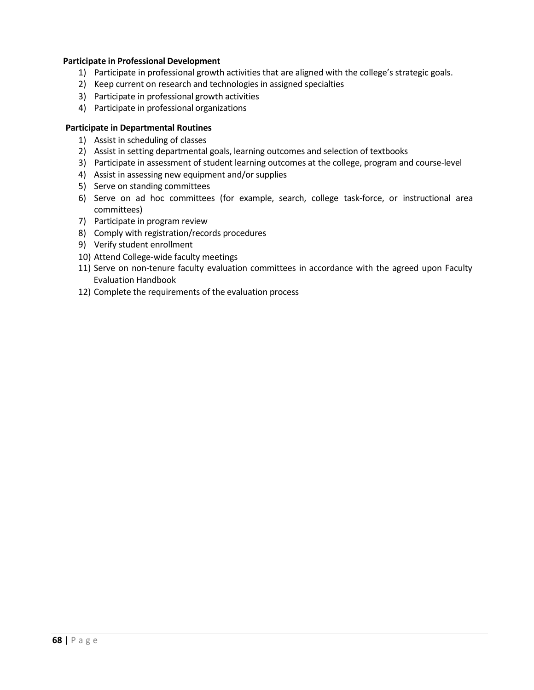#### **Participate in Professional Development**

- 1) Participate in professional growth activities that are aligned with the college's strategic goals.
- 2) Keep current on research and technologies in assigned specialties
- 3) Participate in professional growth activities
- 4) Participate in professional organizations

#### **Participate in Departmental Routines**

- 1) Assist in scheduling of classes
- 2) Assist in setting departmental goals, learning outcomes and selection of textbooks
- 3) Participate in assessment of student learning outcomes at the college, program and course-level
- 4) Assist in assessing new equipment and/or supplies
- 5) Serve on standing committees
- 6) Serve on ad hoc committees (for example, search, college task-force, or instructional area committees)
- 7) Participate in program review
- 8) Comply with registration/records procedures
- 9) Verify student enrollment
- 10) Attend College-wide faculty meetings
- 11) Serve on non-tenure faculty evaluation committees in accordance with the agreed upon Faculty Evaluation Handbook
- 12) Complete the requirements of the evaluation process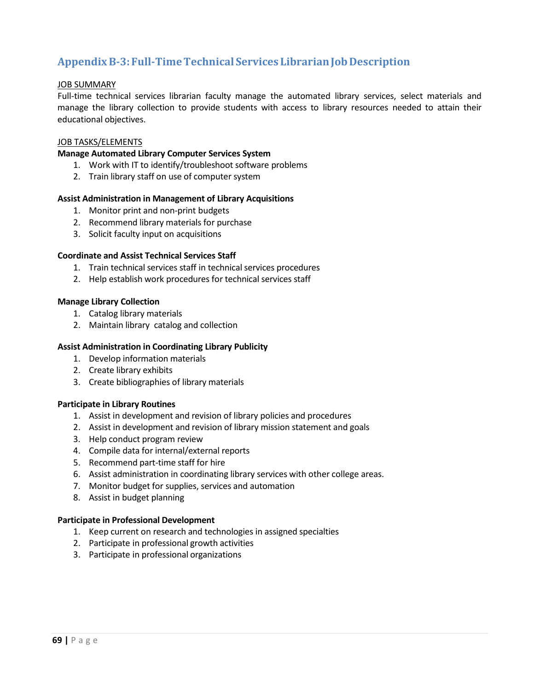## **Appendix B-3: Full-TimeTechnical Services LibrarianJobDescription**

#### JOB SUMMARY

Full-time technical services librarian faculty manage the automated library services, select materials and manage the library collection to provide students with access to library resources needed to attain their educational objectives.

#### JOB TASKS/ELEMENTS

#### **Manage Automated Library Computer Services System**

- 1. Work with IT to identify/troubleshoot software problems
- 2. Train library staff on use of computer system

#### **Assist Administration in Management of Library Acquisitions**

- 1. Monitor print and non-print budgets
- 2. Recommend library materials for purchase
- 3. Solicit faculty input on acquisitions

#### **Coordinate and Assist Technical Services Staff**

- 1. Train technical services staff in technical services procedures
- 2. Help establish work procedures for technical services staff

#### **Manage Library Collection**

- 1. Catalog library materials
- 2. Maintain library catalog and collection

#### **Assist Administration in Coordinating Library Publicity**

- 1. Develop information materials
- 2. Create library exhibits
- 3. Create bibliographies of library materials

#### **Participate in Library Routines**

- 1. Assist in development and revision of library policies and procedures
- 2. Assist in development and revision of library mission statement and goals
- 3. Help conduct program review
- 4. Compile data for internal/external reports
- 5. Recommend part-time staff for hire
- 6. Assist administration in coordinating library services with other college areas.
- 7. Monitor budget for supplies, services and automation
- 8. Assist in budget planning

#### **Participate in Professional Development**

- 1. Keep current on research and technologies in assigned specialties
- 2. Participate in professional growth activities
- 3. Participate in professional organizations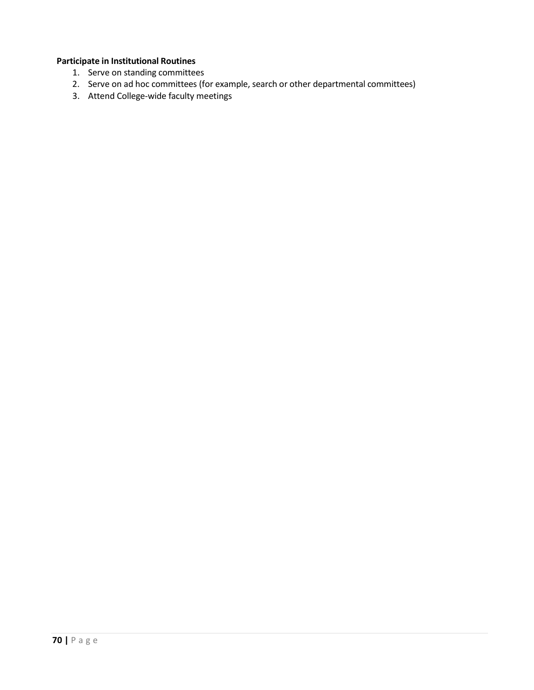#### **Participate in Institutional Routines**

- 1. Serve on standing committees
- 2. Serve on ad hoc committees (for example, search or other departmental committees)
- 3. Attend College-wide faculty meetings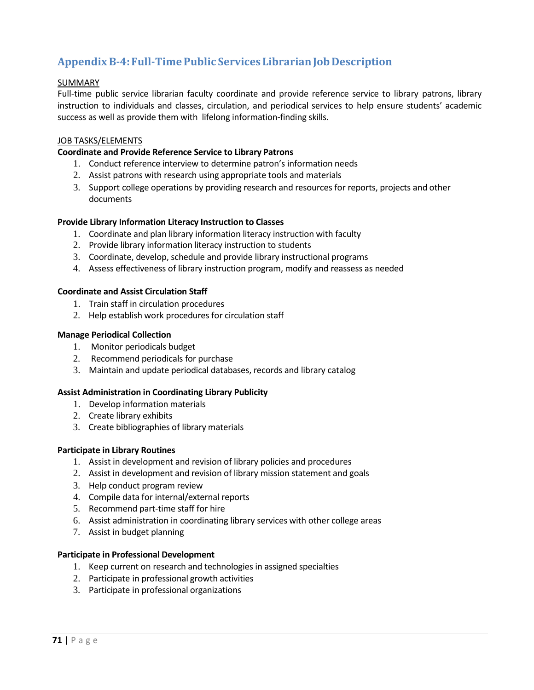## **Appendix B-4: Full-TimePublic Services LibrarianJob Description**

#### SUMMARY

Full-time public service librarian faculty coordinate and provide reference service to library patrons, library instruction to individuals and classes, circulation, and periodical services to help ensure students' academic success as well as provide them with lifelong information-finding skills.

#### JOB TASKS/ELEMENTS

#### **Coordinate and Provide Reference Service to Library Patrons**

- 1. Conduct reference interview to determine patron's information needs
- 2. Assist patrons with research using appropriate tools and materials
- 3. Support college operations by providing research and resources for reports, projects and other documents

#### **Provide Library Information Literacy Instruction to Classes**

- 1. Coordinate and plan library information literacy instruction with faculty
- 2. Provide library information literacy instruction to students
- 3. Coordinate, develop, schedule and provide library instructional programs
- 4. Assess effectiveness of library instruction program, modify and reassess as needed

#### **Coordinate and Assist Circulation Staff**

- 1. Train staff in circulation procedures
- 2. Help establish work procedures for circulation staff

#### **Manage Periodical Collection**

- 1. Monitor periodicals budget
- 2. Recommend periodicals for purchase
- 3. Maintain and update periodical databases, records and library catalog

#### **Assist Administration in Coordinating Library Publicity**

- 1. Develop information materials
- 2. Create library exhibits
- 3. Create bibliographies of library materials

#### **Participate in Library Routines**

- 1. Assist in development and revision of library policies and procedures
- 2. Assist in development and revision of library mission statement and goals
- 3. Help conduct program review
- 4. Compile data for internal/external reports
- 5. Recommend part-time staff for hire
- 6. Assist administration in coordinating library services with other college areas
- 7. Assist in budget planning

#### **Participate in Professional Development**

- 1. Keep current on research and technologies in assigned specialties
- 2. Participate in professional growth activities
- 3. Participate in professional organizations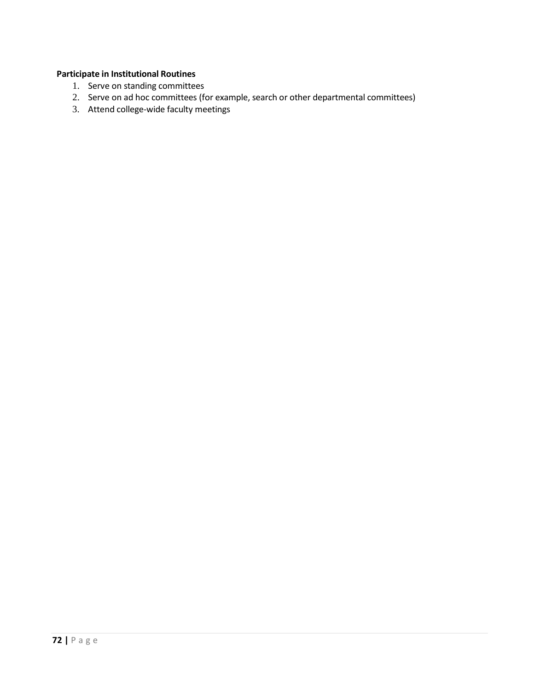## **Participate in Institutional Routines**

- 1. Serve on standing committees
- 2. Serve on ad hoc committees (for example, search or other departmental committees)
- 3. Attend college-wide faculty meetings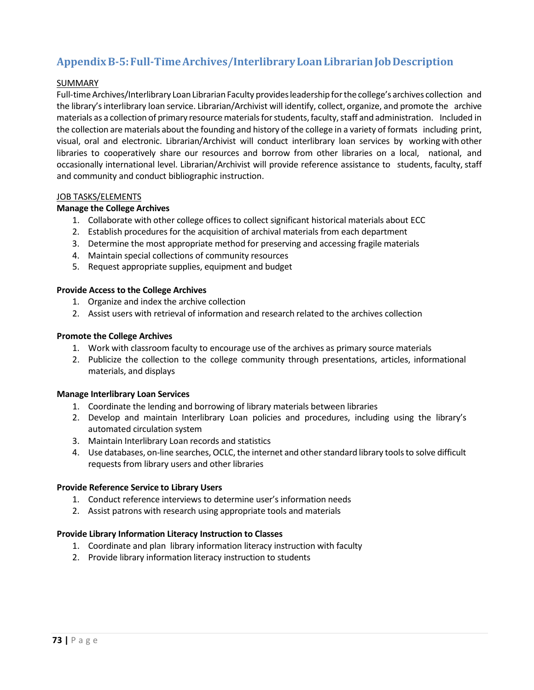# **Appendix B-5: Full-TimeArchives/InterlibraryLoanLibrarianJobDescription**

# SUMMARY

Full-time Archives/Interlibrary Loan Librarian Faculty provides leadership for the college's archives collection and the library's interlibrary loan service. Librarian/Archivist will identify, collect, organize, and promote the archive materials as a collection of primary resource materials for students, faculty, staff and administration. Included in the collection are materials about the founding and history of the college in a variety of formats including print, visual, oral and electronic. Librarian/Archivist will conduct interlibrary loan services by working with other libraries to cooperatively share our resources and borrow from other libraries on a local, national, and occasionally international level. Librarian/Archivist will provide reference assistance to students, faculty, staff and community and conduct bibliographic instruction.

#### JOB TASKS/ELEMENTS

#### **Manage the College Archives**

- 1. Collaborate with other college offices to collect significant historical materials about ECC
- 2. Establish procedures for the acquisition of archival materials from each department
- 3. Determine the most appropriate method for preserving and accessing fragile materials
- 4. Maintain special collections of community resources
- 5. Request appropriate supplies, equipment and budget

#### **Provide Access to the College Archives**

- 1. Organize and index the archive collection
- 2. Assist users with retrieval of information and research related to the archives collection

#### **Promote the College Archives**

- 1. Work with classroom faculty to encourage use of the archives as primary source materials
- 2. Publicize the collection to the college community through presentations, articles, informational materials, and displays

# **Manage Interlibrary Loan Services**

- 1. Coordinate the lending and borrowing of library materials between libraries
- 2. Develop and maintain Interlibrary Loan policies and procedures, including using the library's automated circulation system
- 3. Maintain Interlibrary Loan records and statistics
- 4. Use databases, on-line searches, OCLC, the internet and other standard library tools to solve difficult requests from library users and other libraries

# **Provide Reference Service to Library Users**

- 1. Conduct reference interviews to determine user's information needs
- 2. Assist patrons with research using appropriate tools and materials

# **Provide Library Information Literacy Instruction to Classes**

- 1. Coordinate and plan library information literacy instruction with faculty
- 2. Provide library information literacy instruction to students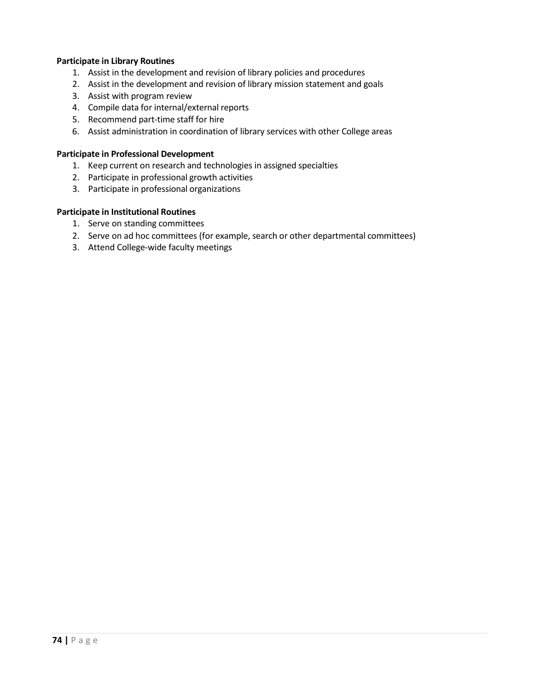# **Participate in Library Routines**

- 1. Assist in the development and revision of library policies and procedures
- 2. Assist in the development and revision of library mission statement and goals
- 3. Assist with program review
- 4. Compile data for internal/external reports
- 5. Recommend part-time staff for hire
- 6. Assist administration in coordination of library services with other College areas

#### **Participate in Professional Development**

- 1. Keep current on research and technologies in assigned specialties
- 2. Participate in professional growth activities
- 3. Participate in professional organizations

# **Participate in Institutional Routines**

- 1. Serve on standing committees
- 2. Serve on ad hoc committees (for example, search or other departmental committees)
- 3. Attend College-wide faculty meetings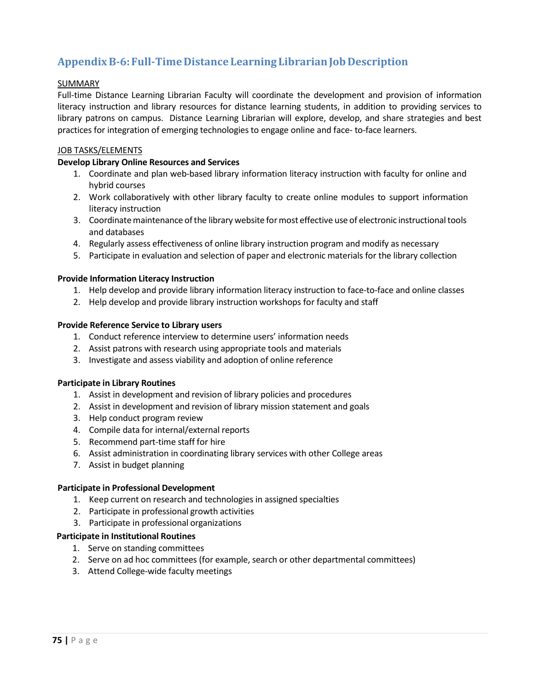# **Appendix B-6: Full-TimeDistance LearningLibrarianJobDescription**

# SUMMARY

Full-time Distance Learning Librarian Faculty will coordinate the development and provision of information literacy instruction and library resources for distance learning students, in addition to providing services to library patrons on campus. Distance Learning Librarian will explore, develop, and share strategies and best practices for integration of emerging technologies to engage online and face- to-face learners.

# JOB TASKS/ELEMENTS

# **Develop Library Online Resources and Services**

- 1. Coordinate and plan web-based library information literacy instruction with faculty for online and hybrid courses
- 2. Work collaboratively with other library faculty to create online modules to support information literacy instruction
- 3. Coordinate maintenance of the library website for most effective use of electronic instructional tools and databases
- 4. Regularly assess effectiveness of online library instruction program and modify as necessary
- 5. Participate in evaluation and selection of paper and electronic materials for the library collection

# **Provide Information Literacy Instruction**

- 1. Help develop and provide library information literacy instruction to face-to-face and online classes
- 2. Help develop and provide library instruction workshops for faculty and staff

# **Provide Reference Service to Library users**

- 1. Conduct reference interview to determine users' information needs
- 2. Assist patrons with research using appropriate tools and materials
- 3. Investigate and assess viability and adoption of online reference

# **Participate in Library Routines**

- 1. Assist in development and revision of library policies and procedures
- 2. Assist in development and revision of library mission statement and goals
- 3. Help conduct program review
- 4. Compile data for internal/external reports
- 5. Recommend part-time staff for hire
- 6. Assist administration in coordinating library services with other College areas
- 7. Assist in budget planning

# **Participate in Professional Development**

- 1. Keep current on research and technologies in assigned specialties
- 2. Participate in professional growth activities
- 3. Participate in professional organizations

# **Participate in Institutional Routines**

- 1. Serve on standing committees
- 2. Serve on ad hoc committees (for example, search or other departmental committees)
- 3. Attend College-wide faculty meetings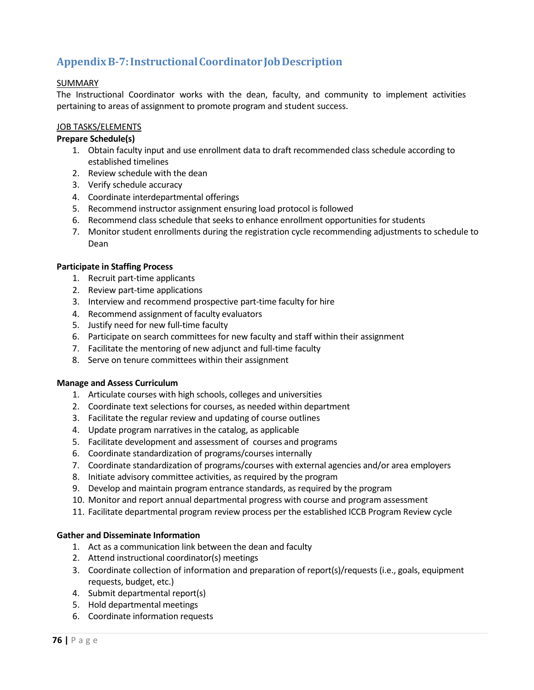# **Appendix B-7: InstructionalCoordinator JobDescription**

# SUMMARY

The Instructional Coordinator works with the dean, faculty, and community to implement activities pertaining to areas of assignment to promote program and student success.

# JOB TASKS/ELEMENTS

# **Prepare Schedule(s)**

- 1. Obtain faculty input and use enrollment data to draft recommended class schedule according to established timelines
- 2. Review schedule with the dean
- 3. Verify schedule accuracy
- 4. Coordinate interdepartmental offerings
- 5. Recommend instructor assignment ensuring load protocol is followed
- 6. Recommend class schedule that seeks to enhance enrollment opportunities for students
- 7. Monitor student enrollments during the registration cycle recommending adjustments to schedule to Dean

# **Participate in Staffing Process**

- 1. Recruit part-time applicants
- 2. Review part-time applications
- 3. Interview and recommend prospective part-time faculty for hire
- 4. Recommend assignment of faculty evaluators
- 5. Justify need for new full-time faculty
- 6. Participate on search committees for new faculty and staff within their assignment
- 7. Facilitate the mentoring of new adjunct and full-time faculty
- 8. Serve on tenure committees within their assignment

# **Manage and Assess Curriculum**

- 1. Articulate courses with high schools, colleges and universities
- 2. Coordinate text selections for courses, as needed within department
- 3. Facilitate the regular review and updating of course outlines
- 4. Update program narratives in the catalog, as applicable
- 5. Facilitate development and assessment of courses and programs
- 6. Coordinate standardization of programs/courses internally
- 7. Coordinate standardization of programs/courses with external agencies and/or area employers
- 8. Initiate advisory committee activities, as required by the program
- 9. Develop and maintain program entrance standards, as required by the program
- 10. Monitor and report annual departmental progress with course and program assessment
- 11. Facilitate departmental program review process per the established ICCB Program Review cycle

# **Gather and Disseminate Information**

- 1. Act as a communication link between the dean and faculty
- 2. Attend instructional coordinator(s) meetings
- 3. Coordinate collection of information and preparation of report(s)/requests (i.e., goals, equipment requests, budget, etc.)
- 4. Submit departmental report(s)
- 5. Hold departmental meetings
- 6. Coordinate information requests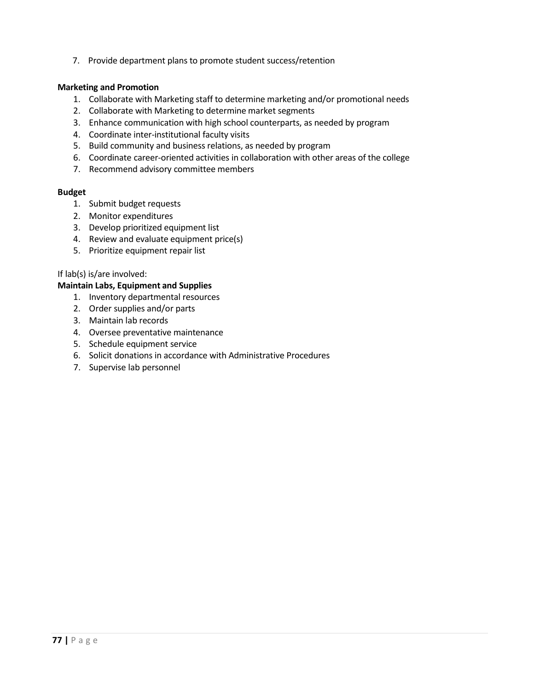7. Provide department plans to promote student success/retention

#### **Marketing and Promotion**

- 1. Collaborate with Marketing staff to determine marketing and/or promotional needs
- 2. Collaborate with Marketing to determine market segments
- 3. Enhance communication with high school counterparts, as needed by program
- 4. Coordinate inter-institutional faculty visits
- 5. Build community and business relations, as needed by program
- 6. Coordinate career-oriented activities in collaboration with other areas of the college
- 7. Recommend advisory committee members

# **Budget**

- 1. Submit budget requests
- 2. Monitor expenditures
- 3. Develop prioritized equipment list
- 4. Review and evaluate equipment price(s)
- 5. Prioritize equipment repair list

#### If lab(s) is/are involved:

#### **Maintain Labs, Equipment and Supplies**

- 1. Inventory departmental resources
- 2. Order supplies and/or parts
- 3. Maintain lab records
- 4. Oversee preventative maintenance
- 5. Schedule equipment service
- 6. Solicit donations in accordance with Administrative Procedures
- 7. Supervise lab personnel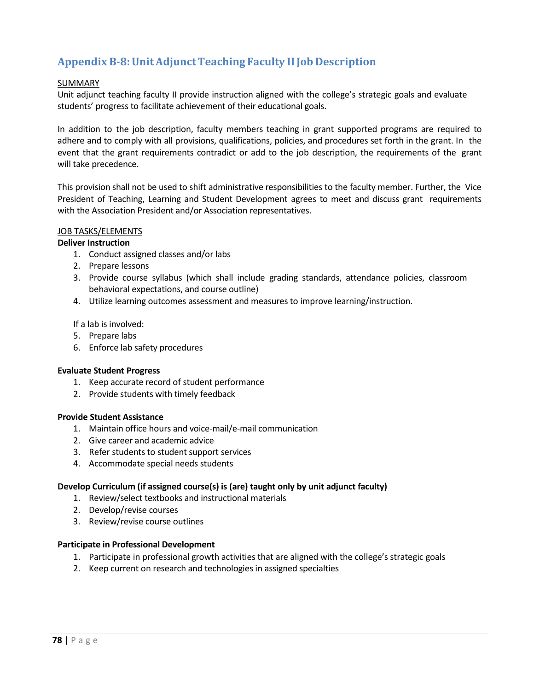# **Appendix B-8: UnitAdjunct Teaching Faculty IIJob Description**

# SUMMARY

Unit adjunct teaching faculty II provide instruction aligned with the college's strategic goals and evaluate students' progress to facilitate achievement of their educational goals.

In addition to the job description, faculty members teaching in grant supported programs are required to adhere and to comply with all provisions, qualifications, policies, and procedures set forth in the grant. In the event that the grant requirements contradict or add to the job description, the requirements of the grant will take precedence.

This provision shall not be used to shift administrative responsibilities to the faculty member. Further, the Vice President of Teaching, Learning and Student Development agrees to meet and discuss grant requirements with the Association President and/or Association representatives.

# JOB TASKS/ELEMENTS

#### **Deliver Instruction**

- 1. Conduct assigned classes and/or labs
- 2. Prepare lessons
- 3. Provide course syllabus (which shall include grading standards, attendance policies, classroom behavioral expectations, and course outline)
- 4. Utilize learning outcomes assessment and measures to improve learning/instruction.

#### If a lab is involved:

- 5. Prepare labs
- 6. Enforce lab safety procedures

#### **Evaluate Student Progress**

- 1. Keep accurate record of student performance
- 2. Provide students with timely feedback

#### **Provide Student Assistance**

- 1. Maintain office hours and voice-mail/e-mail communication
- 2. Give career and academic advice
- 3. Refer students to student support services
- 4. Accommodate special needs students

#### **Develop Curriculum (if assigned course(s) is (are) taught only by unit adjunct faculty)**

- 1. Review/select textbooks and instructional materials
- 2. Develop/revise courses
- 3. Review/revise course outlines

#### **Participate in Professional Development**

- 1. Participate in professional growth activities that are aligned with the college's strategic goals
- 2. Keep current on research and technologies in assigned specialties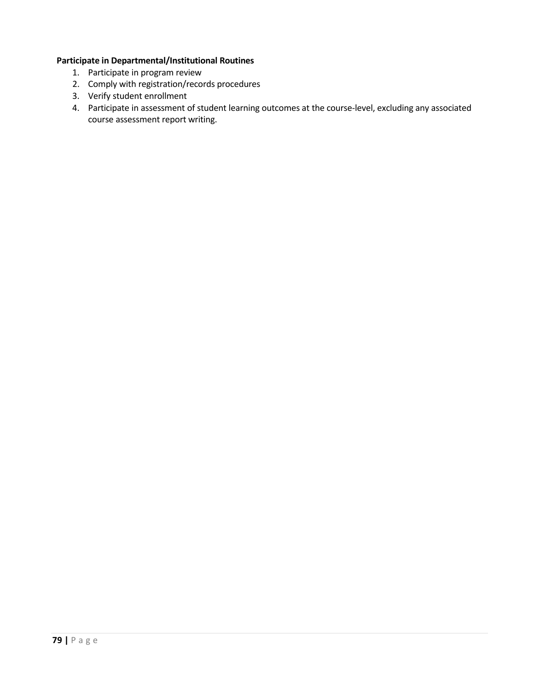# **Participate in Departmental/Institutional Routines**

- 1. Participate in program review
- 2. Comply with registration/records procedures
- 3. Verify student enrollment
- 4. Participate in assessment of student learning outcomes at the course-level, excluding any associated course assessment report writing.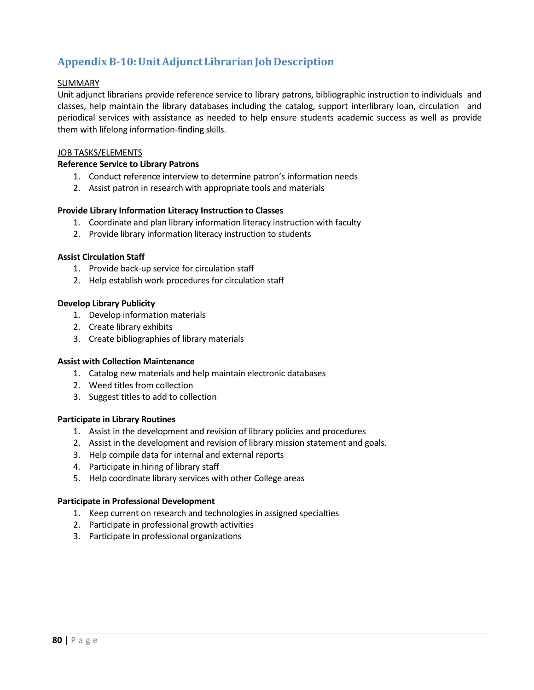# **Appendix B-10: UnitAdjunctLibrarianJob Description**

# SUMMARY

Unit adjunct librarians provide reference service to library patrons, bibliographic instruction to individuals and classes, help maintain the library databases including the catalog, support interlibrary loan, circulation and periodical services with assistance as needed to help ensure students academic success as well as provide them with lifelong information-finding skills.

# JOB TASKS/ELEMENTS

#### **Reference Service to Library Patrons**

- 1. Conduct reference interview to determine patron's information needs
- 2. Assist patron in research with appropriate tools and materials

#### **Provide Library Information Literacy Instruction to Classes**

- 1. Coordinate and plan library information literacy instruction with faculty
- 2. Provide library information literacy instruction to students

#### **Assist Circulation Staff**

- 1. Provide back-up service for circulation staff
- 2. Help establish work procedures for circulation staff

#### **Develop Library Publicity**

- 1. Develop information materials
- 2. Create library exhibits
- 3. Create bibliographies of library materials

#### **Assist with Collection Maintenance**

- 1. Catalog new materials and help maintain electronic databases
- 2. Weed titles from collection
- 3. Suggest titles to add to collection

#### **Participate in Library Routines**

- 1. Assist in the development and revision of library policies and procedures
- 2. Assist in the development and revision of library mission statement and goals.
- 3. Help compile data for internal and external reports
- 4. Participate in hiring of library staff
- 5. Help coordinate library services with other College areas

#### **Participate in Professional Development**

- 1. Keep current on research and technologies in assigned specialties
- 2. Participate in professional growth activities
- 3. Participate in professional organizations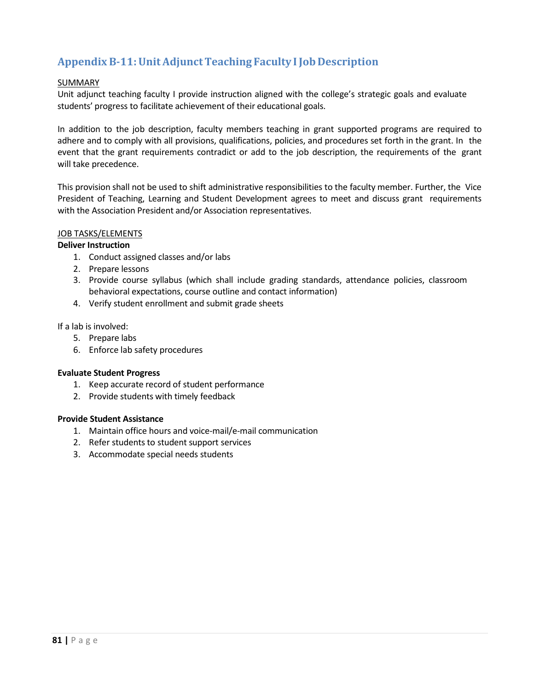# **Appendix B-11: UnitAdjunct Teaching Faculty I Job Description**

# SUMMARY

Unit adjunct teaching faculty I provide instruction aligned with the college's strategic goals and evaluate students' progress to facilitate achievement of their educational goals.

In addition to the job description, faculty members teaching in grant supported programs are required to adhere and to comply with all provisions, qualifications, policies, and procedures set forth in the grant. In the event that the grant requirements contradict or add to the job description, the requirements of the grant will take precedence.

This provision shall not be used to shift administrative responsibilities to the faculty member. Further, the Vice President of Teaching, Learning and Student Development agrees to meet and discuss grant requirements with the Association President and/or Association representatives.

# JOB TASKS/ELEMENTS

# **Deliver Instruction**

- 1. Conduct assigned classes and/or labs
- 2. Prepare lessons
- 3. Provide course syllabus (which shall include grading standards, attendance policies, classroom behavioral expectations, course outline and contact information)
- 4. Verify student enrollment and submit grade sheets

#### If a lab is involved:

- 5. Prepare labs
- 6. Enforce lab safety procedures

# **Evaluate Student Progress**

- 1. Keep accurate record of student performance
- 2. Provide students with timely feedback

# **Provide Student Assistance**

- 1. Maintain office hours and voice-mail/e-mail communication
- 2. Refer students to student support services
- 3. Accommodate special needs students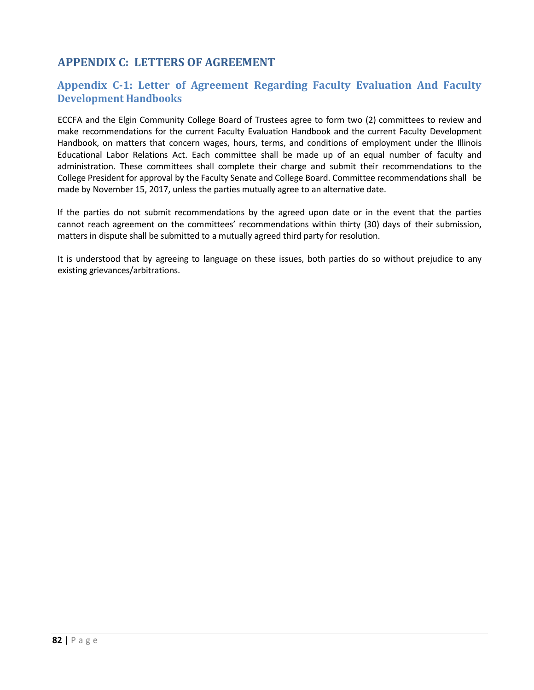# **APPENDIX C: LETTERS OF AGREEMENT**

# **Appendix C-1: Letter of Agreement Regarding Faculty Evaluation And Faculty Development Handbooks**

ECCFA and the Elgin Community College Board of Trustees agree to form two (2) committees to review and make recommendations for the current Faculty Evaluation Handbook and the current Faculty Development Handbook, on matters that concern wages, hours, terms, and conditions of employment under the Illinois Educational Labor Relations Act. Each committee shall be made up of an equal number of faculty and administration. These committees shall complete their charge and submit their recommendations to the College President for approval by the Faculty Senate and College Board. Committee recommendations shall be made by November 15, 2017, unless the parties mutually agree to an alternative date.

If the parties do not submit recommendations by the agreed upon date or in the event that the parties cannot reach agreement on the committees' recommendations within thirty (30) days of their submission, matters in dispute shall be submitted to a mutually agreed third party for resolution.

It is understood that by agreeing to language on these issues, both parties do so without prejudice to any existing grievances/arbitrations.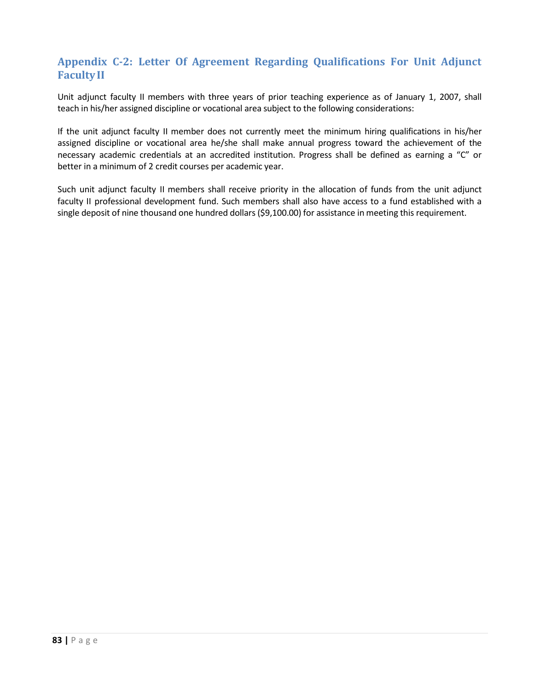# **Appendix C-2: Letter Of Agreement Regarding Qualifications For Unit Adjunct FacultyII**

Unit adjunct faculty II members with three years of prior teaching experience as of January 1, 2007, shall teach in his/her assigned discipline or vocational area subject to the following considerations:

If the unit adjunct faculty II member does not currently meet the minimum hiring qualifications in his/her assigned discipline or vocational area he/she shall make annual progress toward the achievement of the necessary academic credentials at an accredited institution. Progress shall be defined as earning a "C" or better in a minimum of 2 credit courses per academic year.

Such unit adjunct faculty II members shall receive priority in the allocation of funds from the unit adjunct faculty II professional development fund. Such members shall also have access to a fund established with a single deposit of nine thousand one hundred dollars (\$9,100.00) for assistance in meeting this requirement.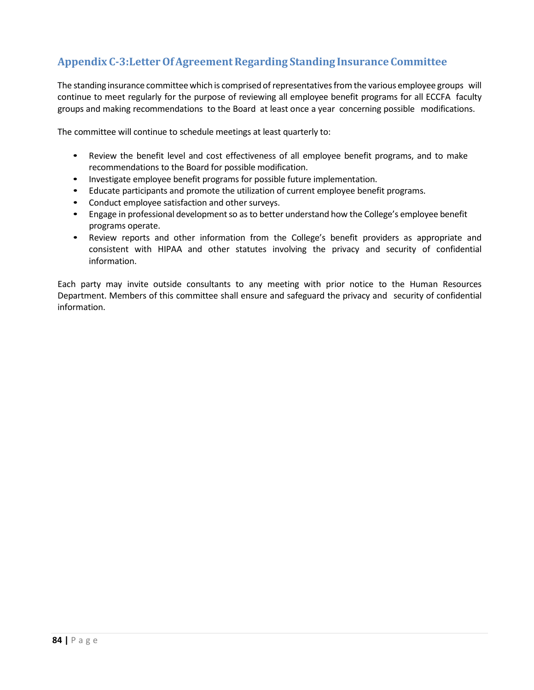# **Appendix C-3:LetterOfAgreementRegarding Standing Insurance Committee**

The standing insurance committee which is comprised of representatives from the various employee groups will continue to meet regularly for the purpose of reviewing all employee benefit programs for all ECCFA faculty groups and making recommendations to the Board at least once a year concerning possible modifications.

The committee will continue to schedule meetings at least quarterly to:

- Review the benefit level and cost effectiveness of all employee benefit programs, and to make recommendations to the Board for possible modification.
- Investigate employee benefit programs for possible future implementation.
- Educate participants and promote the utilization of current employee benefit programs.
- Conduct employee satisfaction and other surveys.
- Engage in professional development so as to better understand how the College's employee benefit programs operate.
- Review reports and other information from the College's benefit providers as appropriate and consistent with HIPAA and other statutes involving the privacy and security of confidential information.

Each party may invite outside consultants to any meeting with prior notice to the Human Resources Department. Members of this committee shall ensure and safeguard the privacy and security of confidential information.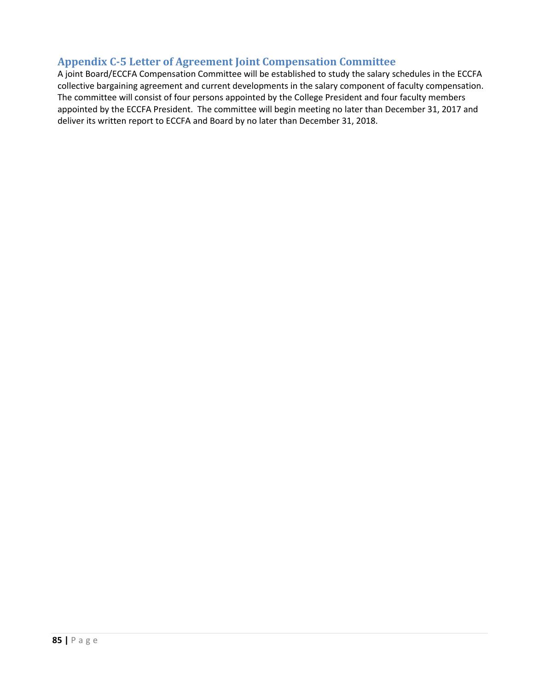# **Appendix C-5 Letter of Agreement Joint Compensation Committee**

A joint Board/ECCFA Compensation Committee will be established to study the salary schedules in the ECCFA collective bargaining agreement and current developments in the salary component of faculty compensation. The committee will consist of four persons appointed by the College President and four faculty members appointed by the ECCFA President. The committee will begin meeting no later than December 31, 2017 and deliver its written report to ECCFA and Board by no later than December 31, 2018.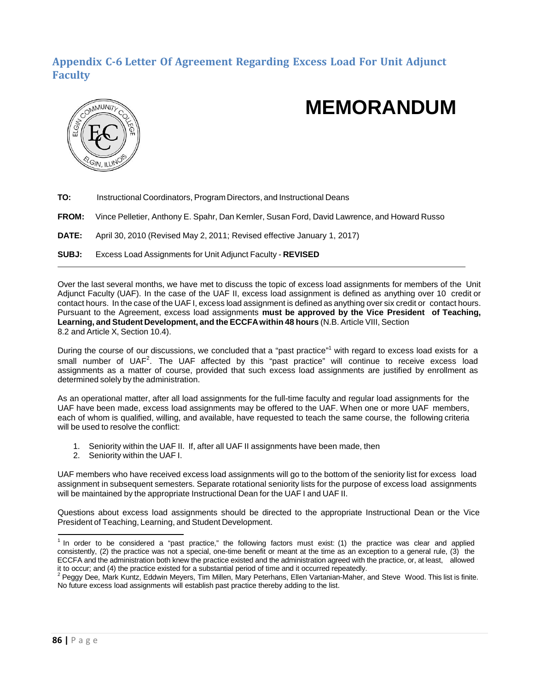# **Appendix C-6 Letter Of Agreement Regarding Excess Load For Unit Adjunct Faculty**



# **MEMORANDUM**

**TO:** Instructional Coordinators, Program Directors, and Instructional Deans **FROM:** Vince Pelletier, Anthony E. Spahr, Dan Kernler, Susan Ford, David Lawrence, and Howard Russo **DATE:** April 30, 2010 (Revised May 2, 2011; Revised effective January 1, 2017) **SUBJ:** Excess Load Assignments for Unit Adjunct Faculty - **REVISED**

Over the last several months, we have met to discuss the topic of excess load assignments for members of the Unit Adjunct Faculty (UAF). In the case of the UAF II, excess load assignment is defined as anything over 10 credit or contact hours. In the case of the UAF I, excess load assignment is defined as anything over six credit or contact hours. Pursuant to the Agreement, excess load assignments **must be approved by the Vice President of Teaching, Learning, and Student Development, and the ECCFAwithin 48 hours** (N.B. Article VIII, Section 8.2 and Article X, Section 10.4).

During the course of our discussions, we concluded that a "past practice"<sup>1</sup> with regard to excess load exists for a small number of UAF<sup>2</sup>[.](#page-85-1) The UAF affected by this "past practice" will continue to receive excess load assignments as a matter of course, provided that such excess load assignments are justified by enrollment as determined solely by the administration.

As an operational matter, after all load assignments for the full-time faculty and regular load assignments for the UAF have been made, excess load assignments may be offered to the UAF. When one or more UAF members, each of whom is qualified, willing, and available, have requested to teach the same course, the following criteria will be used to resolve the conflict:

- 1. Seniority within the UAF II. If, after all UAF II assignments have been made, then
- 2. Seniority within the UAF I.

UAF members who have received excess load assignments will go to the bottom of the seniority list for excess load assignment in subsequent semesters. Separate rotational seniority lists for the purpose of excess load assignments will be maintained by the appropriate Instructional Dean for the UAF I and UAF II.

Questions about excess load assignments should be directed to the appropriate Instructional Dean or the Vice President of Teaching, Learning, and Student Development.

<span id="page-85-0"></span> $1$  In order to be considered a "past practice," the following factors must exist: (1) the practice was clear and applied consistently, (2) the practice was not a special, one-time benefit or meant at the time as an exception to a general rule, (3) the ECCFA and the administration both knew the practice existed and the administration agreed with the practice, or, at least, allowed<br>it to occur: and (4) the practice existed for a substantial period of time and it occurred

<span id="page-85-1"></span><sup>&</sup>lt;sup>2</sup> Peggy Dee, Mark Kuntz, Eddwin Meyers, Tim Millen, Mary Peterhans, Ellen Vartanian-Maher, and Steve Wood. This list is finite. No future excess load assignments will establish past practice thereby adding to the list.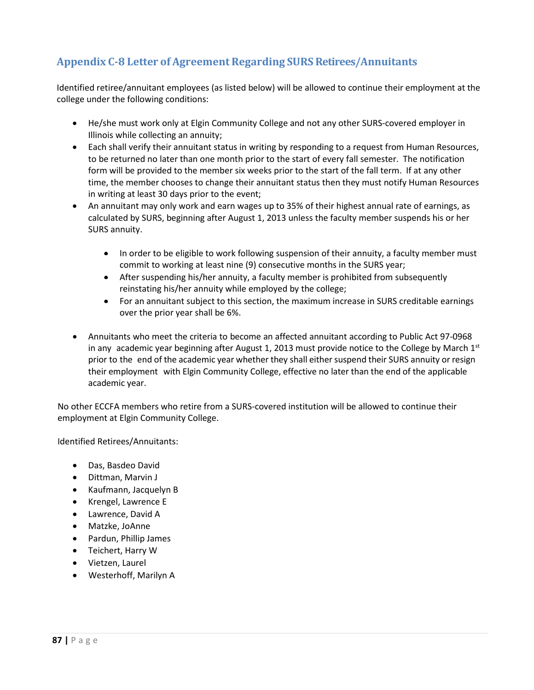# **Appendix C-8 Letter of Agreement Regarding SURS Retirees/Annuitants**

Identified retiree/annuitant employees (as listed below) will be allowed to continue their employment at the college under the following conditions:

- He/she must work only at Elgin Community College and not any other SURS-covered employer in Illinois while collecting an annuity;
- Each shall verify their annuitant status in writing by responding to a request from Human Resources, to be returned no later than one month prior to the start of every fall semester. The notification form will be provided to the member six weeks prior to the start of the fall term. If at any other time, the member chooses to change their annuitant status then they must notify Human Resources in writing at least 30 days prior to the event;
- An annuitant may only work and earn wages up to 35% of their highest annual rate of earnings, as calculated by SURS, beginning after August 1, 2013 unless the faculty member suspends his or her SURS annuity.
	- In order to be eligible to work following suspension of their annuity, a faculty member must commit to working at least nine (9) consecutive months in the SURS year;
	- After suspending his/her annuity, a faculty member is prohibited from subsequently reinstating his/her annuity while employed by the college;
	- For an annuitant subject to this section, the maximum increase in SURS creditable earnings over the prior year shall be 6%.
- Annuitants who meet the criteria to become an affected annuitant according to Public Act 97-0968 in any academic year beginning after August 1, 2013 must provide notice to the College by March  $1<sup>st</sup>$ prior to the end of the academic year whether they shall either suspend their SURS annuity or resign their employment with Elgin Community College, effective no later than the end of the applicable academic year.

No other ECCFA members who retire from a SURS-covered institution will be allowed to continue their employment at Elgin Community College.

Identified Retirees/Annuitants:

- Das, Basdeo David
- Dittman, Marvin J
- Kaufmann, Jacquelyn B
- Krengel, Lawrence E
- Lawrence, David A
- Matzke, JoAnne
- Pardun, Phillip James
- Teichert, Harry W
- Vietzen, Laurel
- Westerhoff, Marilyn A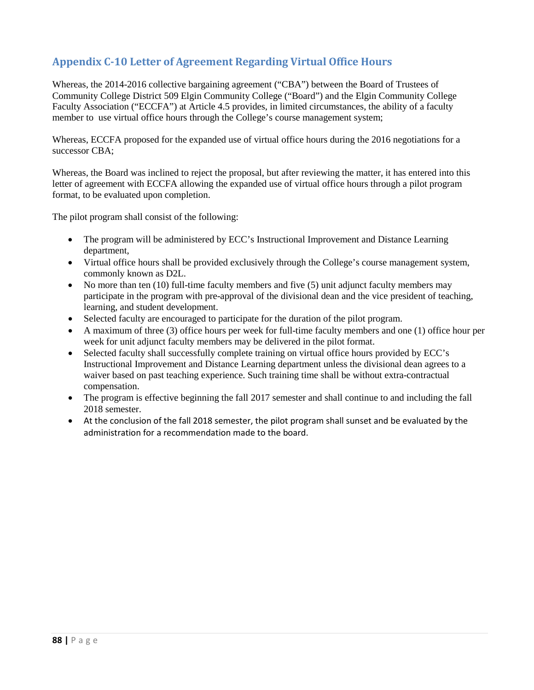# **Appendix C-10 Letter of Agreement Regarding Virtual Office Hours**

Whereas, the 2014-2016 collective bargaining agreement ("CBA") between the Board of Trustees of Community College District 509 Elgin Community College ("Board") and the Elgin Community College Faculty Association ("ECCFA") at Article 4.5 provides, in limited circumstances, the ability of a faculty member to use virtual office hours through the College's course management system;

Whereas, ECCFA proposed for the expanded use of virtual office hours during the 2016 negotiations for a successor CBA;

Whereas, the Board was inclined to reject the proposal, but after reviewing the matter, it has entered into this letter of agreement with ECCFA allowing the expanded use of virtual office hours through a pilot program format, to be evaluated upon completion.

The pilot program shall consist of the following:

- The program will be administered by ECC's Instructional Improvement and Distance Learning department,
- Virtual office hours shall be provided exclusively through the College's course management system, commonly known as D2L.
- No more than ten (10) full-time faculty members and five (5) unit adjunct faculty members may participate in the program with pre-approval of the divisional dean and the vice president of teaching, learning, and student development.
- Selected faculty are encouraged to participate for the duration of the pilot program.
- A maximum of three (3) office hours per week for full-time faculty members and one (1) office hour per week for unit adjunct faculty members may be delivered in the pilot format.
- Selected faculty shall successfully complete training on virtual office hours provided by ECC's Instructional Improvement and Distance Learning department unless the divisional dean agrees to a waiver based on past teaching experience. Such training time shall be without extra-contractual compensation.
- The program is effective beginning the fall 2017 semester and shall continue to and including the fall 2018 semester.
- At the conclusion of the fall 2018 semester, the pilot program shall sunset and be evaluated by the administration for a recommendation made to the board.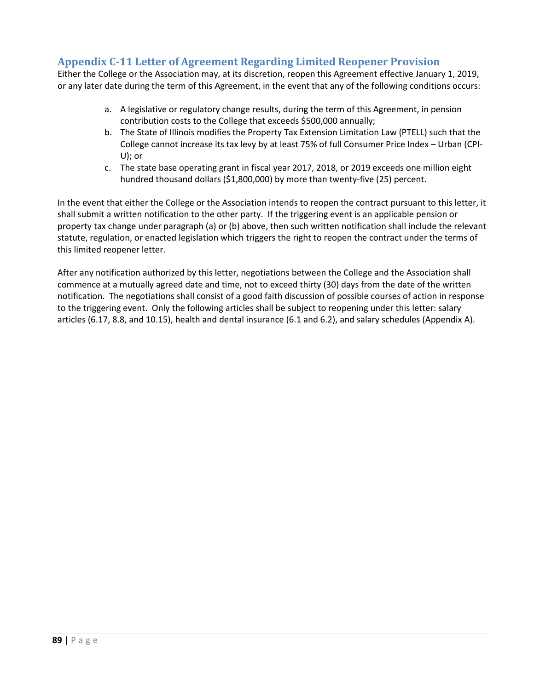# **Appendix C-11 Letter of Agreement Regarding Limited Reopener Provision**

Either the College or the Association may, at its discretion, reopen this Agreement effective January 1, 2019, or any later date during the term of this Agreement, in the event that any of the following conditions occurs:

- a. A legislative or regulatory change results, during the term of this Agreement, in pension contribution costs to the College that exceeds \$500,000 annually;
- b. The State of Illinois modifies the Property Tax Extension Limitation Law (PTELL) such that the College cannot increase its tax levy by at least 75% of full Consumer Price Index – Urban (CPI-U); or
- c. The state base operating grant in fiscal year 2017, 2018, or 2019 exceeds one million eight hundred thousand dollars (\$1,800,000) by more than twenty-five (25) percent.

In the event that either the College or the Association intends to reopen the contract pursuant to this letter, it shall submit a written notification to the other party. If the triggering event is an applicable pension or property tax change under paragraph (a) or (b) above, then such written notification shall include the relevant statute, regulation, or enacted legislation which triggers the right to reopen the contract under the terms of this limited reopener letter.

After any notification authorized by this letter, negotiations between the College and the Association shall commence at a mutually agreed date and time, not to exceed thirty (30) days from the date of the written notification. The negotiations shall consist of a good faith discussion of possible courses of action in response to the triggering event. Only the following articles shall be subject to reopening under this letter: salary articles (6.17, 8.8, and 10.15), health and dental insurance (6.1 and 6.2), and salary schedules (Appendix A).